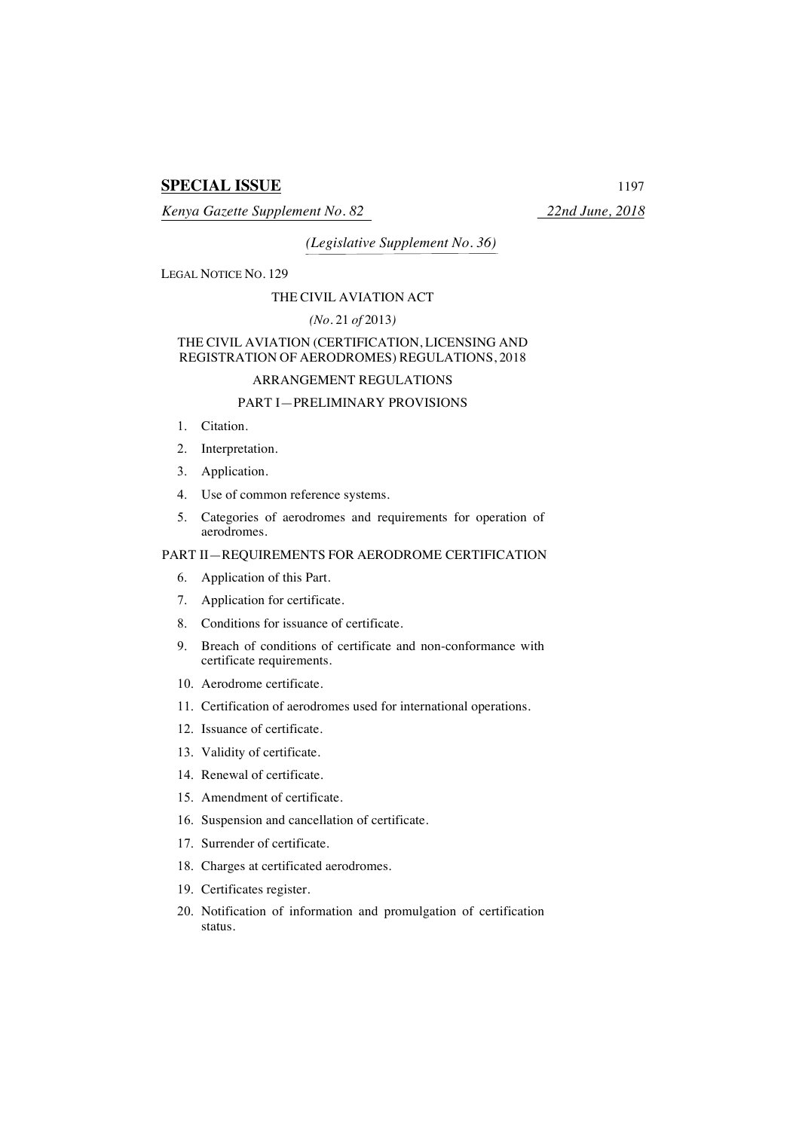# **SPECIAL ISSUE** 1197

*Kenya Gazette Supplement No. 82 22nd June, 2018*

*(Legislative Supplement No. 36)*

LEGAL NOTICE NO. 129

#### THE CIVIL AVIATION ACT

# *(No.* 21 *of* 2013*)*

### THE CIVIL AVIATION (CERTIFICATION, LICENSING AND REGISTRATION OF AERODROMES) REGULATIONS, 2018

# ARRANGEMENT REGULATIONS

# PART I—PRELIMINARY PROVISIONS

- 1. Citation.
- 2. Interpretation.
- 3. Application.
- 4. Use of common reference systems.
- 5. Categories of aerodromes and requirements for operation of aerodromes.

# PART II—REQUIREMENTS FOR AERODROME CERTIFICATION

- 6. Application of this Part.
- 7. Application for certificate.
- 8. Conditions for issuance of certificate.
- 9. Breach of conditions of certificate and non-conformance with certificate requirements.
- 10. Aerodrome certificate.
- 11. Certification of aerodromes used for international operations.
- 12. Issuance of certificate.
- 13. Validity of certificate.
- 14. Renewal of certificate.
- 15. Amendment of certificate.
- 16. Suspension and cancellation of certificate.
- 17. Surrender of certificate.
- 18. Charges at certificated aerodromes.
- 19. Certificates register.
- 20. Notification of information and promulgation of certification status.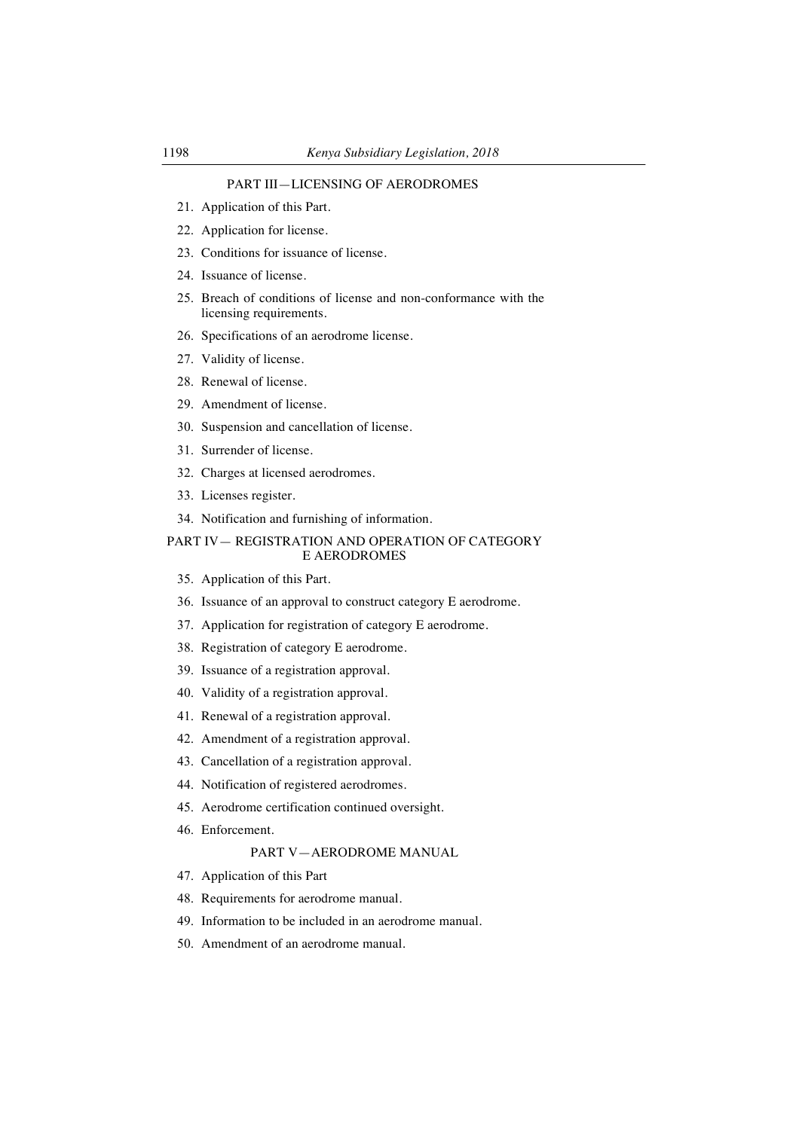# PART III—LICENSING OF AERODROMES

- 21. Application of this Part.
- 22. Application for license.
- 23. Conditions for issuance of license.
- 24. Issuance of license.
- 25. Breach of conditions of license and non-conformance with the licensing requirements.
- 26. Specifications of an aerodrome license.
- 27. Validity of license.
- 28. Renewal of license.
- 29. Amendment of license.
- 30. Suspension and cancellation of license.
- 31. Surrender of license.
- 32. Charges at licensed aerodromes.
- 33. Licenses register.
- 34. Notification and furnishing of information.

# PART IV— REGISTRATION AND OPERATION OF CATEGORY E AERODROMES

- 35. Application of this Part.
- 36. Issuance of an approval to construct category E aerodrome.
- 37. Application for registration of category E aerodrome.
- 38. Registration of category E aerodrome.
- 39. Issuance of a registration approval.
- 40. Validity of a registration approval.
- 41. Renewal of a registration approval.
- 42. Amendment of a registration approval.
- 43. Cancellation of a registration approval.
- 44. Notification of registered aerodromes.
- 45. Aerodrome certification continued oversight.
- 46. Enforcement.

# PART V—AERODROME MANUAL

- 47. Application of this Part
- 48. Requirements for aerodrome manual.
- 49. Information to be included in an aerodrome manual.
- 50. Amendment of an aerodrome manual.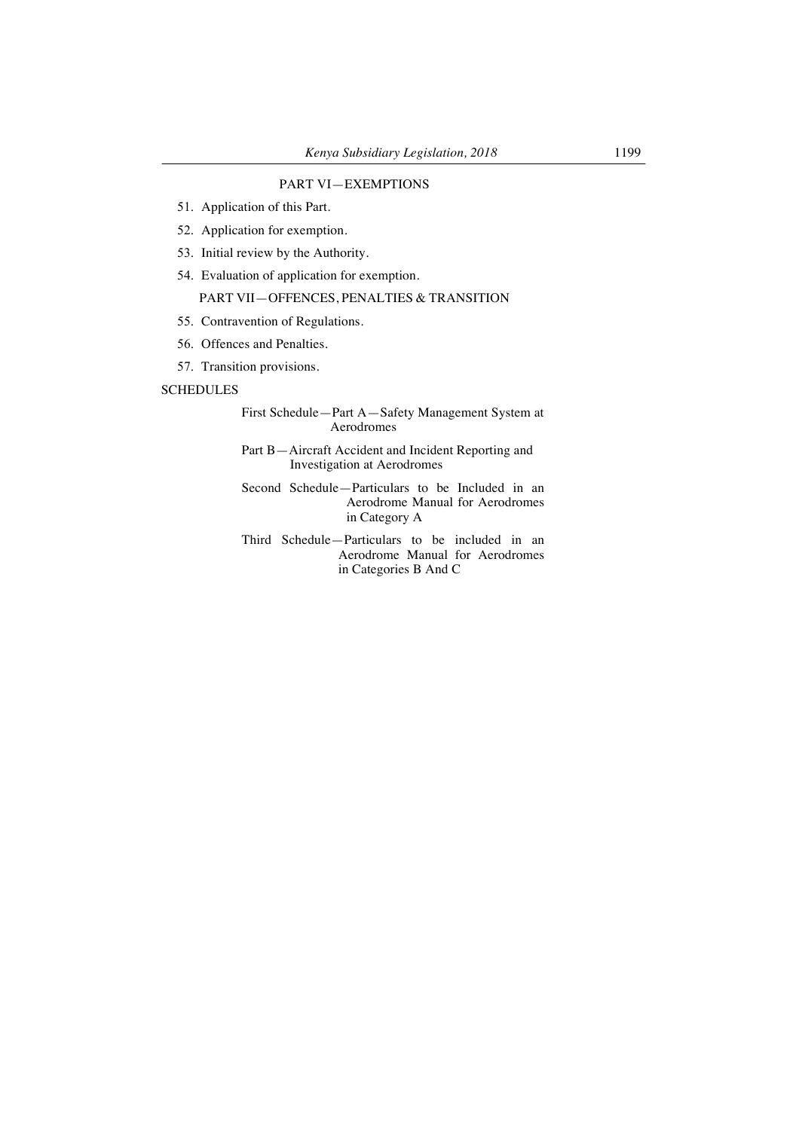# PART VI—EXEMPTIONS

- 51. Application of this Part.
- 52. Application for exemption.
- 53. Initial review by the Authority.
- 54. Evaluation of application for exemption.

# PART VII—OFFENCES, PENALTIES & TRANSITION

- 55. Contravention of Regulations.
- 56. Offences and Penalties.
- 57. Transition provisions.

### **SCHEDULES**

First Schedule—Part A—Safety Management System at Aerodromes

- Part B—Aircraft Accident and Incident Reporting and Investigation at Aerodromes
- Second Schedule—Particulars to be Included in an Aerodrome Manual for Aerodromes in Category A
- Third Schedule—Particulars to be included in an Aerodrome Manual for Aerodromes in Categories B And C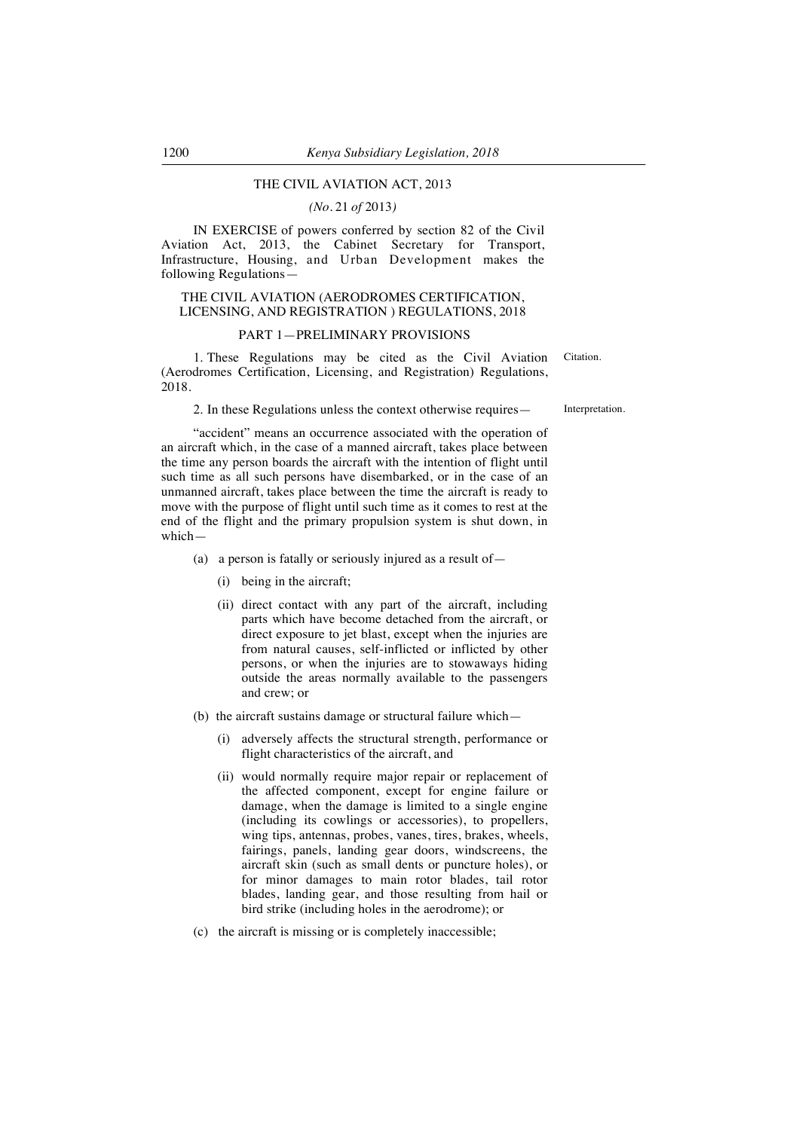# THE CIVIL AVIATION ACT, 2013

*(No.* 21 *of* 2013*)*

IN EXERCISE of powers conferred by section 82 of the Civil Aviation Act, 2013, the Cabinet Secretary for Transport, Infrastructure, Housing, and Urban Development makes the following Regulations—

#### THE CIVIL AVIATION (AERODROMES CERTIFICATION, LICENSING, AND REGISTRATION ) REGULATIONS, 2018

#### PART 1—PRELIMINARY PROVISIONS

1. These Regulations may be cited as the Civil Aviation (Aerodromes Certification, Licensing, and Registration) Regulations, 2018.

Citation.

Interpretation.

2. In these Regulations unless the context otherwise requires—

"accident" means an occurrence associated with the operation of an aircraft which, in the case of a manned aircraft, takes place between the time any person boards the aircraft with the intention of flight until such time as all such persons have disembarked, or in the case of an unmanned aircraft, takes place between the time the aircraft is ready to move with the purpose of flight until such time as it comes to rest at the end of the flight and the primary propulsion system is shut down, in which—

- (a) a person is fatally or seriously injured as a result of—
	- (i) being in the aircraft;
	- (ii) direct contact with any part of the aircraft, including parts which have become detached from the aircraft, or direct exposure to jet blast, except when the injuries are from natural causes, self-inflicted or inflicted by other persons, or when the injuries are to stowaways hiding outside the areas normally available to the passengers and crew; or
- (b) the aircraft sustains damage or structural failure which—
	- (i) adversely affects the structural strength, performance or flight characteristics of the aircraft, and
	- (ii) would normally require major repair or replacement of the affected component, except for engine failure or damage, when the damage is limited to a single engine (including its cowlings or accessories), to propellers, wing tips, antennas, probes, vanes, tires, brakes, wheels, fairings, panels, landing gear doors, windscreens, the aircraft skin (such as small dents or puncture holes), or for minor damages to main rotor blades, tail rotor blades, landing gear, and those resulting from hail or bird strike (including holes in the aerodrome); or
- (c) the aircraft is missing or is completely inaccessible;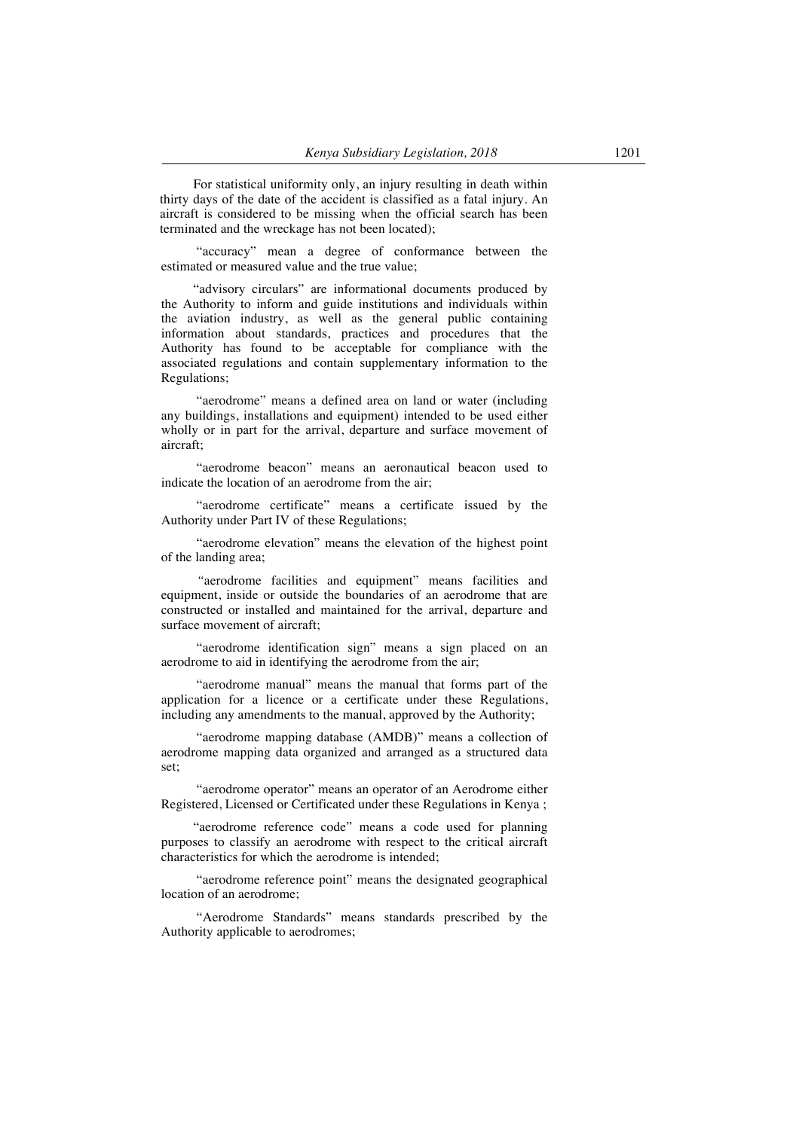For statistical uniformity only, an injury resulting in death within thirty days of the date of the accident is classified as a fatal injury. An aircraft is considered to be missing when the official search has been terminated and the wreckage has not been located);

"accuracy" mean a degree of conformance between the estimated or measured value and the true value;

"advisory circulars" are informational documents produced by the Authority to inform and guide institutions and individuals within the aviation industry, as well as the general public containing information about standards, practices and procedures that the Authority has found to be acceptable for compliance with the associated regulations and contain supplementary information to the Regulations;

"aerodrome" means a defined area on land or water (including any buildings, installations and equipment) intended to be used either wholly or in part for the arrival, departure and surface movement of aircraft;

"aerodrome beacon" means an aeronautical beacon used to indicate the location of an aerodrome from the air;

"aerodrome certificate" means a certificate issued by the Authority under Part IV of these Regulations;

"aerodrome elevation" means the elevation of the highest point of the landing area;

*"*aerodrome facilities and equipment" means facilities and equipment, inside or outside the boundaries of an aerodrome that are constructed or installed and maintained for the arrival, departure and surface movement of aircraft;

"aerodrome identification sign" means a sign placed on an aerodrome to aid in identifying the aerodrome from the air;

"aerodrome manual" means the manual that forms part of the application for a licence or a certificate under these Regulations, including any amendments to the manual, approved by the Authority;

"aerodrome mapping database (AMDB)" means a collection of aerodrome mapping data organized and arranged as a structured data set;

"aerodrome operator" means an operator of an Aerodrome either Registered, Licensed or Certificated under these Regulations in Kenya ;

"aerodrome reference code" means a code used for planning purposes to classify an aerodrome with respect to the critical aircraft characteristics for which the aerodrome is intended;

"aerodrome reference point" means the designated geographical location of an aerodrome;

"Aerodrome Standards" means standards prescribed by the Authority applicable to aerodromes;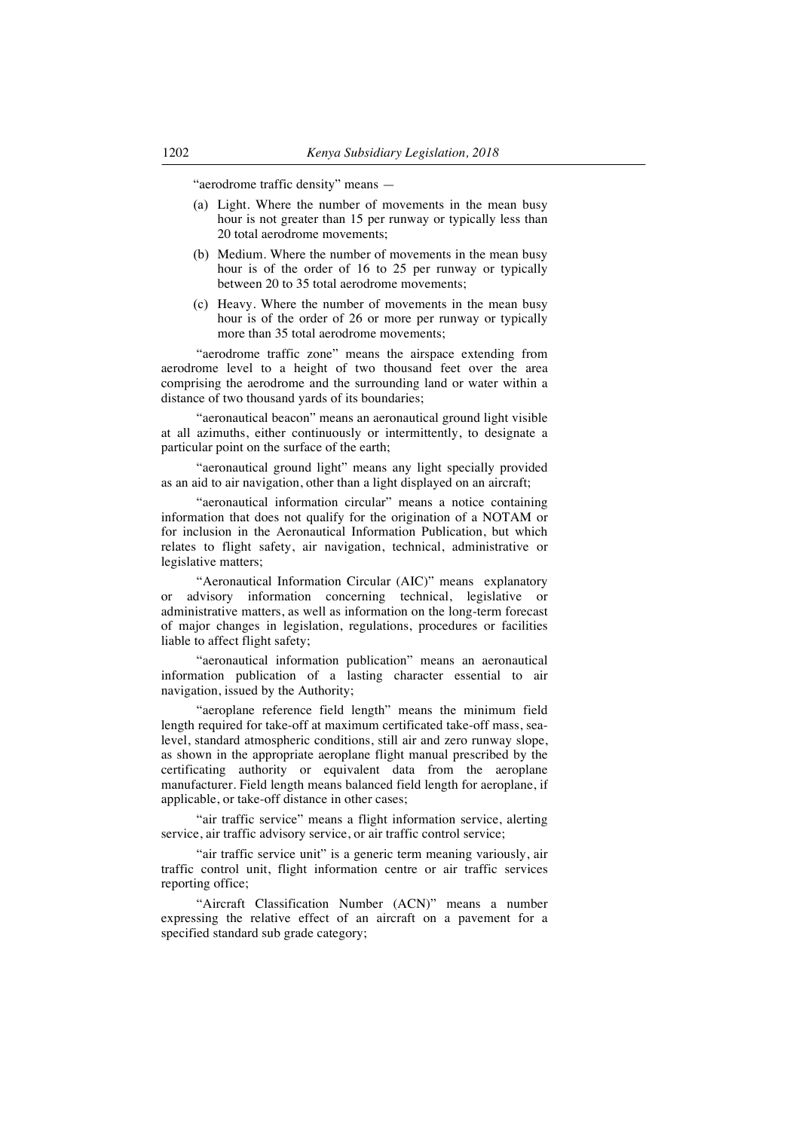"aerodrome traffic density" means —

- (a) Light. Where the number of movements in the mean busy hour is not greater than 15 per runway or typically less than 20 total aerodrome movements;
- (b) Medium. Where the number of movements in the mean busy hour is of the order of 16 to 25 per runway or typically between 20 to 35 total aerodrome movements;
- (c) Heavy. Where the number of movements in the mean busy hour is of the order of 26 or more per runway or typically more than 35 total aerodrome movements;

"aerodrome traffic zone" means the airspace extending from aerodrome level to a height of two thousand feet over the area comprising the aerodrome and the surrounding land or water within a distance of two thousand yards of its boundaries;

"aeronautical beacon" means an aeronautical ground light visible at all azimuths, either continuously or intermittently, to designate a particular point on the surface of the earth;

"aeronautical ground light" means any light specially provided as an aid to air navigation, other than a light displayed on an aircraft;

"aeronautical information circular" means a notice containing information that does not qualify for the origination of a NOTAM or for inclusion in the Aeronautical Information Publication, but which relates to flight safety, air navigation, technical, administrative or legislative matters;

"Aeronautical Information Circular (AIC)" means explanatory or advisory information concerning technical, legislative or administrative matters, as well as information on the long-term forecast of major changes in legislation, regulations, procedures or facilities liable to affect flight safety;

"aeronautical information publication" means an aeronautical information publication of a lasting character essential to air navigation, issued by the Authority;

"aeroplane reference field length" means the minimum field length required for take-off at maximum certificated take-off mass, sealevel, standard atmospheric conditions, still air and zero runway slope, as shown in the appropriate aeroplane flight manual prescribed by the certificating authority or equivalent data from the aeroplane manufacturer. Field length means balanced field length for aeroplane, if applicable, or take-off distance in other cases;

"air traffic service" means a flight information service, alerting service, air traffic advisory service, or air traffic control service;

"air traffic service unit" is a generic term meaning variously, air traffic control unit, flight information centre or air traffic services reporting office;

"Aircraft Classification Number (ACN)" means a number expressing the relative effect of an aircraft on a pavement for a specified standard sub grade category;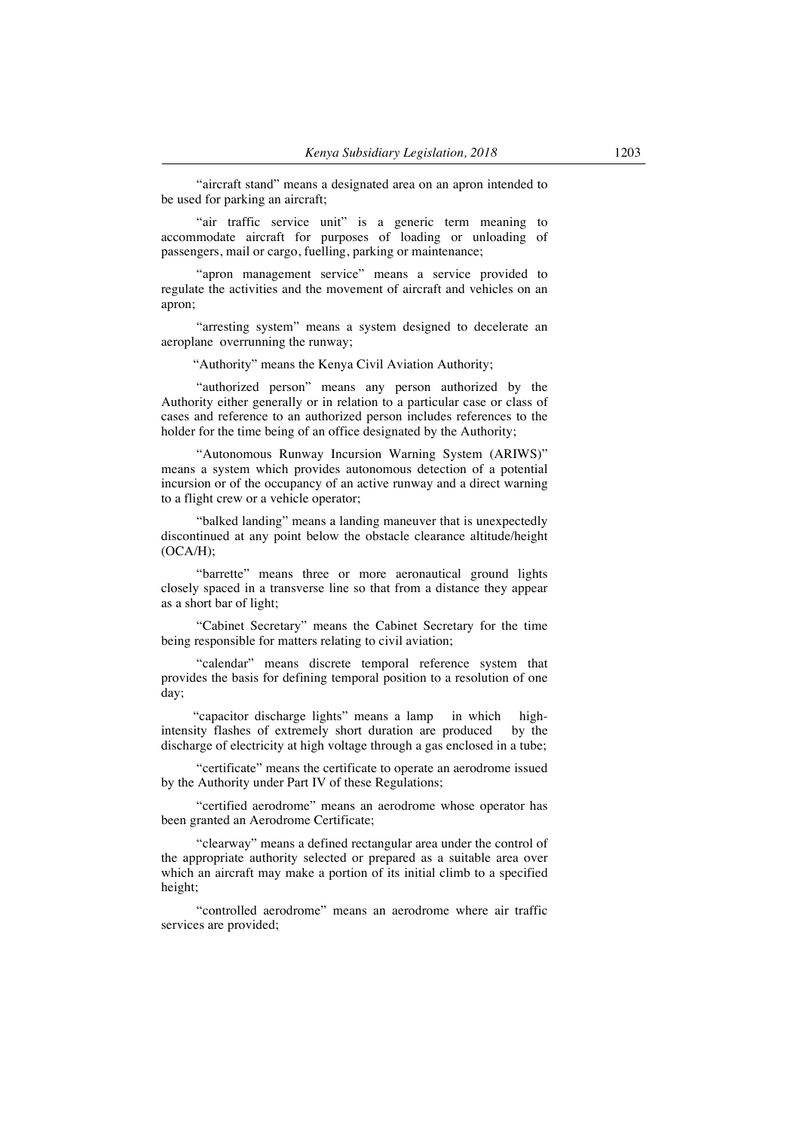"aircraft stand" means a designated area on an apron intended to be used for parking an aircraft;

"air traffic service unit" is a generic term meaning to accommodate aircraft for purposes of loading or unloading of passengers, mail or cargo, fuelling, parking or maintenance;

"apron management service" means a service provided to regulate the activities and the movement of aircraft and vehicles on an apron;

"arresting system" means a system designed to decelerate an aeroplane overrunning the runway;

"Authority" means the Kenya Civil Aviation Authority;

"authorized person" means any person authorized by the Authority either generally or in relation to a particular case or class of cases and reference to an authorized person includes references to the holder for the time being of an office designated by the Authority;

"Autonomous Runway Incursion Warning System (ARIWS)" means a system which provides autonomous detection of a potential incursion or of the occupancy of an active runway and a direct warning to a flight crew or a vehicle operator;

"balked landing" means a landing maneuver that is unexpectedly discontinued at any point below the obstacle clearance altitude/height (OCA/H);

"barrette" means three or more aeronautical ground lights closely spaced in a transverse line so that from a distance they appear as a short bar of light;

"Cabinet Secretary" means the Cabinet Secretary for the time being responsible for matters relating to civil aviation;

"calendar" means discrete temporal reference system that provides the basis for defining temporal position to a resolution of one day;

"capacitor discharge lights" means a lamp in which highintensity flashes of extremely short duration are produced by the discharge of electricity at high voltage through a gas enclosed in a tube;

"certificate" means the certificate to operate an aerodrome issued by the Authority under Part IV of these Regulations;

"certified aerodrome" means an aerodrome whose operator has been granted an Aerodrome Certificate;

"clearway" means a defined rectangular area under the control of the appropriate authority selected or prepared as a suitable area over which an aircraft may make a portion of its initial climb to a specified height;

"controlled aerodrome" means an aerodrome where air traffic services are provided;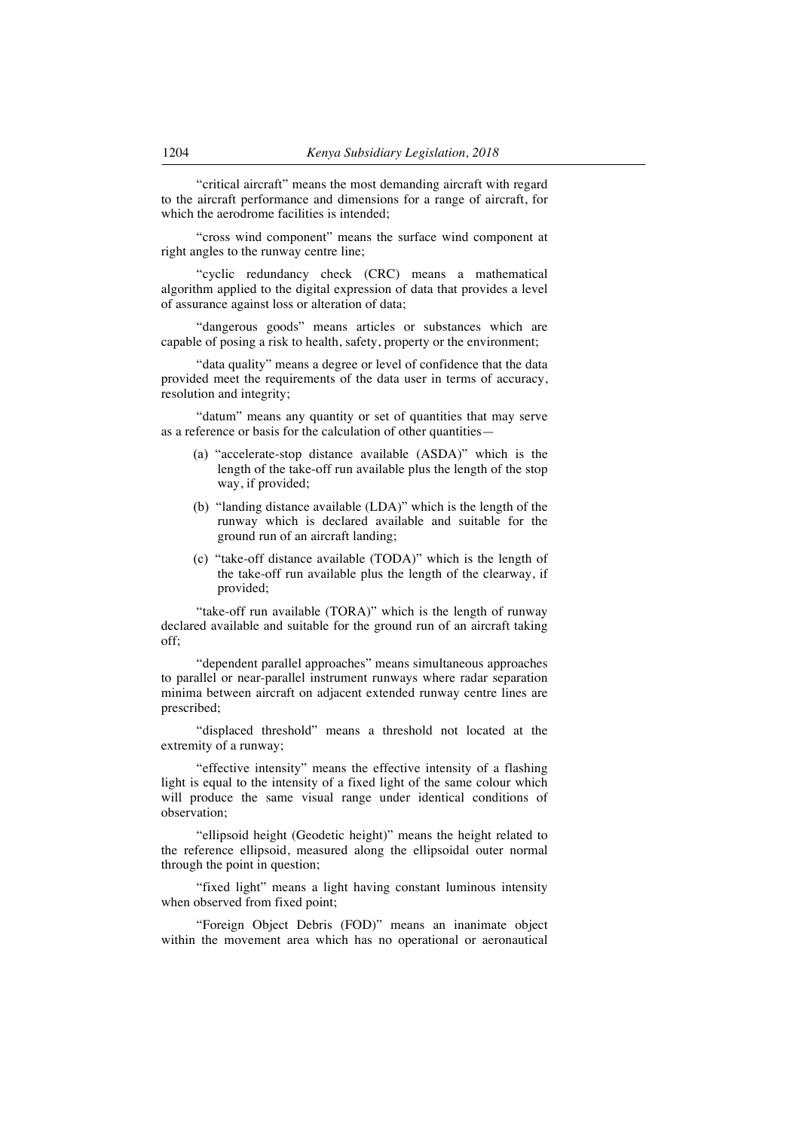"critical aircraft" means the most demanding aircraft with regard to the aircraft performance and dimensions for a range of aircraft, for which the aerodrome facilities is intended;

"cross wind component" means the surface wind component at right angles to the runway centre line;

"cyclic redundancy check (CRC) means a mathematical algorithm applied to the digital expression of data that provides a level of assurance against loss or alteration of data;

"dangerous goods" means articles or substances which are capable of posing a risk to health, safety, property or the environment;

"data quality" means a degree or level of confidence that the data provided meet the requirements of the data user in terms of accuracy, resolution and integrity;

"datum" means any quantity or set of quantities that may serve as a reference or basis for the calculation of other quantities—

- (a) "accelerate-stop distance available (ASDA)" which is the length of the take-off run available plus the length of the stop way, if provided;
- (b) "landing distance available (LDA)" which is the length of the runway which is declared available and suitable for the ground run of an aircraft landing;
- (c) "take-off distance available (TODA)" which is the length of the take-off run available plus the length of the clearway, if provided;

"take-off run available (TORA)" which is the length of runway declared available and suitable for the ground run of an aircraft taking off;

"dependent parallel approaches" means simultaneous approaches to parallel or near-parallel instrument runways where radar separation minima between aircraft on adjacent extended runway centre lines are prescribed;

"displaced threshold" means a threshold not located at the extremity of a runway;

"effective intensity" means the effective intensity of a flashing light is equal to the intensity of a fixed light of the same colour which will produce the same visual range under identical conditions of observation;

"ellipsoid height (Geodetic height)" means the height related to the reference ellipsoid, measured along the ellipsoidal outer normal through the point in question;

"fixed light" means a light having constant luminous intensity when observed from fixed point;

"Foreign Object Debris (FOD)" means an inanimate object within the movement area which has no operational or aeronautical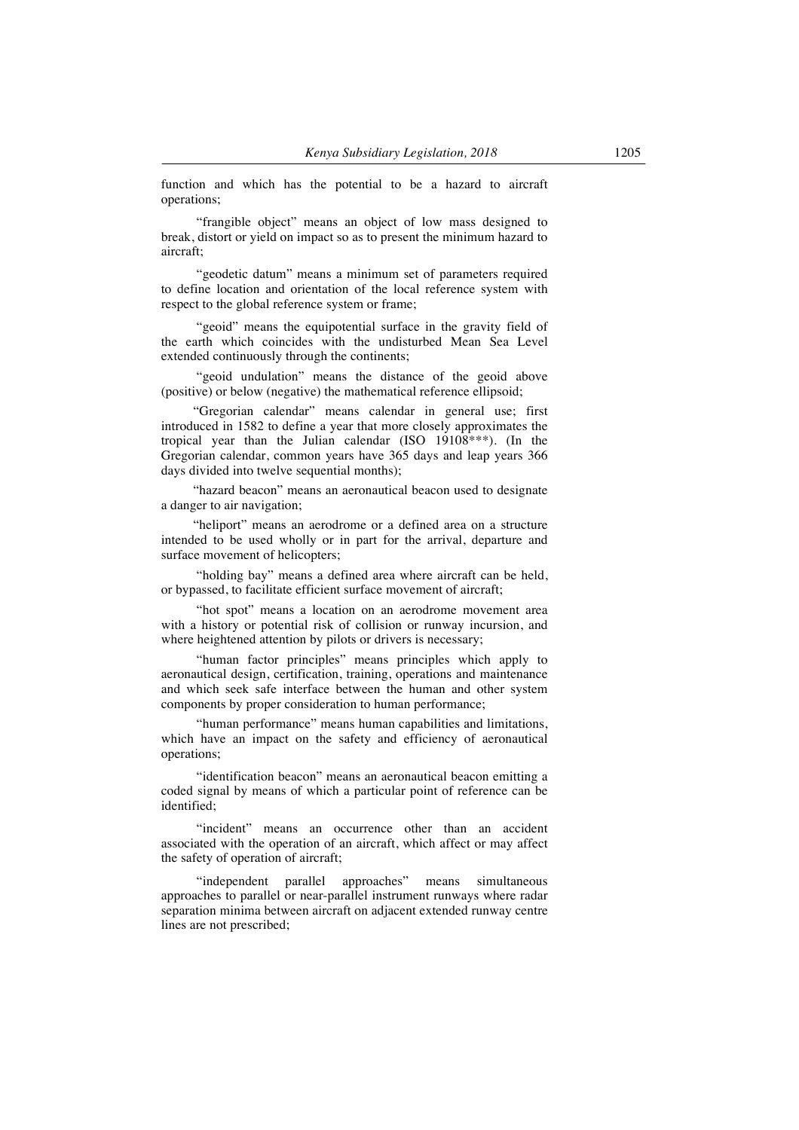function and which has the potential to be a hazard to aircraft operations;

"frangible object" means an object of low mass designed to break, distort or yield on impact so as to present the minimum hazard to aircraft;

"geodetic datum" means a minimum set of parameters required to define location and orientation of the local reference system with respect to the global reference system or frame;

"geoid" means the equipotential surface in the gravity field of the earth which coincides with the undisturbed Mean Sea Level extended continuously through the continents;

"geoid undulation" means the distance of the geoid above (positive) or below (negative) the mathematical reference ellipsoid;

"Gregorian calendar" means calendar in general use; first introduced in 1582 to define a year that more closely approximates the tropical year than the Julian calendar (ISO 19108\*\*\*). (In the Gregorian calendar, common years have 365 days and leap years 366 days divided into twelve sequential months);

"hazard beacon" means an aeronautical beacon used to designate a danger to air navigation;

"heliport" means an aerodrome or a defined area on a structure intended to be used wholly or in part for the arrival, departure and surface movement of helicopters;

"holding bay" means a defined area where aircraft can be held, or bypassed, to facilitate efficient surface movement of aircraft;

"hot spot" means a location on an aerodrome movement area with a history or potential risk of collision or runway incursion, and where heightened attention by pilots or drivers is necessary;

"human factor principles" means principles which apply to aeronautical design, certification, training, operations and maintenance and which seek safe interface between the human and other system components by proper consideration to human performance;

"human performance" means human capabilities and limitations, which have an impact on the safety and efficiency of aeronautical operations;

"identification beacon" means an aeronautical beacon emitting a coded signal by means of which a particular point of reference can be identified;

"incident" means an occurrence other than an accident associated with the operation of an aircraft, which affect or may affect the safety of operation of aircraft;

"independent parallel approaches" means simultaneous approaches to parallel or near-parallel instrument runways where radar separation minima between aircraft on adjacent extended runway centre lines are not prescribed;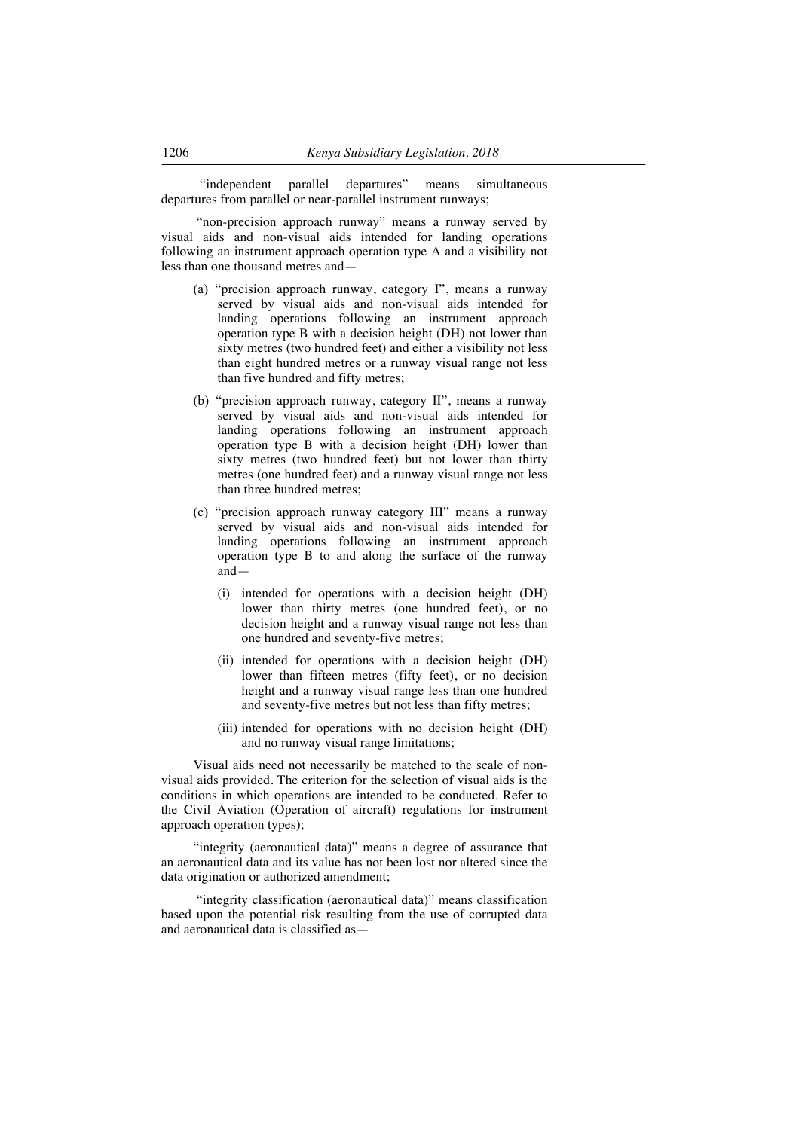"independent parallel departures" means simultaneous departures from parallel or near-parallel instrument runways;

"non-precision approach runway" means a runway served by visual aids and non-visual aids intended for landing operations following an instrument approach operation type A and a visibility not less than one thousand metres and—

- (a) "precision approach runway, category I", means a runway served by visual aids and non-visual aids intended for landing operations following an instrument approach operation type B with a decision height (DH) not lower than sixty metres (two hundred feet) and either a visibility not less than eight hundred metres or a runway visual range not less than five hundred and fifty metres;
- (b) "precision approach runway, category II", means a runway served by visual aids and non-visual aids intended for landing operations following an instrument approach operation type B with a decision height (DH) lower than sixty metres (two hundred feet) but not lower than thirty metres (one hundred feet) and a runway visual range not less than three hundred metres;
- (c) "precision approach runway category III" means a runway served by visual aids and non-visual aids intended for landing operations following an instrument approach operation type B to and along the surface of the runway and—
	- (i) intended for operations with a decision height (DH) lower than thirty metres (one hundred feet), or no decision height and a runway visual range not less than one hundred and seventy-five metres;
	- (ii) intended for operations with a decision height (DH) lower than fifteen metres (fifty feet), or no decision height and a runway visual range less than one hundred and seventy-five metres but not less than fifty metres;
	- (iii) intended for operations with no decision height (DH) and no runway visual range limitations;

Visual aids need not necessarily be matched to the scale of nonvisual aids provided. The criterion for the selection of visual aids is the conditions in which operations are intended to be conducted. Refer to the Civil Aviation (Operation of aircraft) regulations for instrument approach operation types);

"integrity (aeronautical data)" means a degree of assurance that an aeronautical data and its value has not been lost nor altered since the data origination or authorized amendment;

"integrity classification (aeronautical data)" means classification based upon the potential risk resulting from the use of corrupted data and aeronautical data is classified as—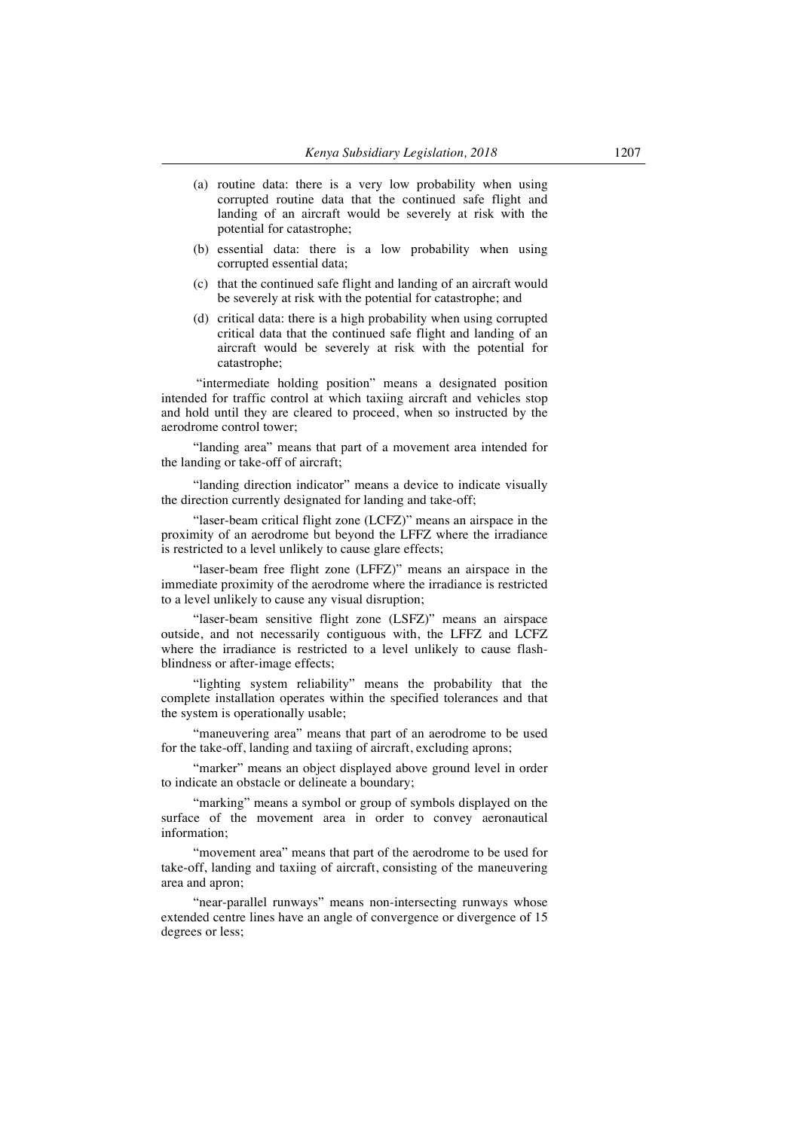- (a) routine data: there is a very low probability when using corrupted routine data that the continued safe flight and landing of an aircraft would be severely at risk with the potential for catastrophe;
- (b) essential data: there is a low probability when using corrupted essential data;
- (c) that the continued safe flight and landing of an aircraft would be severely at risk with the potential for catastrophe; and
- (d) critical data: there is a high probability when using corrupted critical data that the continued safe flight and landing of an aircraft would be severely at risk with the potential for catastrophe;

"intermediate holding position" means a designated position intended for traffic control at which taxiing aircraft and vehicles stop and hold until they are cleared to proceed, when so instructed by the aerodrome control tower;

"landing area" means that part of a movement area intended for the landing or take-off of aircraft;

"landing direction indicator" means a device to indicate visually the direction currently designated for landing and take-off;

"laser-beam critical flight zone (LCFZ)" means an airspace in the proximity of an aerodrome but beyond the LFFZ where the irradiance is restricted to a level unlikely to cause glare effects;

"laser-beam free flight zone (LFFZ)" means an airspace in the immediate proximity of the aerodrome where the irradiance is restricted to a level unlikely to cause any visual disruption;

"laser-beam sensitive flight zone (LSFZ)" means an airspace outside, and not necessarily contiguous with, the LFFZ and LCFZ where the irradiance is restricted to a level unlikely to cause flashblindness or after-image effects;

"lighting system reliability" means the probability that the complete installation operates within the specified tolerances and that the system is operationally usable;

"maneuvering area" means that part of an aerodrome to be used for the take-off, landing and taxiing of aircraft, excluding aprons;

"marker" means an object displayed above ground level in order to indicate an obstacle or delineate a boundary;

"marking" means a symbol or group of symbols displayed on the surface of the movement area in order to convey aeronautical information;

"movement area" means that part of the aerodrome to be used for take-off, landing and taxiing of aircraft, consisting of the maneuvering area and apron;

"near-parallel runways" means non-intersecting runways whose extended centre lines have an angle of convergence or divergence of 15 degrees or less;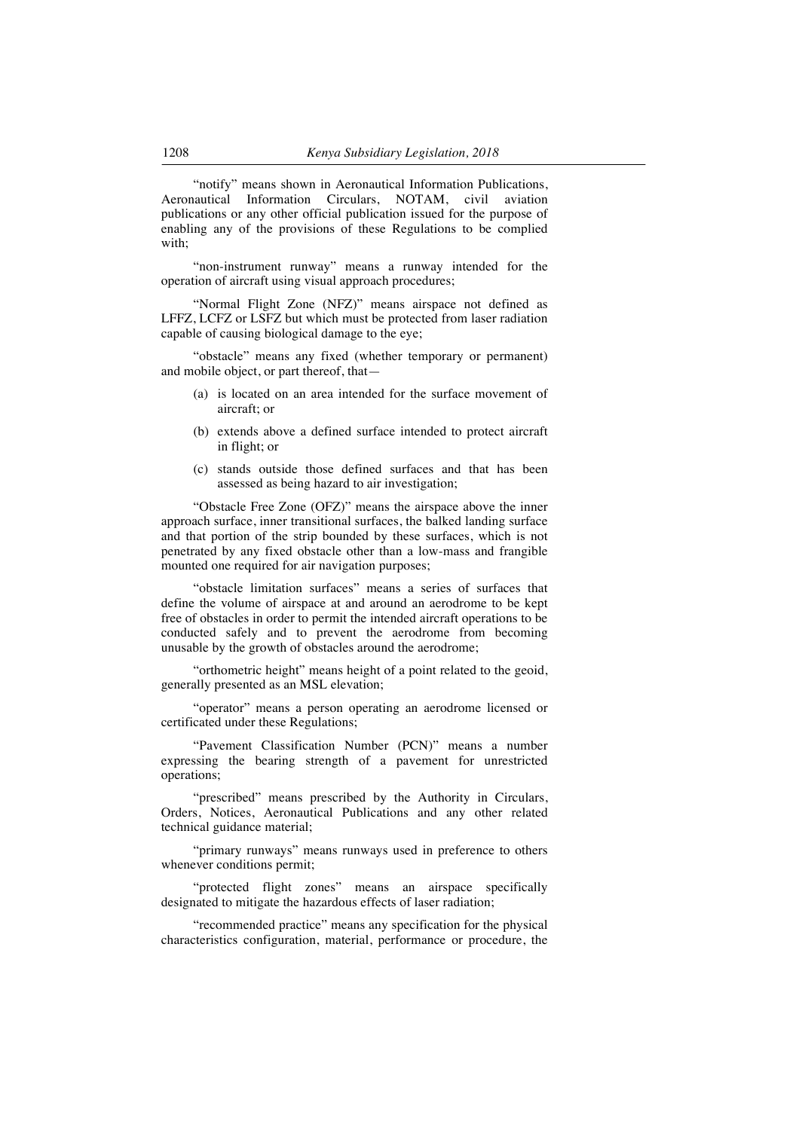"notify" means shown in Aeronautical Information Publications, Aeronautical Information Circulars, NOTAM, civil aviation publications or any other official publication issued for the purpose of enabling any of the provisions of these Regulations to be complied with;

"non-instrument runway" means a runway intended for the operation of aircraft using visual approach procedures;

"Normal Flight Zone (NFZ)" means airspace not defined as LFFZ, LCFZ or LSFZ but which must be protected from laser radiation capable of causing biological damage to the eye;

"obstacle" means any fixed (whether temporary or permanent) and mobile object, or part thereof, that—

- (a) is located on an area intended for the surface movement of aircraft; or
- (b) extends above a defined surface intended to protect aircraft in flight; or
- (c) stands outside those defined surfaces and that has been assessed as being hazard to air investigation;

"Obstacle Free Zone (OFZ)" means the airspace above the inner approach surface, inner transitional surfaces, the balked landing surface and that portion of the strip bounded by these surfaces, which is not penetrated by any fixed obstacle other than a low-mass and frangible mounted one required for air navigation purposes;

"obstacle limitation surfaces" means a series of surfaces that define the volume of airspace at and around an aerodrome to be kept free of obstacles in order to permit the intended aircraft operations to be conducted safely and to prevent the aerodrome from becoming unusable by the growth of obstacles around the aerodrome;

"orthometric height" means height of a point related to the geoid, generally presented as an MSL elevation;

"operator" means a person operating an aerodrome licensed or certificated under these Regulations;

"Pavement Classification Number (PCN)" means a number expressing the bearing strength of a pavement for unrestricted operations;

"prescribed" means prescribed by the Authority in Circulars, Orders, Notices, Aeronautical Publications and any other related technical guidance material;

"primary runways" means runways used in preference to others whenever conditions permit;

"protected flight zones" means an airspace specifically designated to mitigate the hazardous effects of laser radiation;

"recommended practice" means any specification for the physical characteristics configuration, material, performance or procedure, the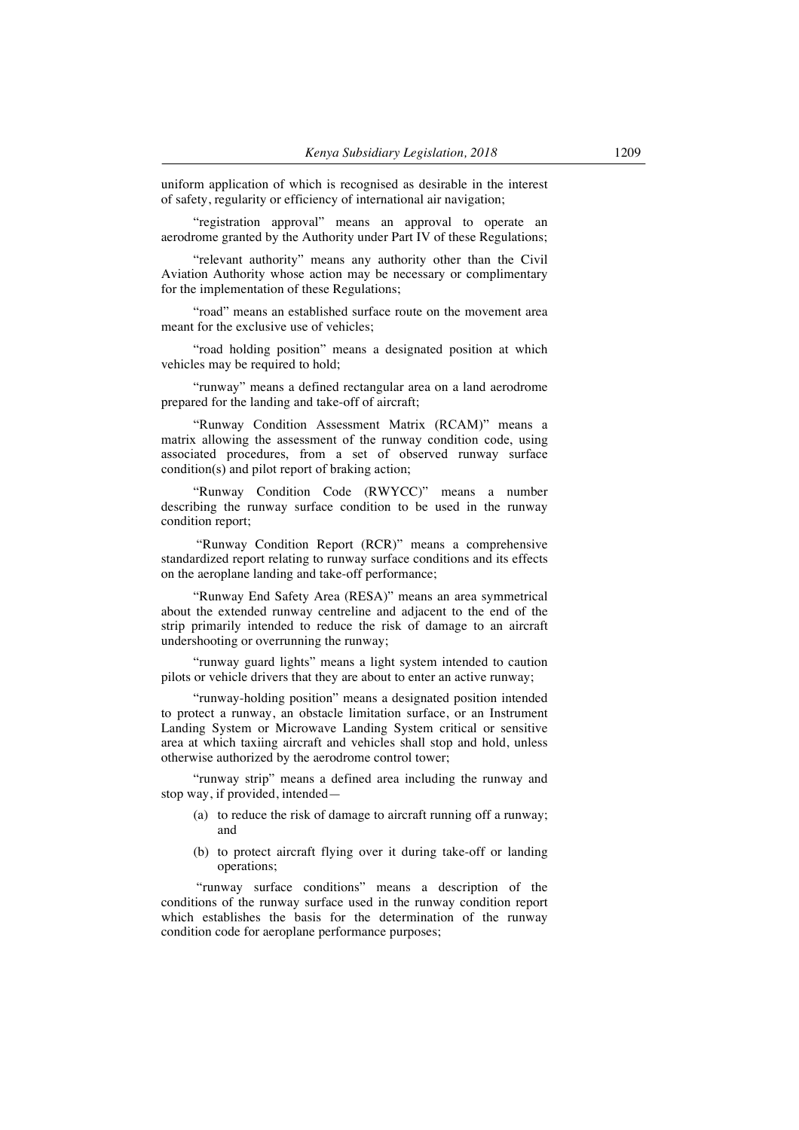uniform application of which is recognised as desirable in the interest of safety, regularity or efficiency of international air navigation;

"registration approval" means an approval to operate an aerodrome granted by the Authority under Part IV of these Regulations;

"relevant authority" means any authority other than the Civil Aviation Authority whose action may be necessary or complimentary for the implementation of these Regulations;

"road" means an established surface route on the movement area meant for the exclusive use of vehicles;

"road holding position" means a designated position at which vehicles may be required to hold;

"runway" means a defined rectangular area on a land aerodrome prepared for the landing and take-off of aircraft;

"Runway Condition Assessment Matrix (RCAM)" means a matrix allowing the assessment of the runway condition code, using associated procedures, from a set of observed runway surface condition(s) and pilot report of braking action;

"Runway Condition Code (RWYCC)" means a number describing the runway surface condition to be used in the runway condition report;

"Runway Condition Report (RCR)" means a comprehensive standardized report relating to runway surface conditions and its effects on the aeroplane landing and take-off performance;

"Runway End Safety Area (RESA)" means an area symmetrical about the extended runway centreline and adjacent to the end of the strip primarily intended to reduce the risk of damage to an aircraft undershooting or overrunning the runway;

"runway guard lights" means a light system intended to caution pilots or vehicle drivers that they are about to enter an active runway;

"runway-holding position" means a designated position intended to protect a runway, an obstacle limitation surface, or an Instrument Landing System or Microwave Landing System critical or sensitive area at which taxiing aircraft and vehicles shall stop and hold, unless otherwise authorized by the aerodrome control tower;

"runway strip" means a defined area including the runway and stop way, if provided, intended—

- (a) to reduce the risk of damage to aircraft running off a runway; and
- (b) to protect aircraft flying over it during take-off or landing operations;

"runway surface conditions" means a description of the conditions of the runway surface used in the runway condition report which establishes the basis for the determination of the runway condition code for aeroplane performance purposes;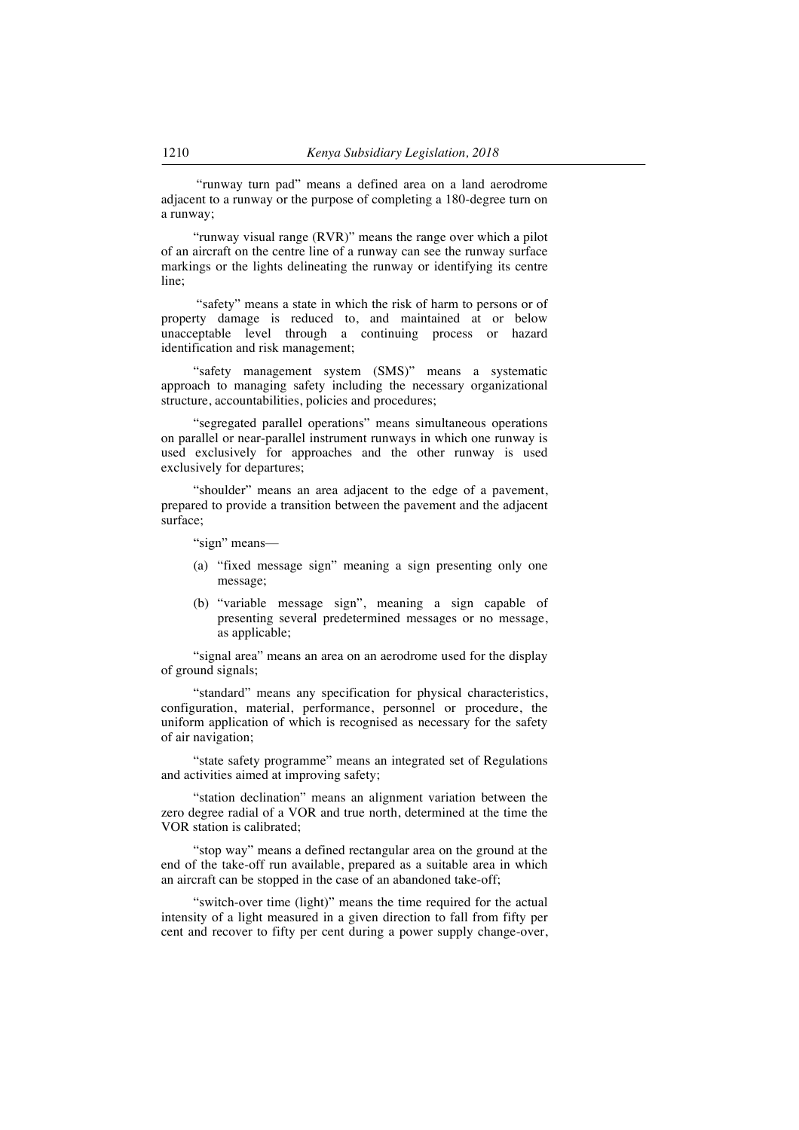"runway turn pad" means a defined area on a land aerodrome adjacent to a runway or the purpose of completing a 180-degree turn on a runway;

"runway visual range (RVR)" means the range over which a pilot of an aircraft on the centre line of a runway can see the runway surface markings or the lights delineating the runway or identifying its centre line;

"safety" means a state in which the risk of harm to persons or of property damage is reduced to, and maintained at or below unacceptable level through a continuing process or hazard identification and risk management;

"safety management system (SMS)" means a systematic approach to managing safety including the necessary organizational structure, accountabilities, policies and procedures;

"segregated parallel operations" means simultaneous operations on parallel or near-parallel instrument runways in which one runway is used exclusively for approaches and the other runway is used exclusively for departures;

"shoulder" means an area adjacent to the edge of a pavement, prepared to provide a transition between the pavement and the adjacent surface;

"sign" means—

- (a) "fixed message sign" meaning a sign presenting only one message;
- (b) "variable message sign", meaning a sign capable of presenting several predetermined messages or no message, as applicable;

"signal area" means an area on an aerodrome used for the display of ground signals;

"standard" means any specification for physical characteristics, configuration, material, performance, personnel or procedure, the uniform application of which is recognised as necessary for the safety of air navigation;

"state safety programme" means an integrated set of Regulations and activities aimed at improving safety;

"station declination" means an alignment variation between the zero degree radial of a VOR and true north, determined at the time the VOR station is calibrated;

"stop way" means a defined rectangular area on the ground at the end of the take-off run available, prepared as a suitable area in which an aircraft can be stopped in the case of an abandoned take-off;

"switch-over time (light)" means the time required for the actual intensity of a light measured in a given direction to fall from fifty per cent and recover to fifty per cent during a power supply change-over,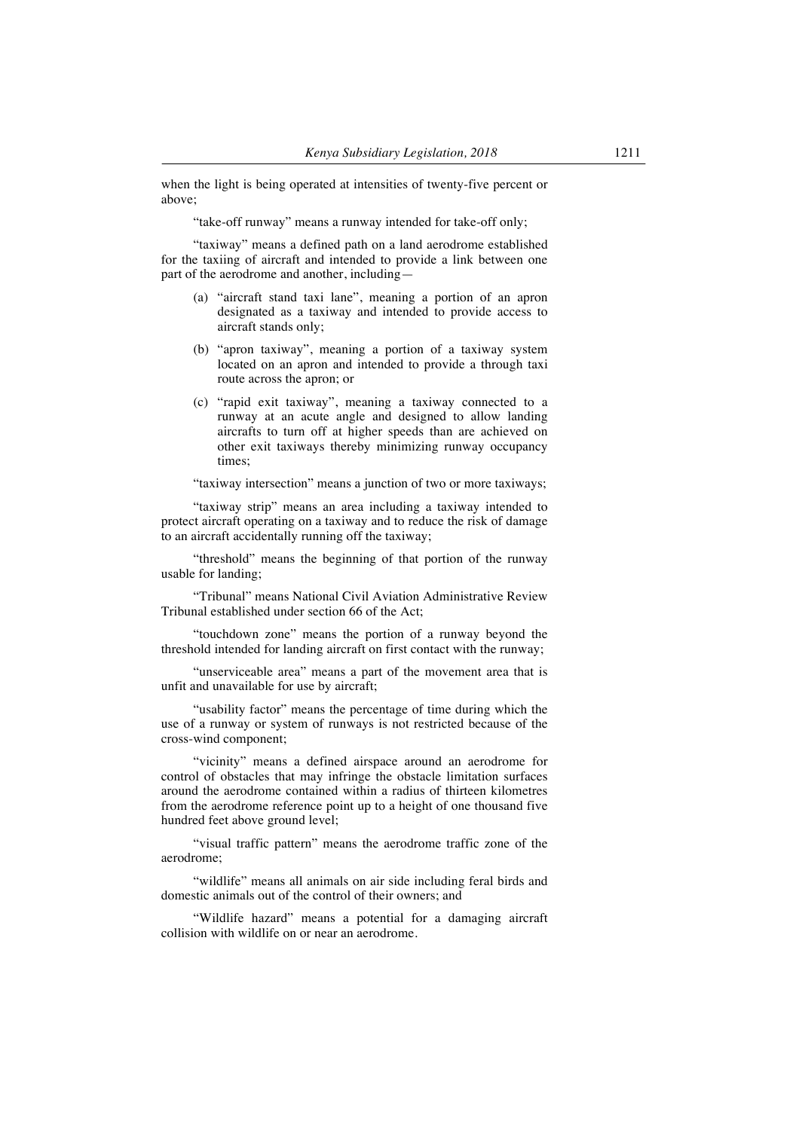when the light is being operated at intensities of twenty-five percent or above;

"take-off runway" means a runway intended for take-off only;

"taxiway" means a defined path on a land aerodrome established for the taxiing of aircraft and intended to provide a link between one part of the aerodrome and another, including—

- (a) "aircraft stand taxi lane", meaning a portion of an apron designated as a taxiway and intended to provide access to aircraft stands only;
- (b) "apron taxiway", meaning a portion of a taxiway system located on an apron and intended to provide a through taxi route across the apron; or
- (c) "rapid exit taxiway", meaning a taxiway connected to a runway at an acute angle and designed to allow landing aircrafts to turn off at higher speeds than are achieved on other exit taxiways thereby minimizing runway occupancy times;

"taxiway intersection" means a junction of two or more taxiways;

"taxiway strip" means an area including a taxiway intended to protect aircraft operating on a taxiway and to reduce the risk of damage to an aircraft accidentally running off the taxiway;

"threshold" means the beginning of that portion of the runway usable for landing;

"Tribunal" means National Civil Aviation Administrative Review Tribunal established under section 66 of the Act;

"touchdown zone" means the portion of a runway beyond the threshold intended for landing aircraft on first contact with the runway;

"unserviceable area" means a part of the movement area that is unfit and unavailable for use by aircraft;

"usability factor" means the percentage of time during which the use of a runway or system of runways is not restricted because of the cross-wind component;

"vicinity" means a defined airspace around an aerodrome for control of obstacles that may infringe the obstacle limitation surfaces around the aerodrome contained within a radius of thirteen kilometres from the aerodrome reference point up to a height of one thousand five hundred feet above ground level;

"visual traffic pattern" means the aerodrome traffic zone of the aerodrome;

"wildlife" means all animals on air side including feral birds and domestic animals out of the control of their owners; and

"Wildlife hazard" means a potential for a damaging aircraft collision with wildlife on or near an aerodrome.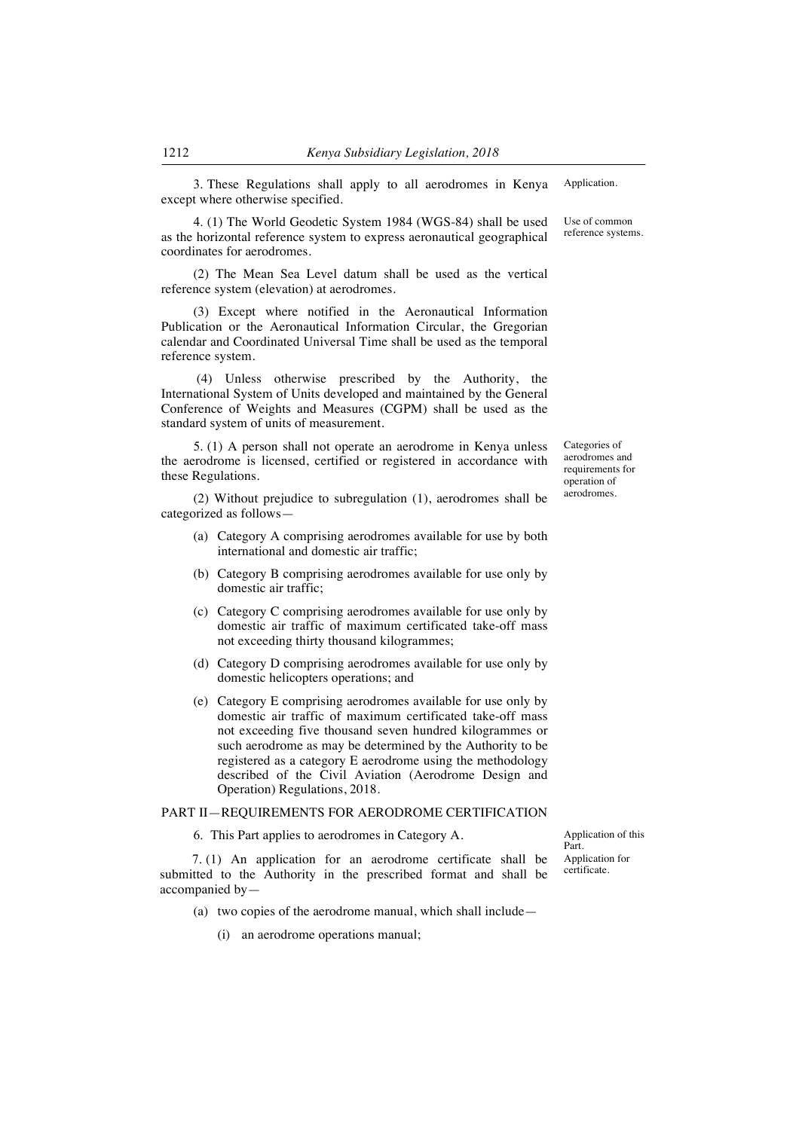3. These Regulations shall apply to all aerodromes in Kenya except where otherwise specified.

4. (1) The World Geodetic System 1984 (WGS-84) shall be used as the horizontal reference system to express aeronautical geographical coordinates for aerodromes.

(2) The Mean Sea Level datum shall be used as the vertical reference system (elevation) at aerodromes.

(3) Except where notified in the Aeronautical Information Publication or the Aeronautical Information Circular, the Gregorian calendar and Coordinated Universal Time shall be used as the temporal reference system.

(4) Unless otherwise prescribed by the Authority, the International System of Units developed and maintained by the General Conference of Weights and Measures (CGPM) shall be used as the standard system of units of measurement.

5. (1) A person shall not operate an aerodrome in Kenya unless the aerodrome is licensed, certified or registered in accordance with these Regulations.

(2) Without prejudice to subregulation (1), aerodromes shall be categorized as follows—

- (a) Category A comprising aerodromes available for use by both international and domestic air traffic;
- (b) Category B comprising aerodromes available for use only by domestic air traffic;
- (c) Category C comprising aerodromes available for use only by domestic air traffic of maximum certificated take-off mass not exceeding thirty thousand kilogrammes;
- (d) Category D comprising aerodromes available for use only by domestic helicopters operations; and
- (e) Category E comprising aerodromes available for use only by domestic air traffic of maximum certificated take-off mass not exceeding five thousand seven hundred kilogrammes or such aerodrome as may be determined by the Authority to be registered as a category E aerodrome using the methodology described of the Civil Aviation (Aerodrome Design and Operation) Regulations, 2018.

#### PART II—REQUIREMENTS FOR AERODROME CERTIFICATION

6. This Part applies to aerodromes in Category A.

Application of this<br>Part. Application for certificate.

7. (1) An application for an aerodrome certificate shall be submitted to the Authority in the prescribed format and shall be accompanied by—

- (a) two copies of the aerodrome manual, which shall include—
	- (i) an aerodrome operations manual;

Application.

Use of common reference systems.

Categories of aerodromes and requirements for operation of aerodromes.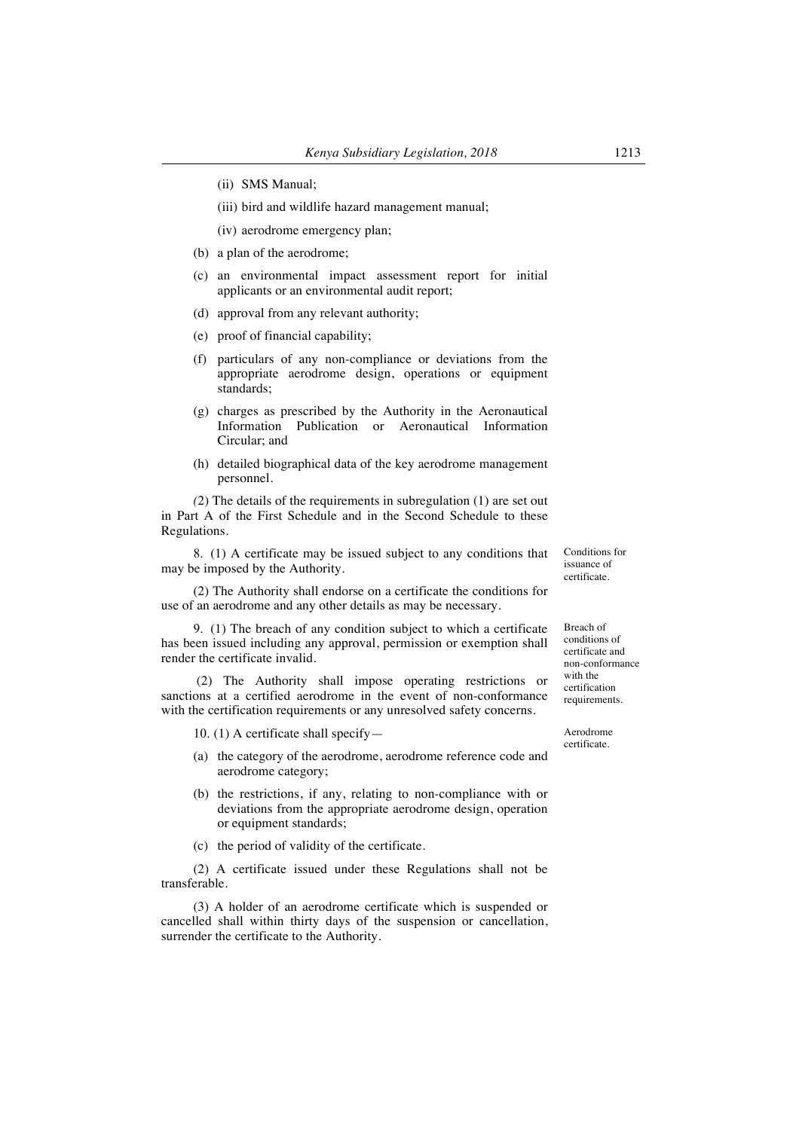- (ii) SMS Manual;
- (iii) bird and wildlife hazard management manual;
- (iv) aerodrome emergency plan;
- (b) a plan of the aerodrome;
- (c) an environmental impact assessment report for initial applicants or an environmental audit report;
- (d) approval from any relevant authority;
- (e) proof of financial capability;
- (f) particulars of any non-compliance or deviations from the appropriate aerodrome design, operations or equipment standards;
- (g) charges as prescribed by the Authority in the Aeronautical Information Publication or Aeronautical Information Circular; and
- (h) detailed biographical data of the key aerodrome management personnel.

*(*2) The details of the requirements in subregulation (1) are set out in Part A of the First Schedule and in the Second Schedule to these Regulations.

8. (1) A certificate may be issued subject to any conditions that may be imposed by the Authority.

(2) The Authority shall endorse on a certificate the conditions for use of an aerodrome and any other details as may be necessary.

9. (1) The breach of any condition subject to which a certificate has been issued including any approval, permission or exemption shall render the certificate invalid.

(2) The Authority shall impose operating restrictions or sanctions at a certified aerodrome in the event of non-conformance with the certification requirements or any unresolved safety concerns.

10. (1) A certificate shall specify—

- (a) the category of the aerodrome, aerodrome reference code and aerodrome category;
- (b) the restrictions, if any, relating to non-compliance with or deviations from the appropriate aerodrome design, operation or equipment standards;
- (c) the period of validity of the certificate.

(2) A certificate issued under these Regulations shall not be transferable.

(3) A holder of an aerodrome certificate which is suspended or cancelled shall within thirty days of the suspension or cancellation, surrender the certificate to the Authority.

Conditions for issuance of certificate.

Breach of conditions of certificate and non-conformance with the certification requirements.

Aerodrome certificate.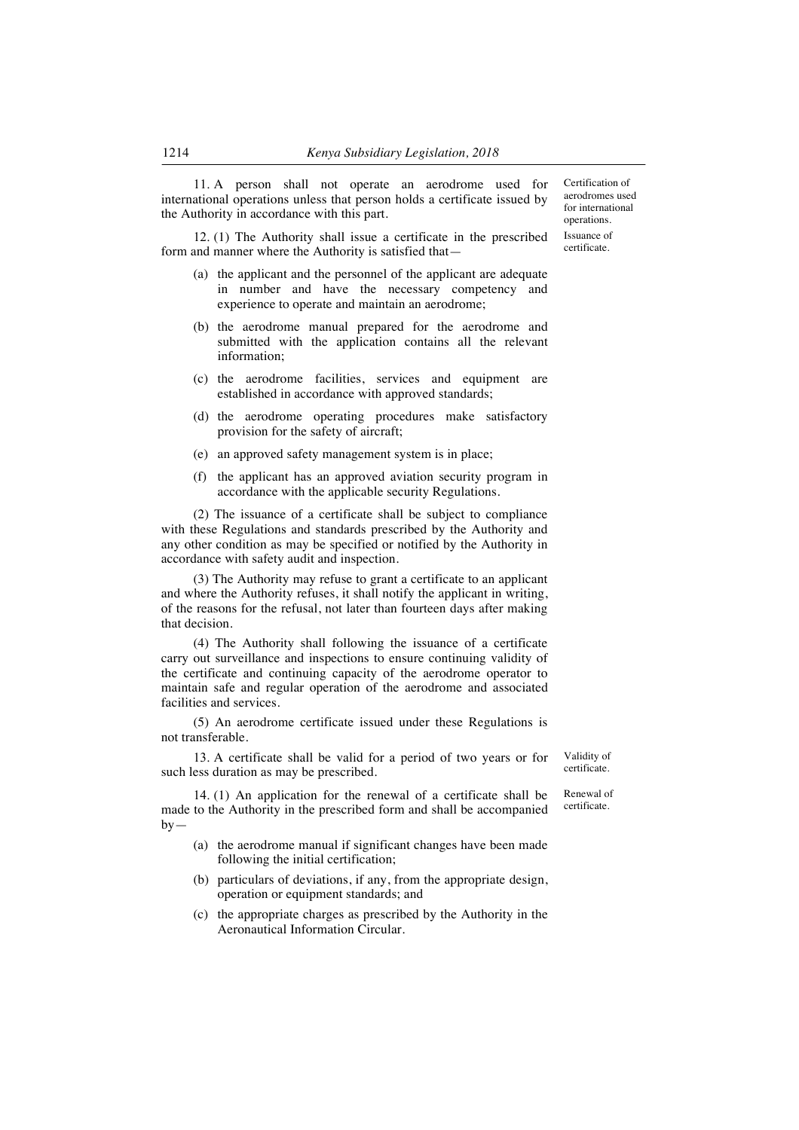11. A person shall not operate an aerodrome used for international operations unless that person holds a certificate issued by the Authority in accordance with this part.

12. (1) The Authority shall issue a certificate in the prescribed form and manner where the Authority is satisfied that—

- (a) the applicant and the personnel of the applicant are adequate in number and have the necessary competency and experience to operate and maintain an aerodrome;
- (b) the aerodrome manual prepared for the aerodrome and submitted with the application contains all the relevant information;
- (c) the aerodrome facilities, services and equipment are established in accordance with approved standards;
- (d) the aerodrome operating procedures make satisfactory provision for the safety of aircraft;
- (e) an approved safety management system is in place;
- (f) the applicant has an approved aviation security program in accordance with the applicable security Regulations.

(2) The issuance of a certificate shall be subject to compliance with these Regulations and standards prescribed by the Authority and any other condition as may be specified or notified by the Authority in accordance with safety audit and inspection.

(3) The Authority may refuse to grant a certificate to an applicant and where the Authority refuses, it shall notify the applicant in writing, of the reasons for the refusal, not later than fourteen days after making that decision.

(4) The Authority shall following the issuance of a certificate carry out surveillance and inspections to ensure continuing validity of the certificate and continuing capacity of the aerodrome operator to maintain safe and regular operation of the aerodrome and associated facilities and services.

(5) An aerodrome certificate issued under these Regulations is not transferable.

13. A certificate shall be valid for a period of two years or for such less duration as may be prescribed.

Validity of certificate.

14. (1) An application for the renewal of a certificate shall be made to the Authority in the prescribed form and shall be accompanied  $by-$ Renewal of certificate.

- (a) the aerodrome manual if significant changes have been made following the initial certification;
- (b) particulars of deviations, if any, from the appropriate design, operation or equipment standards; and
- (c) the appropriate charges as prescribed by the Authority in the Aeronautical Information Circular.

Certification of aerodromes used for international operations. Issuance of certificate.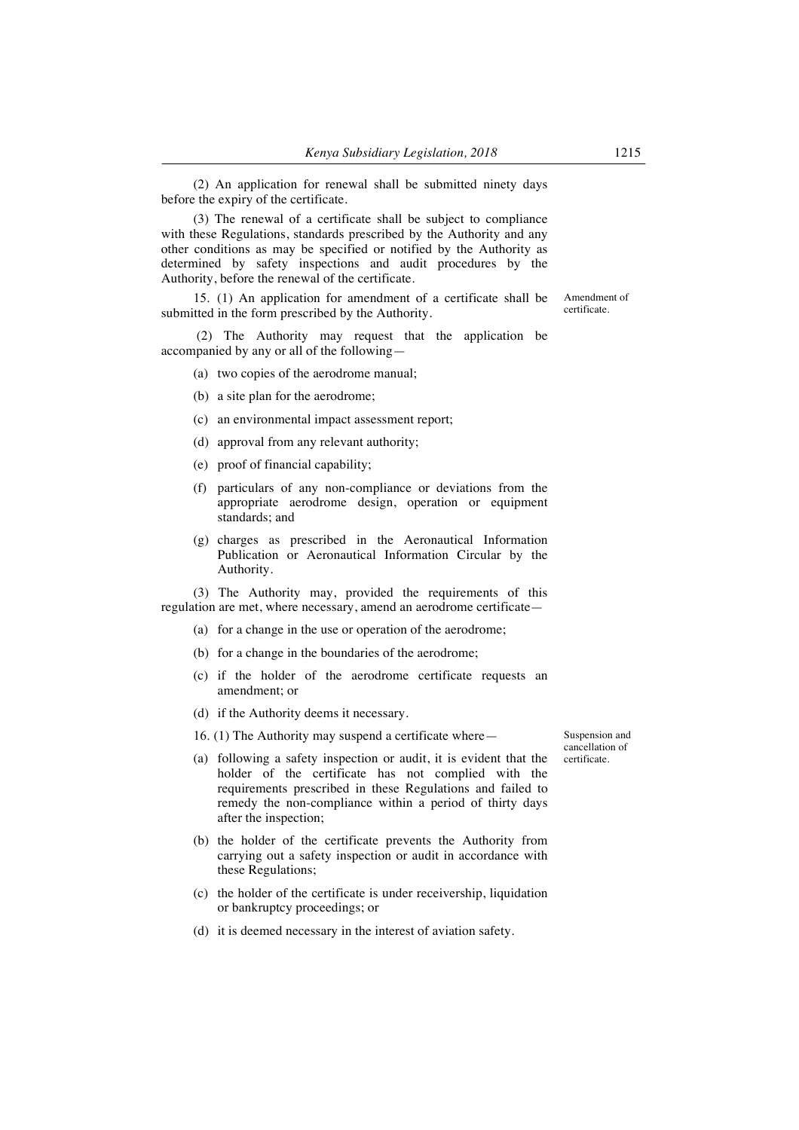(2) An application for renewal shall be submitted ninety days before the expiry of the certificate.

(3) The renewal of a certificate shall be subject to compliance with these Regulations, standards prescribed by the Authority and any other conditions as may be specified or notified by the Authority as determined by safety inspections and audit procedures by the Authority, before the renewal of the certificate.

15. (1) An application for amendment of a certificate shall be submitted in the form prescribed by the Authority.

(2) The Authority may request that the application be accompanied by any or all of the following—

- (a) two copies of the aerodrome manual;
- (b) a site plan for the aerodrome;
- (c) an environmental impact assessment report;
- (d) approval from any relevant authority;
- (e) proof of financial capability;
- (f) particulars of any non-compliance or deviations from the appropriate aerodrome design, operation or equipment standards; and
- (g) charges as prescribed in the Aeronautical Information Publication or Aeronautical Information Circular by the Authority.

(3) The Authority may, provided the requirements of this regulation are met, where necessary, amend an aerodrome certificate—

- (a) for a change in the use or operation of the aerodrome;
- (b) for a change in the boundaries of the aerodrome;
- (c) if the holder of the aerodrome certificate requests an amendment; or
- (d) if the Authority deems it necessary.
- 16. (1) The Authority may suspend a certificate where—
- (a) following a safety inspection or audit, it is evident that the holder of the certificate has not complied with the requirements prescribed in these Regulations and failed to remedy the non-compliance within a period of thirty days after the inspection;
- (b) the holder of the certificate prevents the Authority from carrying out a safety inspection or audit in accordance with these Regulations;
- (c) the holder of the certificate is under receivership, liquidation or bankruptcy proceedings; or
- (d) it is deemed necessary in the interest of aviation safety.

Suspension and cancellation of certificate.

Amendment of certificate.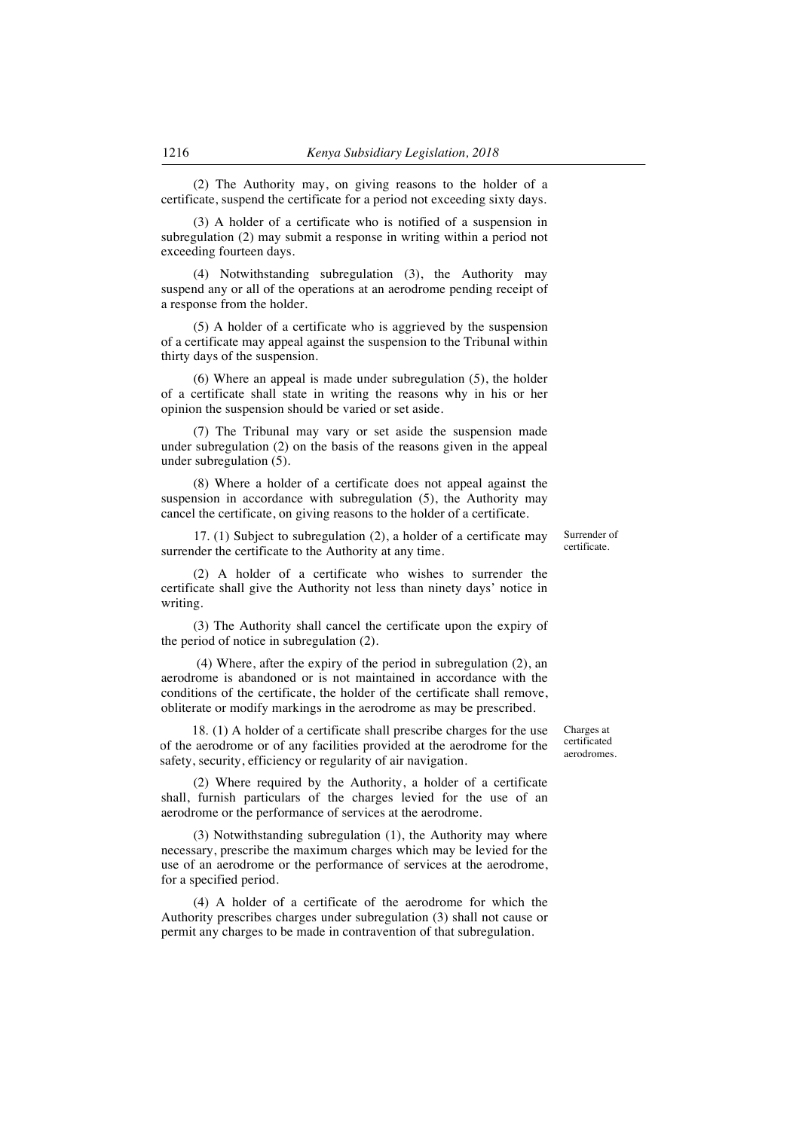(2) The Authority may, on giving reasons to the holder of a certificate, suspend the certificate for a period not exceeding sixty days.

(3) A holder of a certificate who is notified of a suspension in subregulation (2) may submit a response in writing within a period not exceeding fourteen days.

(4) Notwithstanding subregulation (3), the Authority may suspend any or all of the operations at an aerodrome pending receipt of a response from the holder.

(5) A holder of a certificate who is aggrieved by the suspension of a certificate may appeal against the suspension to the Tribunal within thirty days of the suspension.

(6) Where an appeal is made under subregulation (5), the holder of a certificate shall state in writing the reasons why in his or her opinion the suspension should be varied or set aside.

(7) The Tribunal may vary or set aside the suspension made under subregulation (2) on the basis of the reasons given in the appeal under subregulation (5).

(8) Where a holder of a certificate does not appeal against the suspension in accordance with subregulation (5), the Authority may cancel the certificate, on giving reasons to the holder of a certificate.

17. (1) Subject to subregulation (2), a holder of a certificate may surrender the certificate to the Authority at any time.

(2) A holder of a certificate who wishes to surrender the certificate shall give the Authority not less than ninety days' notice in writing.

(3) The Authority shall cancel the certificate upon the expiry of the period of notice in subregulation (2).

(4) Where, after the expiry of the period in subregulation (2), an aerodrome is abandoned or is not maintained in accordance with the conditions of the certificate, the holder of the certificate shall remove, obliterate or modify markings in the aerodrome as may be prescribed.

18. (1) A holder of a certificate shall prescribe charges for the use of the aerodrome or of any facilities provided at the aerodrome for the safety, security, efficiency or regularity of air navigation.

(2) Where required by the Authority, a holder of a certificate shall, furnish particulars of the charges levied for the use of an aerodrome or the performance of services at the aerodrome.

(3) Notwithstanding subregulation (1), the Authority may where necessary, prescribe the maximum charges which may be levied for the use of an aerodrome or the performance of services at the aerodrome, for a specified period.

(4) A holder of a certificate of the aerodrome for which the Authority prescribes charges under subregulation (3) shall not cause or permit any charges to be made in contravention of that subregulation.

Charges at certificated aerodromes.

Surrender of certificate.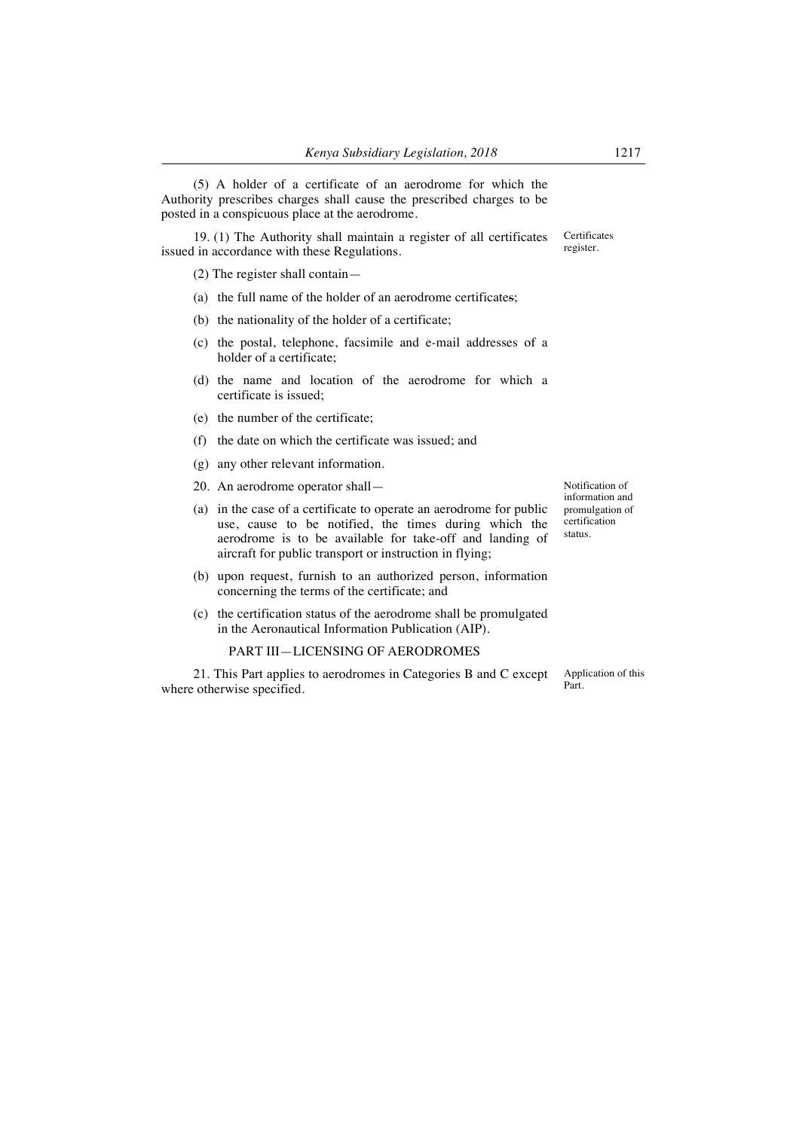(5) A holder of a certificate of an aerodrome for which the Authority prescribes charges shall cause the prescribed charges to be posted in a conspicuous place at the aerodrome.

19. (1) The Authority shall maintain a register of all certificates issued in accordance with these Regulations. **Certificates** register.

(2) The register shall contain—

- (a) the full name of the holder of an aerodrome certificates;
- (b) the nationality of the holder of a certificate;
- (c) the postal, telephone, facsimile and e-mail addresses of a holder of a certificate;
- (d) the name and location of the aerodrome for which a certificate is issued;
- (e) the number of the certificate;
- (f) the date on which the certificate was issued; and
- (g) any other relevant information.
- 20. An aerodrome operator shall—
- (a) in the case of a certificate to operate an aerodrome for public use, cause to be notified, the times during which the aerodrome is to be available for take-off and landing of aircraft for public transport or instruction in flying;
- (b) upon request, furnish to an authorized person, information concerning the terms of the certificate; and
- (c) the certification status of the aerodrome shall be promulgated in the Aeronautical Information Publication (AIP).

# PART III—LICENSING OF AERODROMES

21. This Part applies to aerodromes in Categories B and C except where otherwise specified.

Notification of information and promulgation of certification status.

Application of this Part.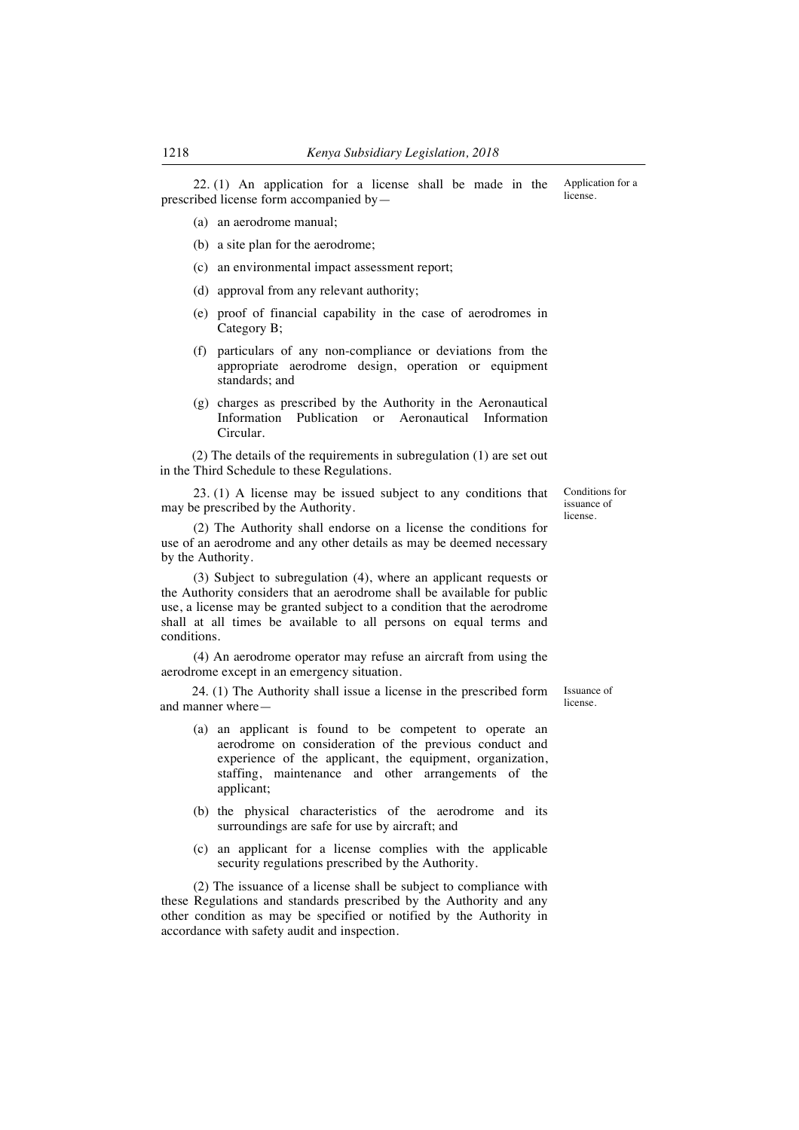22. (1) An application for a license shall be made in the prescribed license form accompanied by—

- (a) an aerodrome manual;
- (b) a site plan for the aerodrome;
- (c) an environmental impact assessment report;
- (d) approval from any relevant authority;
- (e) proof of financial capability in the case of aerodromes in Category B;
- (f) particulars of any non-compliance or deviations from the appropriate aerodrome design, operation or equipment standards; and
- (g) charges as prescribed by the Authority in the Aeronautical Information Publication or Aeronautical Information Circular.

(2) The details of the requirements in subregulation (1) are set out in the Third Schedule to these Regulations.

23. (1) A license may be issued subject to any conditions that may be prescribed by the Authority.

(2) The Authority shall endorse on a license the conditions for use of an aerodrome and any other details as may be deemed necessary by the Authority.

(3) Subject to subregulation (4), where an applicant requests or the Authority considers that an aerodrome shall be available for public use, a license may be granted subject to a condition that the aerodrome shall at all times be available to all persons on equal terms and conditions.

(4) An aerodrome operator may refuse an aircraft from using the aerodrome except in an emergency situation.

24. (1) The Authority shall issue a license in the prescribed form and manner where—

- (a) an applicant is found to be competent to operate an aerodrome on consideration of the previous conduct and experience of the applicant, the equipment, organization, staffing, maintenance and other arrangements of the applicant;
- (b) the physical characteristics of the aerodrome and its surroundings are safe for use by aircraft; and
- (c) an applicant for a license complies with the applicable security regulations prescribed by the Authority.

(2) The issuance of a license shall be subject to compliance with these Regulations and standards prescribed by the Authority and any other condition as may be specified or notified by the Authority in accordance with safety audit and inspection.

Conditions for issuance of license.

Issuance of license.

Application for a license.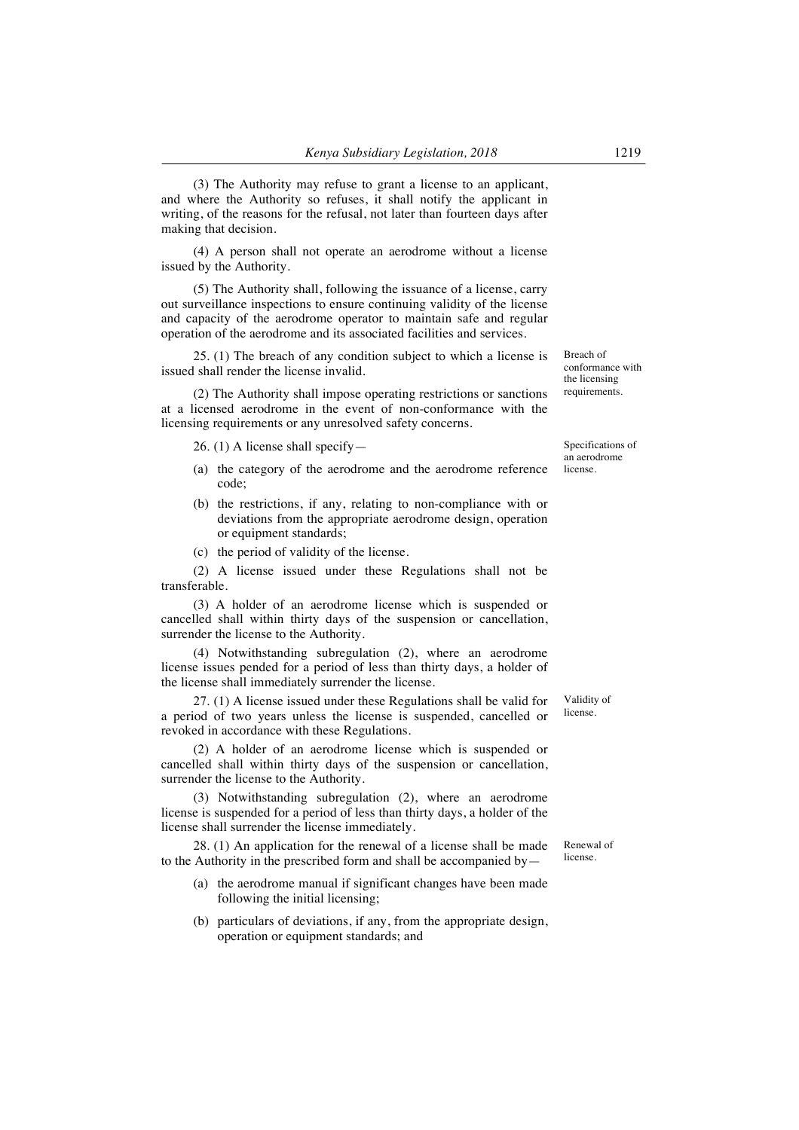(3) The Authority may refuse to grant a license to an applicant, and where the Authority so refuses, it shall notify the applicant in writing, of the reasons for the refusal, not later than fourteen days after making that decision.

(4) A person shall not operate an aerodrome without a license issued by the Authority.

(5) The Authority shall, following the issuance of a license, carry out surveillance inspections to ensure continuing validity of the license and capacity of the aerodrome operator to maintain safe and regular operation of the aerodrome and its associated facilities and services.

25. (1) The breach of any condition subject to which a license is issued shall render the license invalid.

(2) The Authority shall impose operating restrictions or sanctions at a licensed aerodrome in the event of non-conformance with the licensing requirements or any unresolved safety concerns.

- 26. (1) A license shall specify—
- (a) the category of the aerodrome and the aerodrome reference code;
- (b) the restrictions, if any, relating to non-compliance with or deviations from the appropriate aerodrome design, operation or equipment standards;
- (c) the period of validity of the license.

(2) A license issued under these Regulations shall not be transferable.

(3) A holder of an aerodrome license which is suspended or cancelled shall within thirty days of the suspension or cancellation, surrender the license to the Authority.

(4) Notwithstanding subregulation (2), where an aerodrome license issues pended for a period of less than thirty days, a holder of the license shall immediately surrender the license.

27. (1) A license issued under these Regulations shall be valid for a period of two years unless the license is suspended, cancelled or revoked in accordance with these Regulations.

(2) A holder of an aerodrome license which is suspended or cancelled shall within thirty days of the suspension or cancellation, surrender the license to the Authority.

(3) Notwithstanding subregulation (2), where an aerodrome license is suspended for a period of less than thirty days, a holder of the license shall surrender the license immediately.

28. (1) An application for the renewal of a license shall be made to the Authority in the prescribed form and shall be accompanied by—

- (a) the aerodrome manual if significant changes have been made following the initial licensing;
- (b) particulars of deviations, if any, from the appropriate design, operation or equipment standards; and

Breach of conformance with the licensing requirements.

Specifications of an aerodrome license.

Validity of license.

Renewal of license.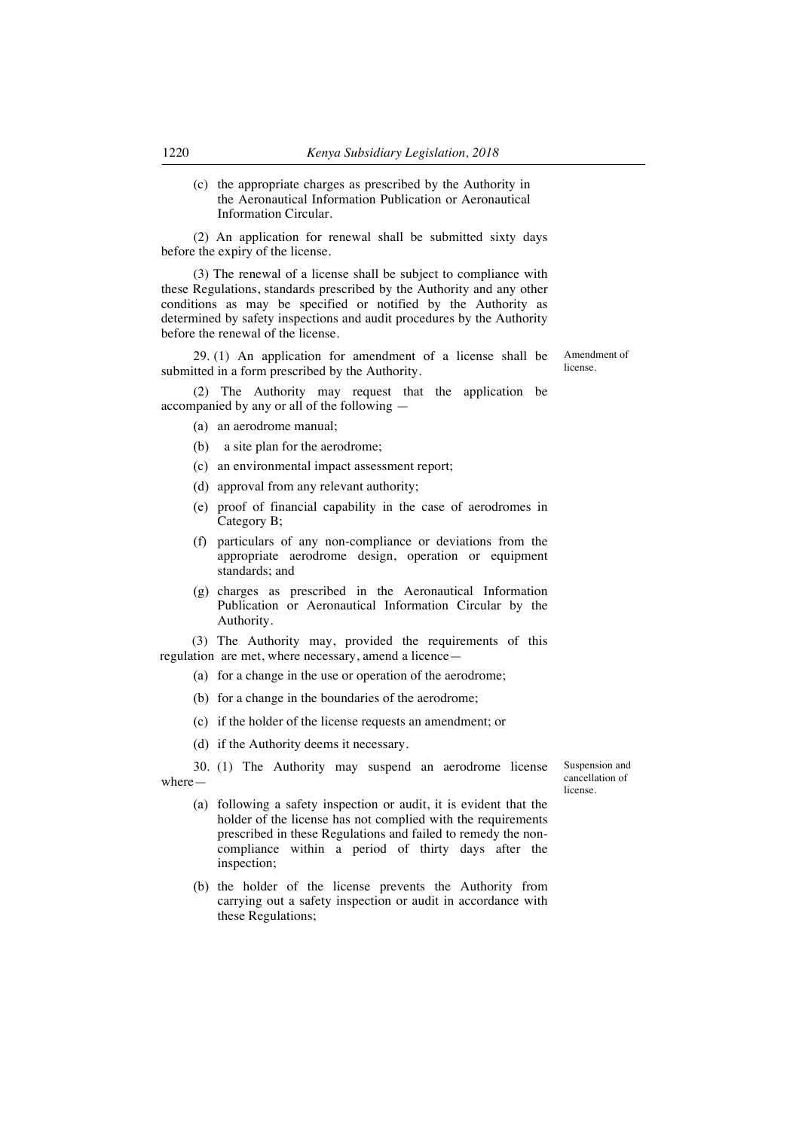(c) the appropriate charges as prescribed by the Authority in the Aeronautical Information Publication or Aeronautical Information Circular.

(2) An application for renewal shall be submitted sixty days before the expiry of the license.

(3) The renewal of a license shall be subject to compliance with these Regulations, standards prescribed by the Authority and any other conditions as may be specified or notified by the Authority as determined by safety inspections and audit procedures by the Authority before the renewal of the license.

29. (1) An application for amendment of a license shall be submitted in a form prescribed by the Authority.

Amendment of license.

(2) The Authority may request that the application be accompanied by any or all of the following —

- (a) an aerodrome manual;
- (b) a site plan for the aerodrome;
- (c) an environmental impact assessment report;
- (d) approval from any relevant authority;
- (e) proof of financial capability in the case of aerodromes in Category B;
- (f) particulars of any non-compliance or deviations from the appropriate aerodrome design, operation or equipment standards; and
- (g) charges as prescribed in the Aeronautical Information Publication or Aeronautical Information Circular by the Authority.

(3) The Authority may, provided the requirements of this regulation are met, where necessary, amend a licence—

- (a) for a change in the use or operation of the aerodrome;
- (b) for a change in the boundaries of the aerodrome;
- (c) if the holder of the license requests an amendment; or
- (d) if the Authority deems it necessary.

30. (1) The Authority may suspend an aerodrome license where—

Suspension and cancellation of license.

- (a) following a safety inspection or audit, it is evident that the holder of the license has not complied with the requirements prescribed in these Regulations and failed to remedy the noncompliance within a period of thirty days after the inspection;
- (b) the holder of the license prevents the Authority from carrying out a safety inspection or audit in accordance with these Regulations;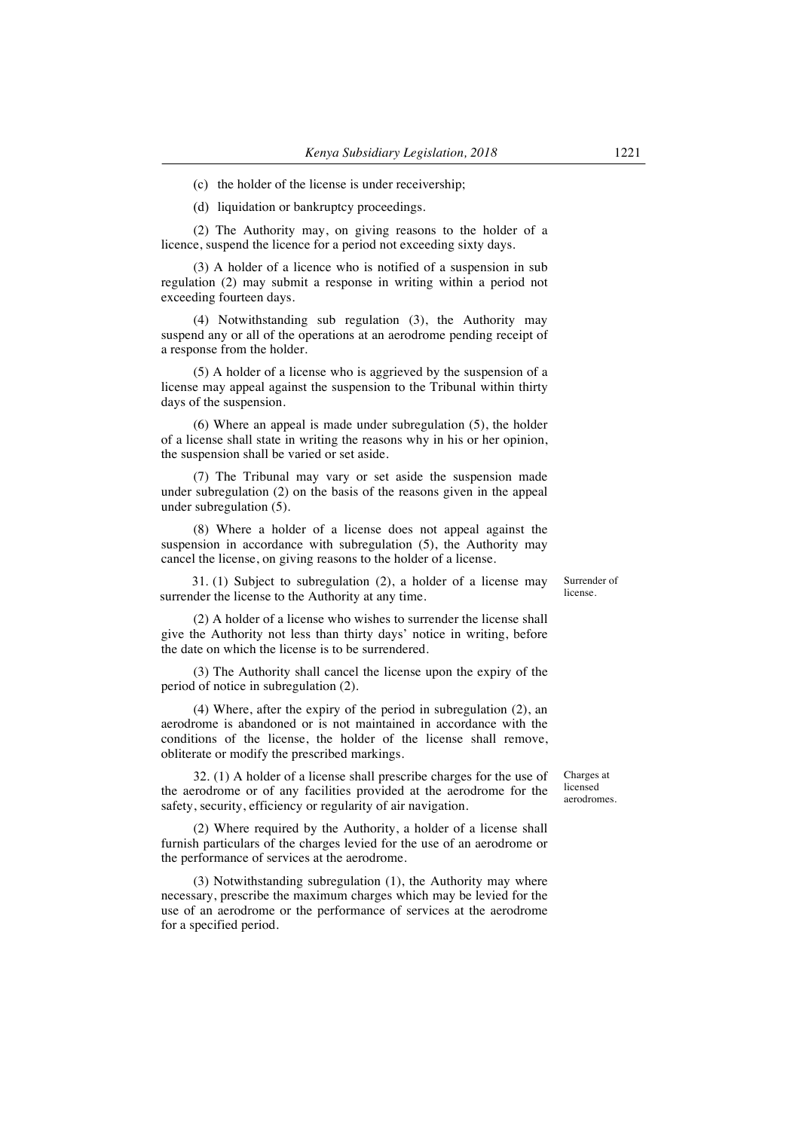(c) the holder of the license is under receivership;

(d) liquidation or bankruptcy proceedings.

(2) The Authority may, on giving reasons to the holder of a licence, suspend the licence for a period not exceeding sixty days.

(3) A holder of a licence who is notified of a suspension in sub regulation (2) may submit a response in writing within a period not exceeding fourteen days.

(4) Notwithstanding sub regulation (3), the Authority may suspend any or all of the operations at an aerodrome pending receipt of a response from the holder.

(5) A holder of a license who is aggrieved by the suspension of a license may appeal against the suspension to the Tribunal within thirty days of the suspension.

(6) Where an appeal is made under subregulation (5), the holder of a license shall state in writing the reasons why in his or her opinion, the suspension shall be varied or set aside.

(7) The Tribunal may vary or set aside the suspension made under subregulation (2) on the basis of the reasons given in the appeal under subregulation (5).

(8) Where a holder of a license does not appeal against the suspension in accordance with subregulation (5), the Authority may cancel the license, on giving reasons to the holder of a license.

31. (1) Subject to subregulation (2), a holder of a license may surrender the license to the Authority at any time.

(2) A holder of a license who wishes to surrender the license shall give the Authority not less than thirty days' notice in writing, before the date on which the license is to be surrendered.

(3) The Authority shall cancel the license upon the expiry of the period of notice in subregulation (2).

(4) Where, after the expiry of the period in subregulation (2), an aerodrome is abandoned or is not maintained in accordance with the conditions of the license, the holder of the license shall remove, obliterate or modify the prescribed markings.

32. (1) A holder of a license shall prescribe charges for the use of the aerodrome or of any facilities provided at the aerodrome for the safety, security, efficiency or regularity of air navigation.

(2) Where required by the Authority, a holder of a license shall furnish particulars of the charges levied for the use of an aerodrome or the performance of services at the aerodrome.

(3) Notwithstanding subregulation (1), the Authority may where necessary, prescribe the maximum charges which may be levied for the use of an aerodrome or the performance of services at the aerodrome for a specified period.

Charges at licensed aerodromes.

Surrender of license.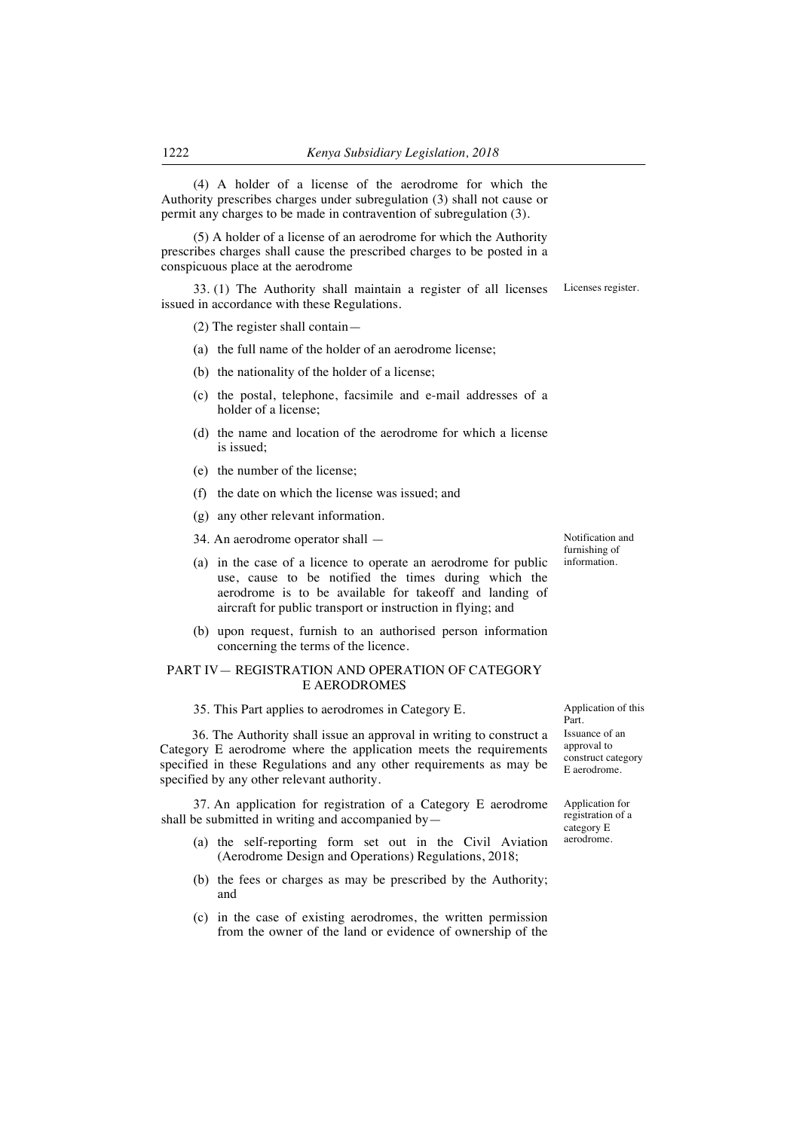(4) A holder of a license of the aerodrome for which the Authority prescribes charges under subregulation (3) shall not cause or permit any charges to be made in contravention of subregulation (3).

(5) A holder of a license of an aerodrome for which the Authority prescribes charges shall cause the prescribed charges to be posted in a conspicuous place at the aerodrome

33. (1) The Authority shall maintain a register of all licenses issued in accordance with these Regulations.

(2) The register shall contain—

- (a) the full name of the holder of an aerodrome license;
- (b) the nationality of the holder of a license;
- (c) the postal, telephone, facsimile and e-mail addresses of a holder of a license;
- (d) the name and location of the aerodrome for which a license is issued;
- (e) the number of the license;
- (f) the date on which the license was issued; and
- (g) any other relevant information.
- 34. An aerodrome operator shall —
- (a) in the case of a licence to operate an aerodrome for public use, cause to be notified the times during which the aerodrome is to be available for takeoff and landing of aircraft for public transport or instruction in flying; and
- (b) upon request, furnish to an authorised person information concerning the terms of the licence.

## PART IV— REGISTRATION AND OPERATION OF CATEGORY E AERODROMES

35. This Part applies to aerodromes in Category E. Application of this

36. The Authority shall issue an approval in writing to construct a Category E aerodrome where the application meets the requirements specified in these Regulations and any other requirements as may be specified by any other relevant authority.

37. An application for registration of a Category E aerodrome shall be submitted in writing and accompanied by—

- (a) the self-reporting form set out in the Civil Aviation (Aerodrome Design and Operations) Regulations, 2018;
- (b) the fees or charges as may be prescribed by the Authority; and
- (c) in the case of existing aerodromes, the written permission from the owner of the land or evidence of ownership of the

Part. Issuance of an approval to construct category E aerodrome.

Application for registration of a category E aerodrome.

Notification and furnishing of information.

Licenses register.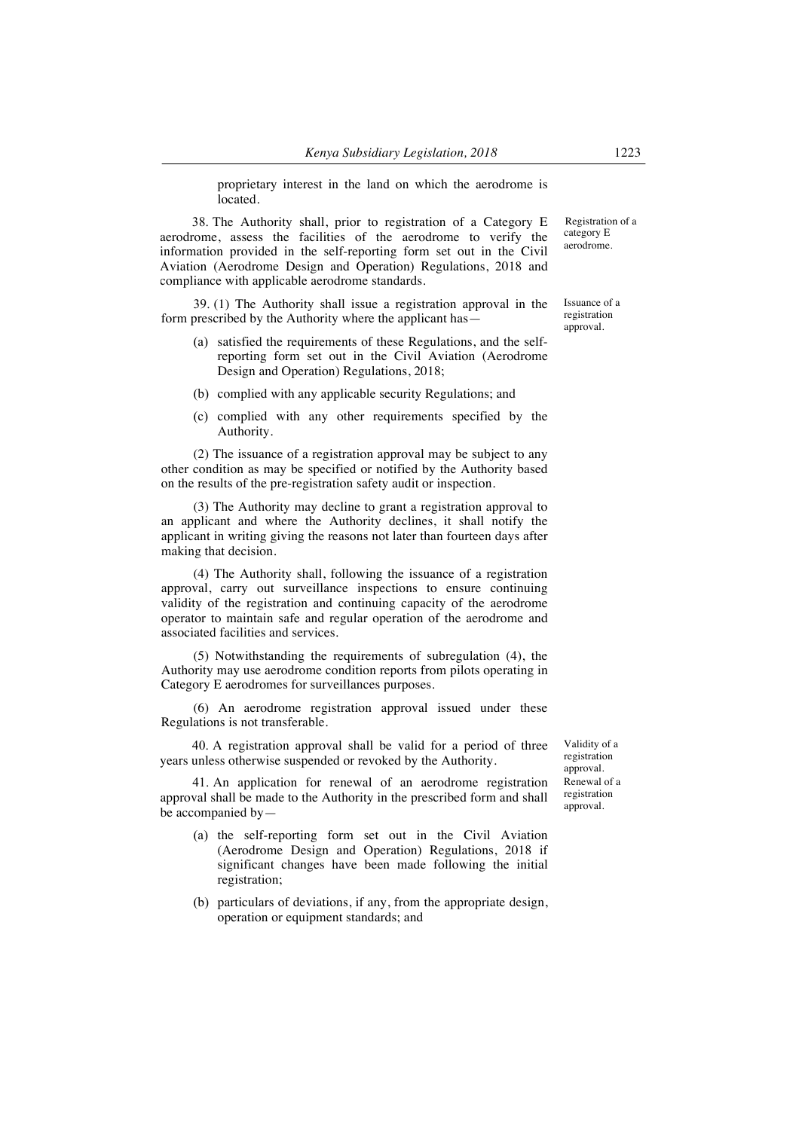proprietary interest in the land on which the aerodrome is located.

38. The Authority shall, prior to registration of a Category E aerodrome, assess the facilities of the aerodrome to verify the information provided in the self-reporting form set out in the Civil Aviation (Aerodrome Design and Operation) Regulations, 2018 and compliance with applicable aerodrome standards.

39. (1) The Authority shall issue a registration approval in the form prescribed by the Authority where the applicant has—

- (a) satisfied the requirements of these Regulations, and the selfreporting form set out in the Civil Aviation (Aerodrome Design and Operation) Regulations, 2018;
- (b) complied with any applicable security Regulations; and
- (c) complied with any other requirements specified by the Authority.

(2) The issuance of a registration approval may be subject to any other condition as may be specified or notified by the Authority based on the results of the pre-registration safety audit or inspection.

(3) The Authority may decline to grant a registration approval to an applicant and where the Authority declines, it shall notify the applicant in writing giving the reasons not later than fourteen days after making that decision.

(4) The Authority shall, following the issuance of a registration approval, carry out surveillance inspections to ensure continuing validity of the registration and continuing capacity of the aerodrome operator to maintain safe and regular operation of the aerodrome and associated facilities and services.

(5) Notwithstanding the requirements of subregulation (4), the Authority may use aerodrome condition reports from pilots operating in Category E aerodromes for surveillances purposes.

(6) An aerodrome registration approval issued under these Regulations is not transferable.

40. A registration approval shall be valid for a period of three years unless otherwise suspended or revoked by the Authority.

41. An application for renewal of an aerodrome registration approval shall be made to the Authority in the prescribed form and shall be accompanied by—

- (a) the self-reporting form set out in the Civil Aviation (Aerodrome Design and Operation) Regulations, 2018 if significant changes have been made following the initial registration;
- (b) particulars of deviations, if any, from the appropriate design, operation or equipment standards; and

Validity of a registration approval. Renewal of a registration approval.

Registration of a category E aerodrome.

Issuance of a registration approval.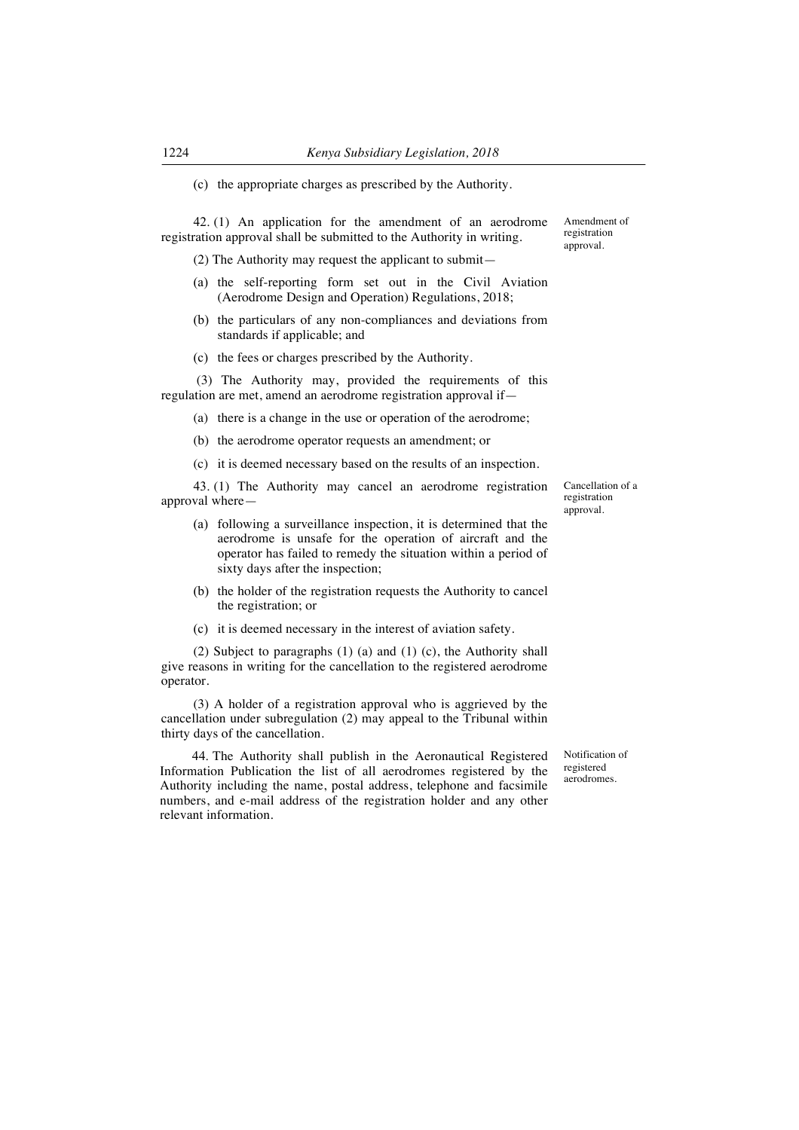(c) the appropriate charges as prescribed by the Authority.

42. (1) An application for the amendment of an aerodrome registration approval shall be submitted to the Authority in writing.

(2) The Authority may request the applicant to submit—

- (a) the self-reporting form set out in the Civil Aviation (Aerodrome Design and Operation) Regulations, 2018;
- (b) the particulars of any non-compliances and deviations from standards if applicable; and
- (c) the fees or charges prescribed by the Authority.

(3) The Authority may, provided the requirements of this regulation are met, amend an aerodrome registration approval if—

- (a) there is a change in the use or operation of the aerodrome;
- (b) the aerodrome operator requests an amendment; or
- (c) it is deemed necessary based on the results of an inspection.

43. (1) The Authority may cancel an aerodrome registration approval where—

- (a) following a surveillance inspection, it is determined that the aerodrome is unsafe for the operation of aircraft and the operator has failed to remedy the situation within a period of sixty days after the inspection;
- (b) the holder of the registration requests the Authority to cancel the registration; or
- (c) it is deemed necessary in the interest of aviation safety.

(2) Subject to paragraphs (1) (a) and (1) (c), the Authority shall give reasons in writing for the cancellation to the registered aerodrome operator.

(3) A holder of a registration approval who is aggrieved by the cancellation under subregulation (2) may appeal to the Tribunal within thirty days of the cancellation.

44. The Authority shall publish in the Aeronautical Registered Information Publication the list of all aerodromes registered by the Authority including the name, postal address, telephone and facsimile numbers, and e-mail address of the registration holder and any other relevant information.

Cancellation of a registration approval.

Amendment of registration approval.

Notification of registered aerodromes.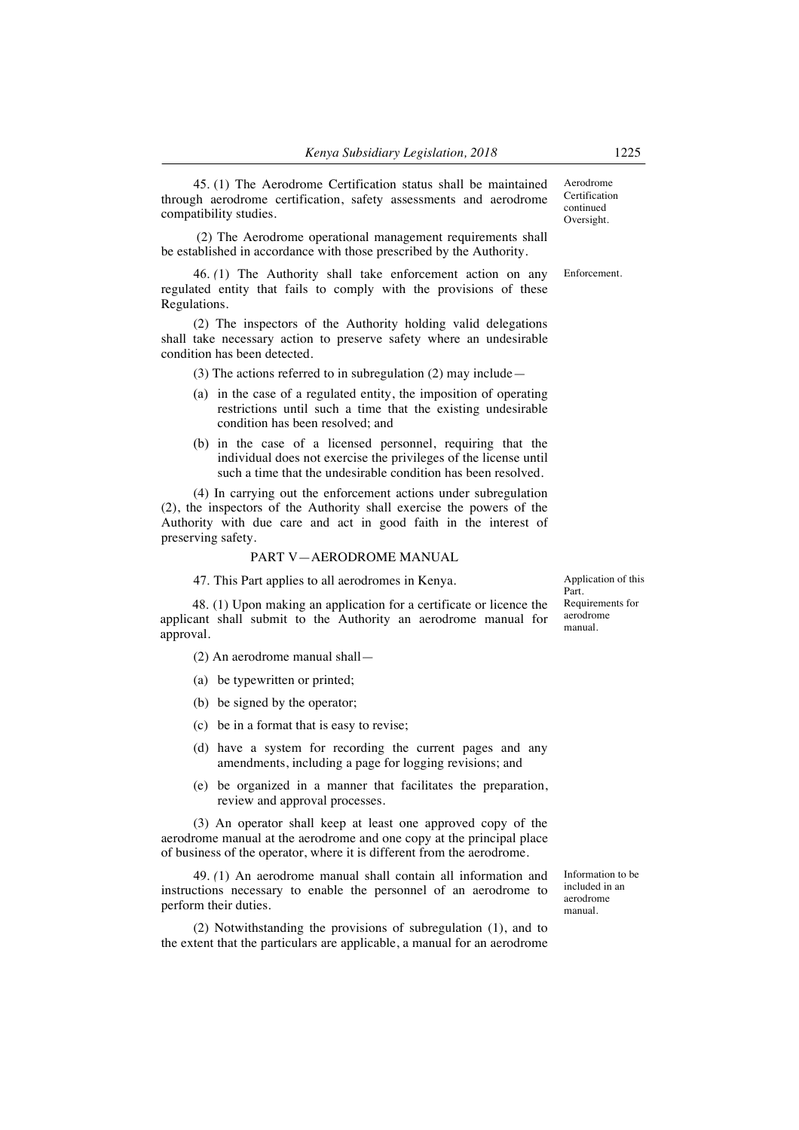45. (1) The Aerodrome Certification status shall be maintained through aerodrome certification, safety assessments and aerodrome compatibility studies.

(2) The Aerodrome operational management requirements shall be established in accordance with those prescribed by the Authority.

46. *(*1) The Authority shall take enforcement action on any regulated entity that fails to comply with the provisions of these Regulations.

(2) The inspectors of the Authority holding valid delegations shall take necessary action to preserve safety where an undesirable condition has been detected.

(3) The actions referred to in subregulation (2) may include—

- (a) in the case of a regulated entity, the imposition of operating restrictions until such a time that the existing undesirable condition has been resolved; and
- (b) in the case of a licensed personnel, requiring that the individual does not exercise the privileges of the license until such a time that the undesirable condition has been resolved.

(4) In carrying out the enforcement actions under subregulation (2), the inspectors of the Authority shall exercise the powers of the Authority with due care and act in good faith in the interest of preserving safety.

#### PART V—AERODROME MANUAL

47. This Part applies to all aerodromes in Kenya. Application of this

48. (1) Upon making an application for a certificate or licence the applicant shall submit to the Authority an aerodrome manual for approval.

(2) An aerodrome manual shall—

- (a) be typewritten or printed;
- (b) be signed by the operator;
- (c) be in a format that is easy to revise;
- (d) have a system for recording the current pages and any amendments, including a page for logging revisions; and
- (e) be organized in a manner that facilitates the preparation, review and approval processes.

(3) An operator shall keep at least one approved copy of the aerodrome manual at the aerodrome and one copy at the principal place of business of the operator, where it is different from the aerodrome.

49. *(*1) An aerodrome manual shall contain all information and instructions necessary to enable the personnel of an aerodrome to perform their duties.

(2) Notwithstanding the provisions of subregulation (1), and to the extent that the particulars are applicable, a manual for an aerodrome

Information to be included in an aerodrome manual.

Part. Requirements for aerodrome manual.

Aerodrome Certification continued Oversight.

Enforcement.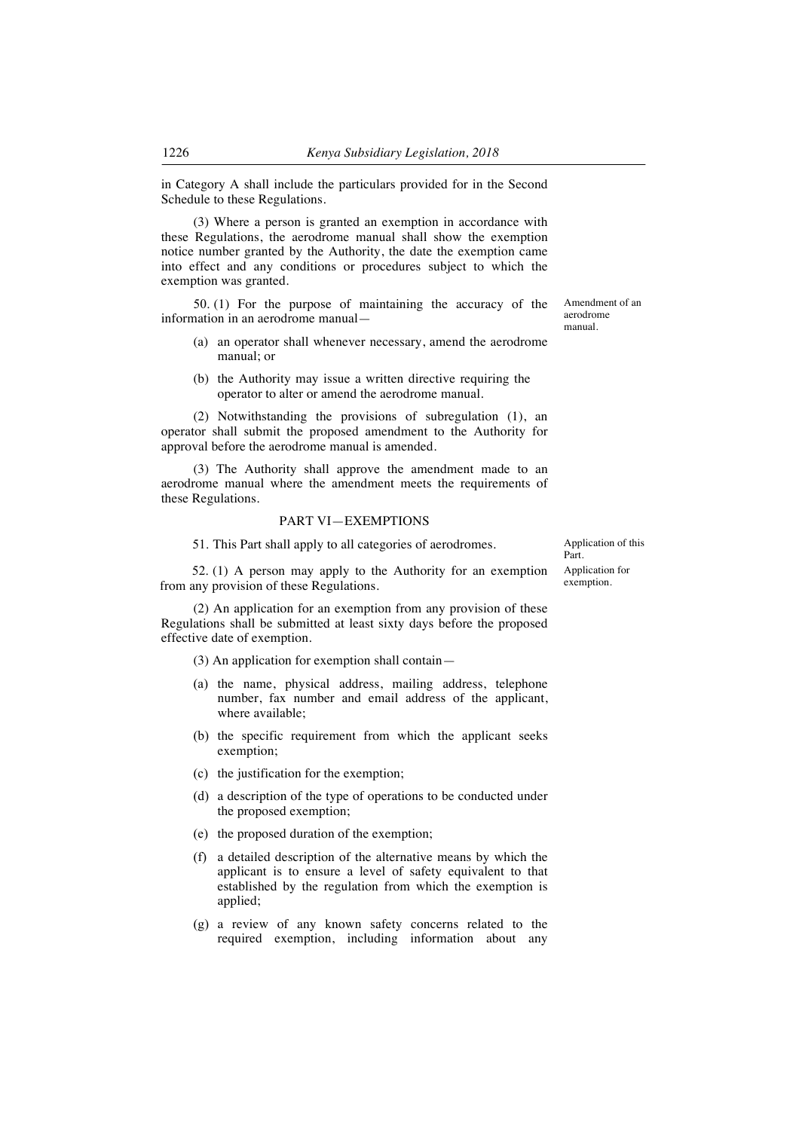in Category A shall include the particulars provided for in the Second Schedule to these Regulations.

(3) Where a person is granted an exemption in accordance with these Regulations, the aerodrome manual shall show the exemption notice number granted by the Authority, the date the exemption came into effect and any conditions or procedures subject to which the exemption was granted.

50. (1) For the purpose of maintaining the accuracy of the information in an aerodrome manual—

- (a) an operator shall whenever necessary, amend the aerodrome manual; or
- (b) the Authority may issue a written directive requiring the operator to alter or amend the aerodrome manual.

(2) Notwithstanding the provisions of subregulation (1), an operator shall submit the proposed amendment to the Authority for approval before the aerodrome manual is amended.

(3) The Authority shall approve the amendment made to an aerodrome manual where the amendment meets the requirements of these Regulations.

## PART VI—EXEMPTIONS

51. This Part shall apply to all categories of aerodromes. Application of this

52. (1) A person may apply to the Authority for an exemption from any provision of these Regulations.

(2) An application for an exemption from any provision of these Regulations shall be submitted at least sixty days before the proposed effective date of exemption.

(3) An application for exemption shall contain—

- (a) the name, physical address, mailing address, telephone number, fax number and email address of the applicant, where available;
- (b) the specific requirement from which the applicant seeks exemption;
- (c) the justification for the exemption;
- (d) a description of the type of operations to be conducted under the proposed exemption;
- (e) the proposed duration of the exemption;
- (f) a detailed description of the alternative means by which the applicant is to ensure a level of safety equivalent to that established by the regulation from which the exemption is applied;
- (g) a review of any known safety concerns related to the required exemption, including information about any

Part. Application for

exemption.

Amendment of an aerodrome manual.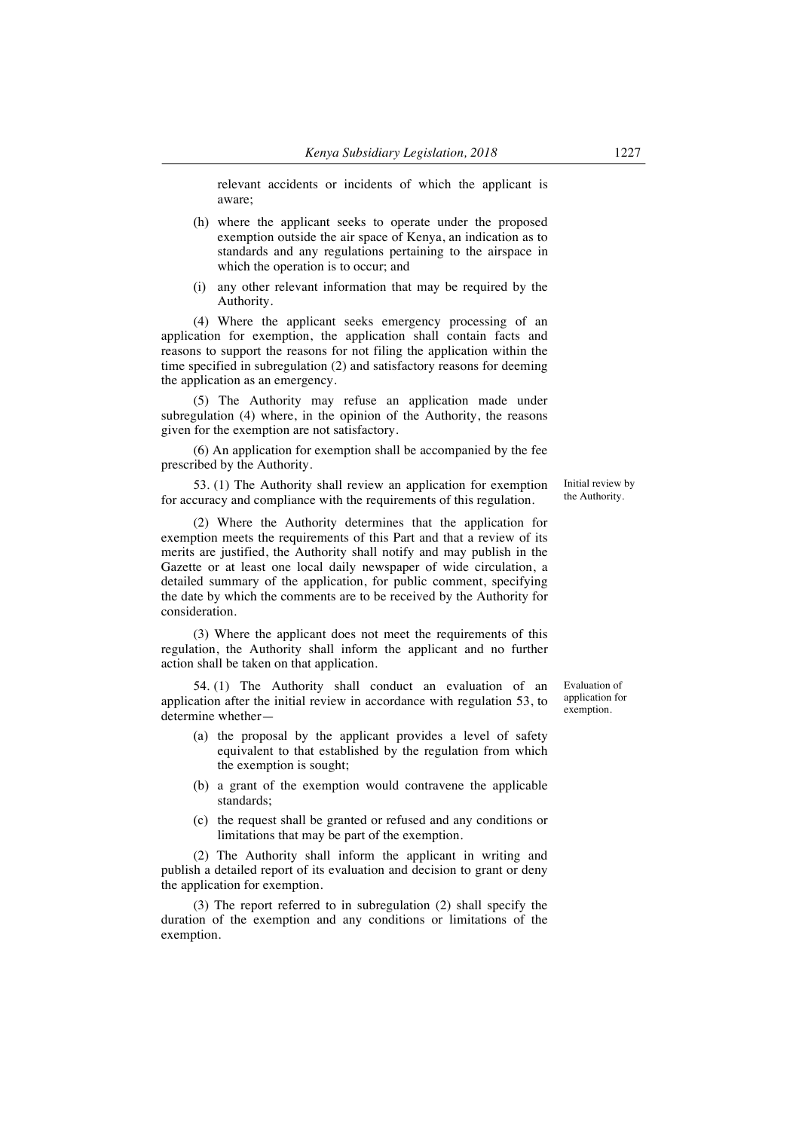relevant accidents or incidents of which the applicant is aware;

- (h) where the applicant seeks to operate under the proposed exemption outside the air space of Kenya, an indication as to standards and any regulations pertaining to the airspace in which the operation is to occur; and
- (i) any other relevant information that may be required by the Authority.

(4) Where the applicant seeks emergency processing of an application for exemption, the application shall contain facts and reasons to support the reasons for not filing the application within the time specified in subregulation (2) and satisfactory reasons for deeming the application as an emergency.

(5) The Authority may refuse an application made under subregulation (4) where, in the opinion of the Authority, the reasons given for the exemption are not satisfactory.

(6) An application for exemption shall be accompanied by the fee prescribed by the Authority.

53. (1) The Authority shall review an application for exemption for accuracy and compliance with the requirements of this regulation.

(2) Where the Authority determines that the application for exemption meets the requirements of this Part and that a review of its merits are justified, the Authority shall notify and may publish in the Gazette or at least one local daily newspaper of wide circulation, a detailed summary of the application, for public comment, specifying the date by which the comments are to be received by the Authority for consideration.

(3) Where the applicant does not meet the requirements of this regulation, the Authority shall inform the applicant and no further action shall be taken on that application.

54. (1) The Authority shall conduct an evaluation of an application after the initial review in accordance with regulation 53, to determine whether—

- (a) the proposal by the applicant provides a level of safety equivalent to that established by the regulation from which the exemption is sought;
- (b) a grant of the exemption would contravene the applicable standards;
- (c) the request shall be granted or refused and any conditions or limitations that may be part of the exemption.

(2) The Authority shall inform the applicant in writing and publish a detailed report of its evaluation and decision to grant or deny the application for exemption.

(3) The report referred to in subregulation (2) shall specify the duration of the exemption and any conditions or limitations of the exemption.

Evaluation of application for exemption.

Initial review by the Authority.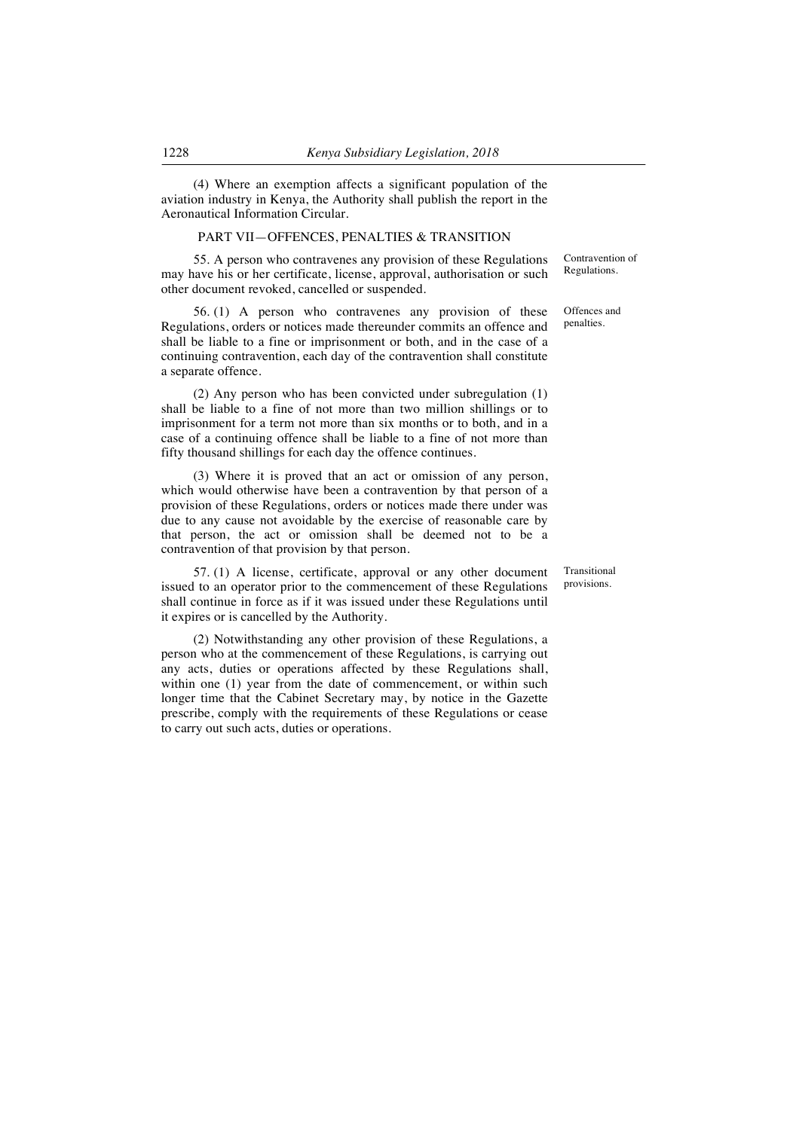(4) Where an exemption affects a significant population of the aviation industry in Kenya, the Authority shall publish the report in the Aeronautical Information Circular.

### PART VII—OFFENCES, PENALTIES & TRANSITION

55. A person who contravenes any provision of these Regulations may have his or her certificate, license, approval, authorisation or such other document revoked, cancelled or suspended.

56. (1) A person who contravenes any provision of these Regulations, orders or notices made thereunder commits an offence and shall be liable to a fine or imprisonment or both, and in the case of a continuing contravention, each day of the contravention shall constitute a separate offence.

(2) Any person who has been convicted under subregulation (1) shall be liable to a fine of not more than two million shillings or to imprisonment for a term not more than six months or to both, and in a case of a continuing offence shall be liable to a fine of not more than fifty thousand shillings for each day the offence continues.

(3) Where it is proved that an act or omission of any person, which would otherwise have been a contravention by that person of a provision of these Regulations, orders or notices made there under was due to any cause not avoidable by the exercise of reasonable care by that person, the act or omission shall be deemed not to be a contravention of that provision by that person.

57. (1) A license, certificate, approval or any other document issued to an operator prior to the commencement of these Regulations shall continue in force as if it was issued under these Regulations until it expires or is cancelled by the Authority.

(2) Notwithstanding any other provision of these Regulations, a person who at the commencement of these Regulations, is carrying out any acts, duties or operations affected by these Regulations shall, within one (1) year from the date of commencement, or within such longer time that the Cabinet Secretary may, by notice in the Gazette prescribe, comply with the requirements of these Regulations or cease to carry out such acts, duties or operations.

Contravention of Regulations.

Offences and penalties.

Transitional provisions.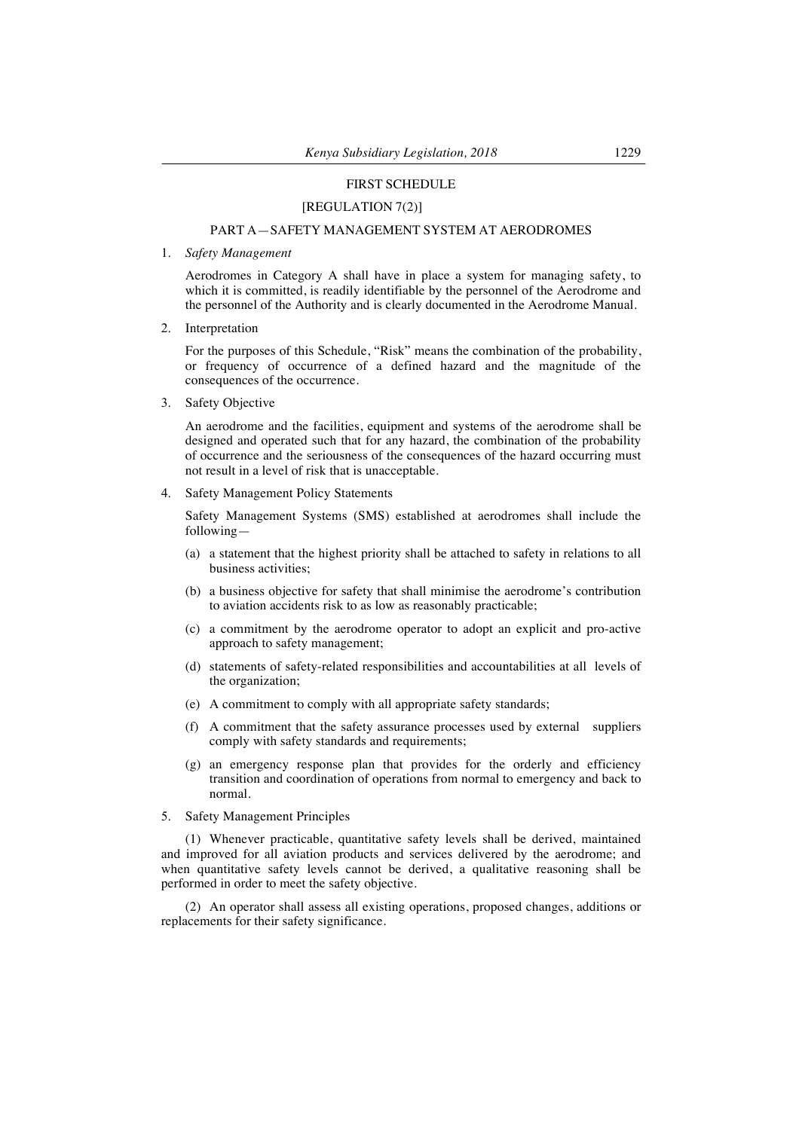#### FIRST SCHEDULE

### [REGULATION 7(2)]

# PART A—SAFETY MANAGEMENT SYSTEM AT AERODROMES

### 1. *Safety Management*

Aerodromes in Category A shall have in place a system for managing safety, to which it is committed, is readily identifiable by the personnel of the Aerodrome and the personnel of the Authority and is clearly documented in the Aerodrome Manual.

2. Interpretation

For the purposes of this Schedule, "Risk" means the combination of the probability, or frequency of occurrence of a defined hazard and the magnitude of the consequences of the occurrence.

3. Safety Objective

An aerodrome and the facilities, equipment and systems of the aerodrome shall be designed and operated such that for any hazard, the combination of the probability of occurrence and the seriousness of the consequences of the hazard occurring must not result in a level of risk that is unacceptable.

4. Safety Management Policy Statements

Safety Management Systems (SMS) established at aerodromes shall include the following—

- (a) a statement that the highest priority shall be attached to safety in relations to all business activities;
- (b) a business objective for safety that shall minimise the aerodrome's contribution to aviation accidents risk to as low as reasonably practicable;
- (c) a commitment by the aerodrome operator to adopt an explicit and pro-active approach to safety management;
- (d) statements of safety-related responsibilities and accountabilities at all levels of the organization;
- (e) A commitment to comply with all appropriate safety standards;
- (f) A commitment that the safety assurance processes used by external suppliers comply with safety standards and requirements;
- (g) an emergency response plan that provides for the orderly and efficiency transition and coordination of operations from normal to emergency and back to normal.

#### 5. Safety Management Principles

(1) Whenever practicable, quantitative safety levels shall be derived, maintained and improved for all aviation products and services delivered by the aerodrome; and when quantitative safety levels cannot be derived, a qualitative reasoning shall be performed in order to meet the safety objective.

(2) An operator shall assess all existing operations, proposed changes, additions or replacements for their safety significance.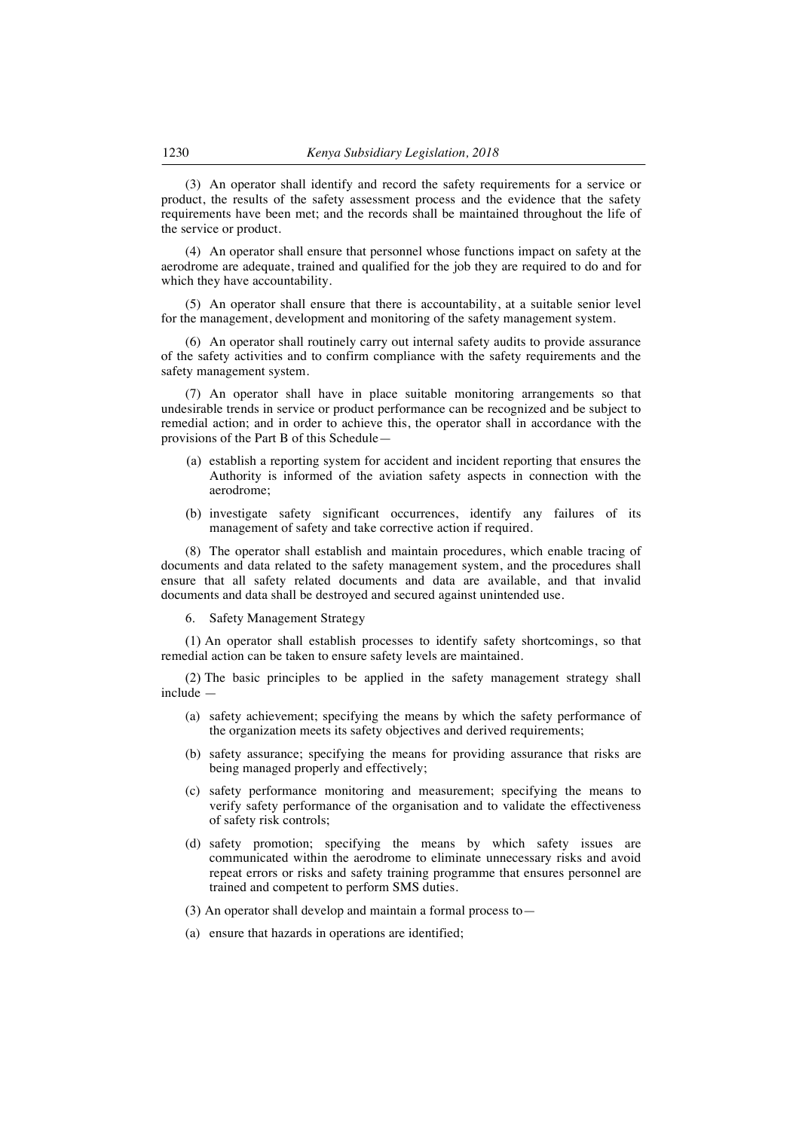(3) An operator shall identify and record the safety requirements for a service or product, the results of the safety assessment process and the evidence that the safety requirements have been met; and the records shall be maintained throughout the life of the service or product.

(4) An operator shall ensure that personnel whose functions impact on safety at the aerodrome are adequate, trained and qualified for the job they are required to do and for which they have accountability.

(5) An operator shall ensure that there is accountability, at a suitable senior level for the management, development and monitoring of the safety management system.

(6) An operator shall routinely carry out internal safety audits to provide assurance of the safety activities and to confirm compliance with the safety requirements and the safety management system.

(7) An operator shall have in place suitable monitoring arrangements so that undesirable trends in service or product performance can be recognized and be subject to remedial action; and in order to achieve this, the operator shall in accordance with the provisions of the Part B of this Schedule—

- (a) establish a reporting system for accident and incident reporting that ensures the Authority is informed of the aviation safety aspects in connection with the aerodrome;
- (b) investigate safety significant occurrences, identify any failures of its management of safety and take corrective action if required.

(8) The operator shall establish and maintain procedures, which enable tracing of documents and data related to the safety management system, and the procedures shall ensure that all safety related documents and data are available, and that invalid documents and data shall be destroyed and secured against unintended use.

6. Safety Management Strategy

(1) An operator shall establish processes to identify safety shortcomings, so that remedial action can be taken to ensure safety levels are maintained.

(2) The basic principles to be applied in the safety management strategy shall include —

- (a) safety achievement; specifying the means by which the safety performance of the organization meets its safety objectives and derived requirements;
- (b) safety assurance; specifying the means for providing assurance that risks are being managed properly and effectively;
- (c) safety performance monitoring and measurement; specifying the means to verify safety performance of the organisation and to validate the effectiveness of safety risk controls;
- (d) safety promotion; specifying the means by which safety issues are communicated within the aerodrome to eliminate unnecessary risks and avoid repeat errors or risks and safety training programme that ensures personnel are trained and competent to perform SMS duties.
- (3) An operator shall develop and maintain a formal process to—
- (a) ensure that hazards in operations are identified;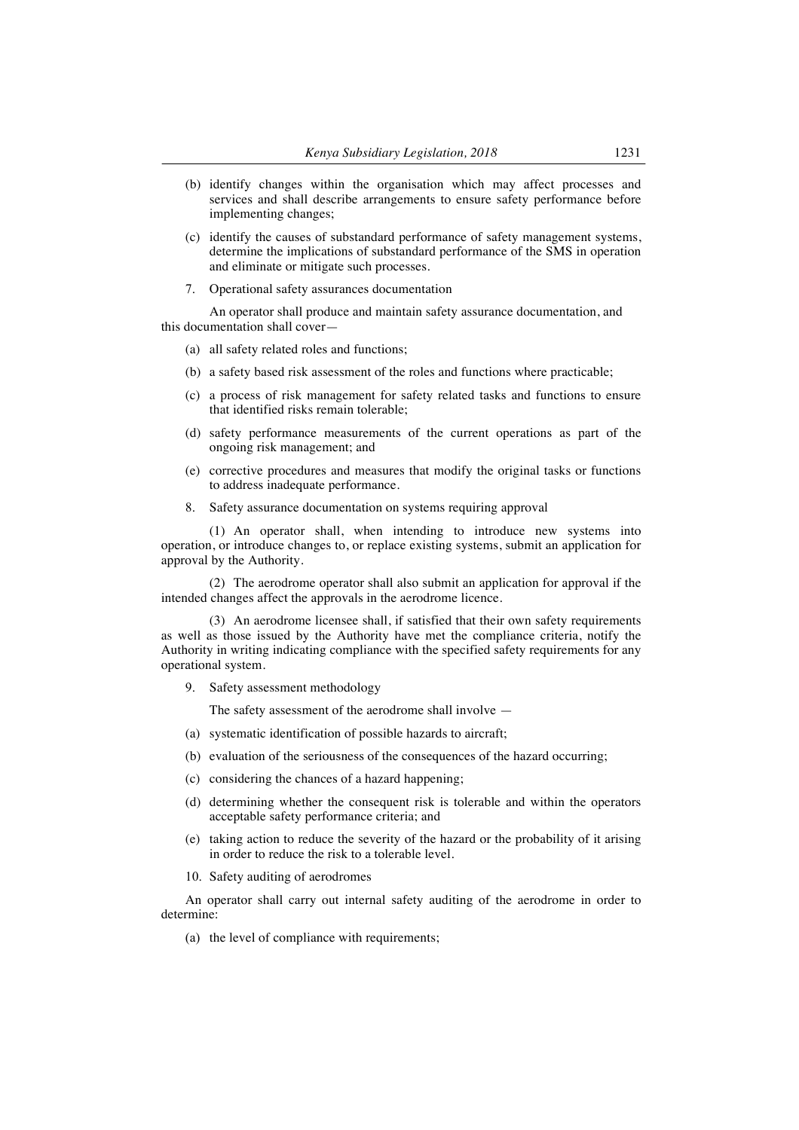- (b) identify changes within the organisation which may affect processes and services and shall describe arrangements to ensure safety performance before implementing changes;
- (c) identify the causes of substandard performance of safety management systems, determine the implications of substandard performance of the SMS in operation and eliminate or mitigate such processes.
- 7. Operational safety assurances documentation

An operator shall produce and maintain safety assurance documentation, and this documentation shall cover—

- (a) all safety related roles and functions;
- (b) a safety based risk assessment of the roles and functions where practicable;
- (c) a process of risk management for safety related tasks and functions to ensure that identified risks remain tolerable;
- (d) safety performance measurements of the current operations as part of the ongoing risk management; and
- (e) corrective procedures and measures that modify the original tasks or functions to address inadequate performance.
- 8. Safety assurance documentation on systems requiring approval

(1) An operator shall, when intending to introduce new systems into operation, or introduce changes to, or replace existing systems, submit an application for approval by the Authority.

(2) The aerodrome operator shall also submit an application for approval if the intended changes affect the approvals in the aerodrome licence.

(3) An aerodrome licensee shall, if satisfied that their own safety requirements as well as those issued by the Authority have met the compliance criteria, notify the Authority in writing indicating compliance with the specified safety requirements for any operational system.

9. Safety assessment methodology

The safety assessment of the aerodrome shall involve —

- (a) systematic identification of possible hazards to aircraft;
- (b) evaluation of the seriousness of the consequences of the hazard occurring;
- (c) considering the chances of a hazard happening;
- (d) determining whether the consequent risk is tolerable and within the operators acceptable safety performance criteria; and
- (e) taking action to reduce the severity of the hazard or the probability of it arising in order to reduce the risk to a tolerable level.
- 10. Safety auditing of aerodromes

An operator shall carry out internal safety auditing of the aerodrome in order to determine:

(a) the level of compliance with requirements;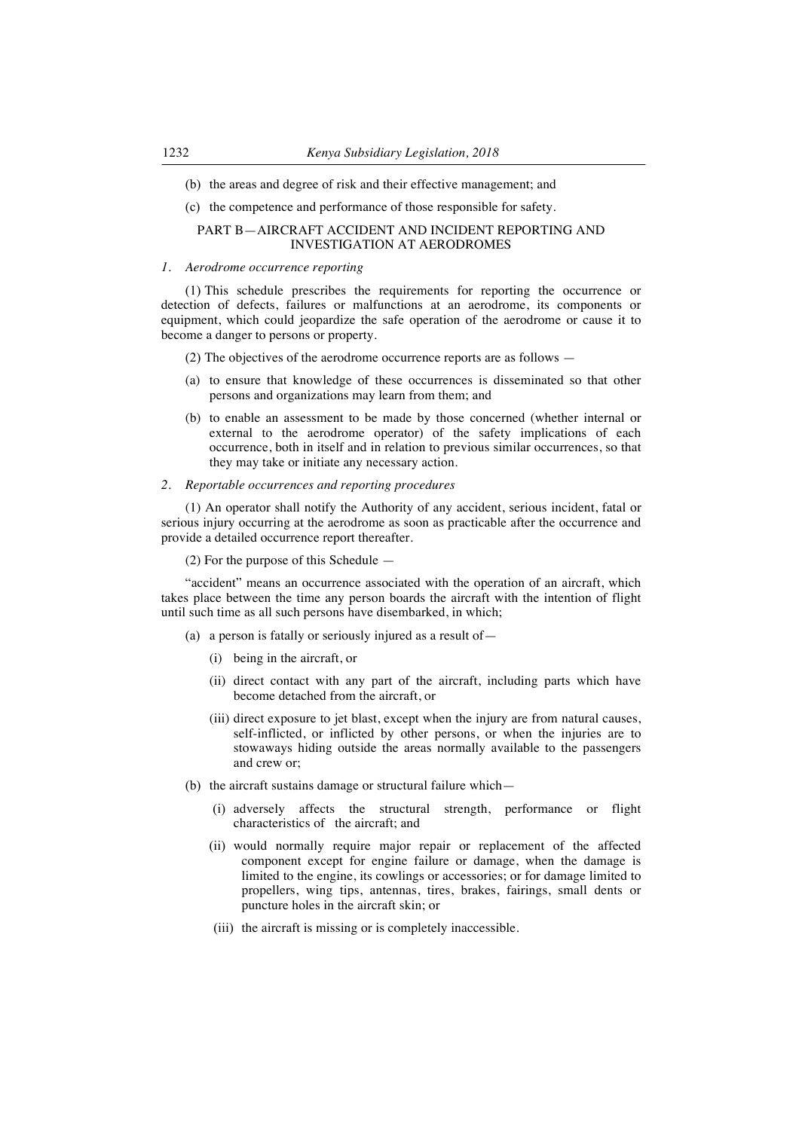- (b) the areas and degree of risk and their effective management; and
- (c) the competence and performance of those responsible for safety.

# PART B—AIRCRAFT ACCIDENT AND INCIDENT REPORTING AND INVESTIGATION AT AERODROMES

#### *1. Aerodrome occurrence reporting*

(1) This schedule prescribes the requirements for reporting the occurrence or detection of defects, failures or malfunctions at an aerodrome, its components or equipment, which could jeopardize the safe operation of the aerodrome or cause it to become a danger to persons or property.

- (2) The objectives of the aerodrome occurrence reports are as follows —
- (a) to ensure that knowledge of these occurrences is disseminated so that other persons and organizations may learn from them; and
- (b) to enable an assessment to be made by those concerned (whether internal or external to the aerodrome operator) of the safety implications of each occurrence, both in itself and in relation to previous similar occurrences, so that they may take or initiate any necessary action.

#### *2. Reportable occurrences and reporting procedures*

(1) An operator shall notify the Authority of any accident, serious incident, fatal or serious injury occurring at the aerodrome as soon as practicable after the occurrence and provide a detailed occurrence report thereafter.

(2) For the purpose of this Schedule —

"accident" means an occurrence associated with the operation of an aircraft, which takes place between the time any person boards the aircraft with the intention of flight until such time as all such persons have disembarked, in which;

- (a) a person is fatally or seriously injured as a result of—
	- (i) being in the aircraft, or
	- (ii) direct contact with any part of the aircraft, including parts which have become detached from the aircraft, or
	- (iii) direct exposure to jet blast, except when the injury are from natural causes, self-inflicted, or inflicted by other persons, or when the injuries are to stowaways hiding outside the areas normally available to the passengers and crew or;
- (b) the aircraft sustains damage or structural failure which—
	- (i) adversely affects the structural strength, performance or flight characteristics of the aircraft; and
	- (ii) would normally require major repair or replacement of the affected component except for engine failure or damage, when the damage is limited to the engine, its cowlings or accessories; or for damage limited to propellers, wing tips, antennas, tires, brakes, fairings, small dents or puncture holes in the aircraft skin; or
	- (iii) the aircraft is missing or is completely inaccessible.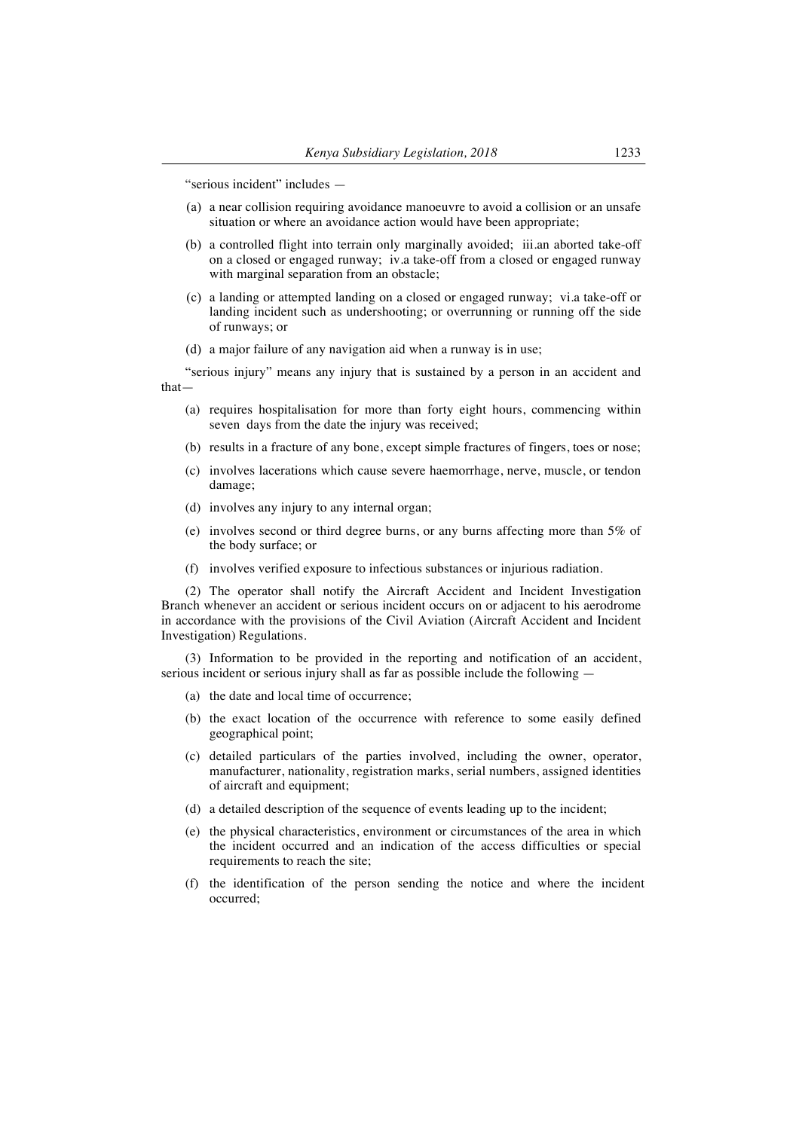"serious incident" includes —

- (a) a near collision requiring avoidance manoeuvre to avoid a collision or an unsafe situation or where an avoidance action would have been appropriate;
- (b) a controlled flight into terrain only marginally avoided; iii.an aborted take-off on a closed or engaged runway; iv.a take-off from a closed or engaged runway with marginal separation from an obstacle;
- (c) a landing or attempted landing on a closed or engaged runway; vi.a take-off or landing incident such as undershooting; or overrunning or running off the side of runways; or
- (d) a major failure of any navigation aid when a runway is in use;

"serious injury" means any injury that is sustained by a person in an accident and that—

- (a) requires hospitalisation for more than forty eight hours, commencing within seven days from the date the injury was received;
- (b) results in a fracture of any bone, except simple fractures of fingers, toes or nose;
- (c) involves lacerations which cause severe haemorrhage, nerve, muscle, or tendon damage;
- (d) involves any injury to any internal organ;
- (e) involves second or third degree burns, or any burns affecting more than 5% of the body surface; or
- (f) involves verified exposure to infectious substances or injurious radiation.

(2) The operator shall notify the Aircraft Accident and Incident Investigation Branch whenever an accident or serious incident occurs on or adjacent to his aerodrome in accordance with the provisions of the Civil Aviation (Aircraft Accident and Incident Investigation) Regulations.

(3) Information to be provided in the reporting and notification of an accident, serious incident or serious injury shall as far as possible include the following —

- (a) the date and local time of occurrence;
- (b) the exact location of the occurrence with reference to some easily defined geographical point;
- (c) detailed particulars of the parties involved, including the owner, operator, manufacturer, nationality, registration marks, serial numbers, assigned identities of aircraft and equipment;
- (d) a detailed description of the sequence of events leading up to the incident;
- (e) the physical characteristics, environment or circumstances of the area in which the incident occurred and an indication of the access difficulties or special requirements to reach the site;
- (f) the identification of the person sending the notice and where the incident occurred;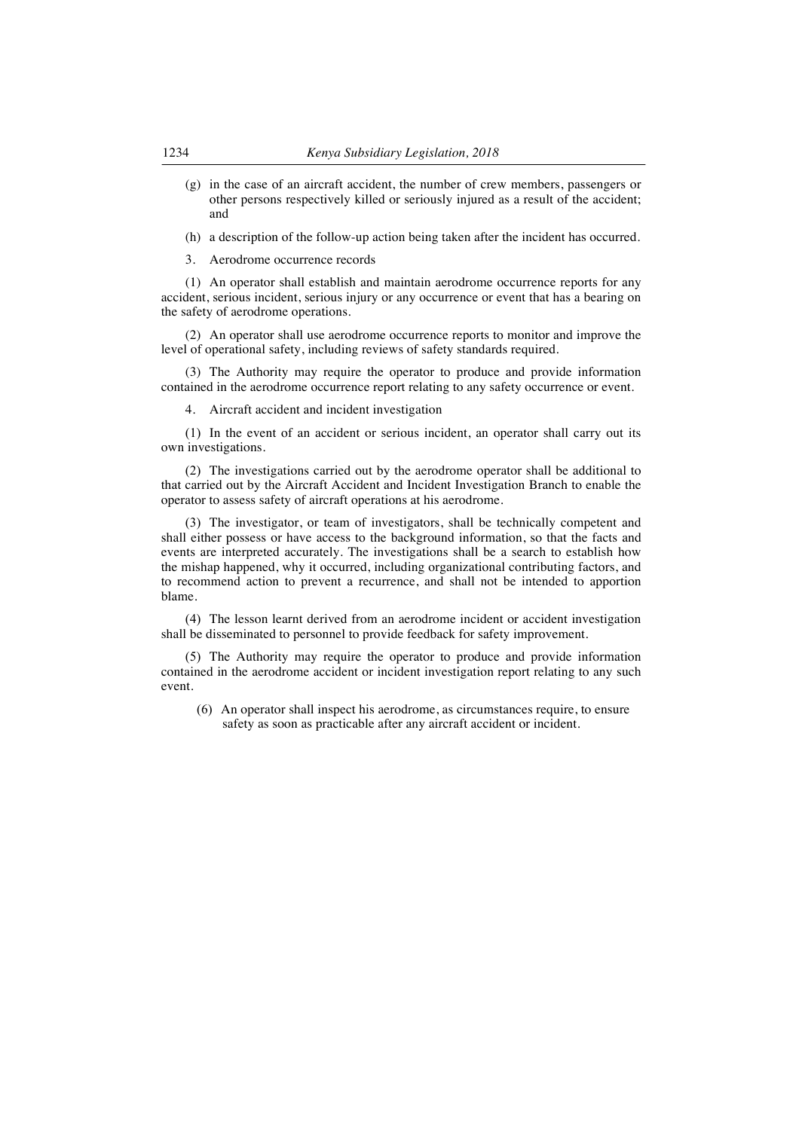- (g) in the case of an aircraft accident, the number of crew members, passengers or other persons respectively killed or seriously injured as a result of the accident; and
- (h) a description of the follow-up action being taken after the incident has occurred.
- 3. Aerodrome occurrence records

(1) An operator shall establish and maintain aerodrome occurrence reports for any accident, serious incident, serious injury or any occurrence or event that has a bearing on the safety of aerodrome operations.

(2) An operator shall use aerodrome occurrence reports to monitor and improve the level of operational safety, including reviews of safety standards required.

(3) The Authority may require the operator to produce and provide information contained in the aerodrome occurrence report relating to any safety occurrence or event.

4. Aircraft accident and incident investigation

(1) In the event of an accident or serious incident, an operator shall carry out its own investigations.

(2) The investigations carried out by the aerodrome operator shall be additional to that carried out by the Aircraft Accident and Incident Investigation Branch to enable the operator to assess safety of aircraft operations at his aerodrome.

(3) The investigator, or team of investigators, shall be technically competent and shall either possess or have access to the background information, so that the facts and events are interpreted accurately. The investigations shall be a search to establish how the mishap happened, why it occurred, including organizational contributing factors, and to recommend action to prevent a recurrence, and shall not be intended to apportion blame.

(4) The lesson learnt derived from an aerodrome incident or accident investigation shall be disseminated to personnel to provide feedback for safety improvement.

(5) The Authority may require the operator to produce and provide information contained in the aerodrome accident or incident investigation report relating to any such event.

(6) An operator shall inspect his aerodrome, as circumstances require, to ensure safety as soon as practicable after any aircraft accident or incident.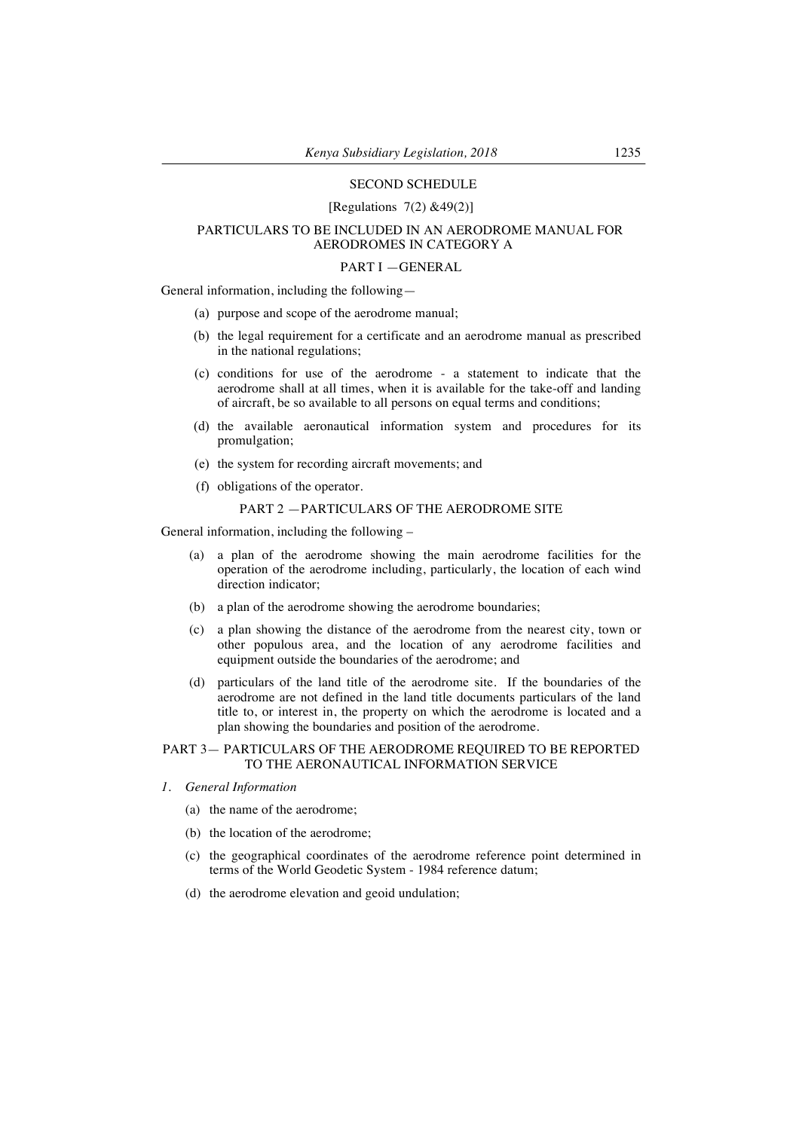#### SECOND SCHEDULE

#### [Regulations 7(2) &49(2)]

# PARTICULARS TO BE INCLUDED IN AN AERODROME MANUAL FOR AERODROMES IN CATEGORY A

#### PART I —GENERAL

General information, including the following—

- (a) purpose and scope of the aerodrome manual;
- (b) the legal requirement for a certificate and an aerodrome manual as prescribed in the national regulations;
- (c) conditions for use of the aerodrome a statement to indicate that the aerodrome shall at all times, when it is available for the take-off and landing of aircraft, be so available to all persons on equal terms and conditions;
- (d) the available aeronautical information system and procedures for its promulgation;
- (e) the system for recording aircraft movements; and
- (f) obligations of the operator.

# PART 2 —PARTICULARS OF THE AERODROME SITE

General information, including the following –

- (a) a plan of the aerodrome showing the main aerodrome facilities for the operation of the aerodrome including, particularly, the location of each wind direction indicator;
- (b) a plan of the aerodrome showing the aerodrome boundaries;
- (c) a plan showing the distance of the aerodrome from the nearest city, town or other populous area, and the location of any aerodrome facilities and equipment outside the boundaries of the aerodrome; and
- (d) particulars of the land title of the aerodrome site. If the boundaries of the aerodrome are not defined in the land title documents particulars of the land title to, or interest in, the property on which the aerodrome is located and a plan showing the boundaries and position of the aerodrome.

### PART 3— PARTICULARS OF THE AERODROME REQUIRED TO BE REPORTED TO THE AERONAUTICAL INFORMATION SERVICE

- *1. General Information*
	- (a) the name of the aerodrome;
	- (b) the location of the aerodrome;
	- (c) the geographical coordinates of the aerodrome reference point determined in terms of the World Geodetic System - 1984 reference datum;
	- (d) the aerodrome elevation and geoid undulation;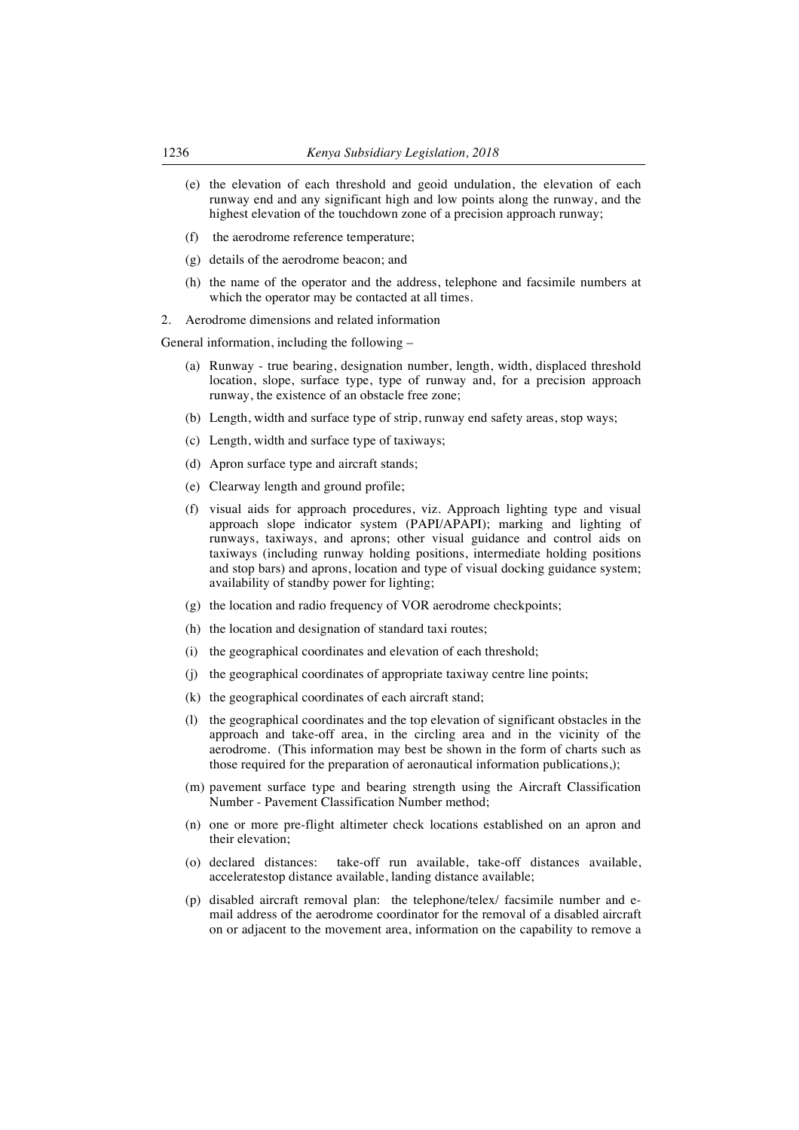- (e) the elevation of each threshold and geoid undulation, the elevation of each runway end and any significant high and low points along the runway, and the highest elevation of the touchdown zone of a precision approach runway;
- (f) the aerodrome reference temperature;
- (g) details of the aerodrome beacon; and
- (h) the name of the operator and the address, telephone and facsimile numbers at which the operator may be contacted at all times.
- 2. Aerodrome dimensions and related information

General information, including the following –

- (a) Runway true bearing, designation number, length, width, displaced threshold location, slope, surface type, type of runway and, for a precision approach runway, the existence of an obstacle free zone;
- (b) Length, width and surface type of strip, runway end safety areas, stop ways;
- (c) Length, width and surface type of taxiways;
- (d) Apron surface type and aircraft stands;
- (e) Clearway length and ground profile;
- (f) visual aids for approach procedures, viz. Approach lighting type and visual approach slope indicator system (PAPI/APAPI); marking and lighting of runways, taxiways, and aprons; other visual guidance and control aids on taxiways (including runway holding positions, intermediate holding positions and stop bars) and aprons, location and type of visual docking guidance system; availability of standby power for lighting;
- (g) the location and radio frequency of VOR aerodrome checkpoints;
- (h) the location and designation of standard taxi routes;
- (i) the geographical coordinates and elevation of each threshold;
- (j) the geographical coordinates of appropriate taxiway centre line points;
- (k) the geographical coordinates of each aircraft stand;
- (l) the geographical coordinates and the top elevation of significant obstacles in the approach and take-off area, in the circling area and in the vicinity of the aerodrome. (This information may best be shown in the form of charts such as those required for the preparation of aeronautical information publications,);
- (m) pavement surface type and bearing strength using the Aircraft Classification Number - Pavement Classification Number method;
- (n) one or more pre-flight altimeter check locations established on an apron and their elevation;
- (o) declared distances: take-off run available, take-off distances available, acceleratestop distance available, landing distance available;
- (p) disabled aircraft removal plan: the telephone/telex/ facsimile number and email address of the aerodrome coordinator for the removal of a disabled aircraft on or adjacent to the movement area, information on the capability to remove a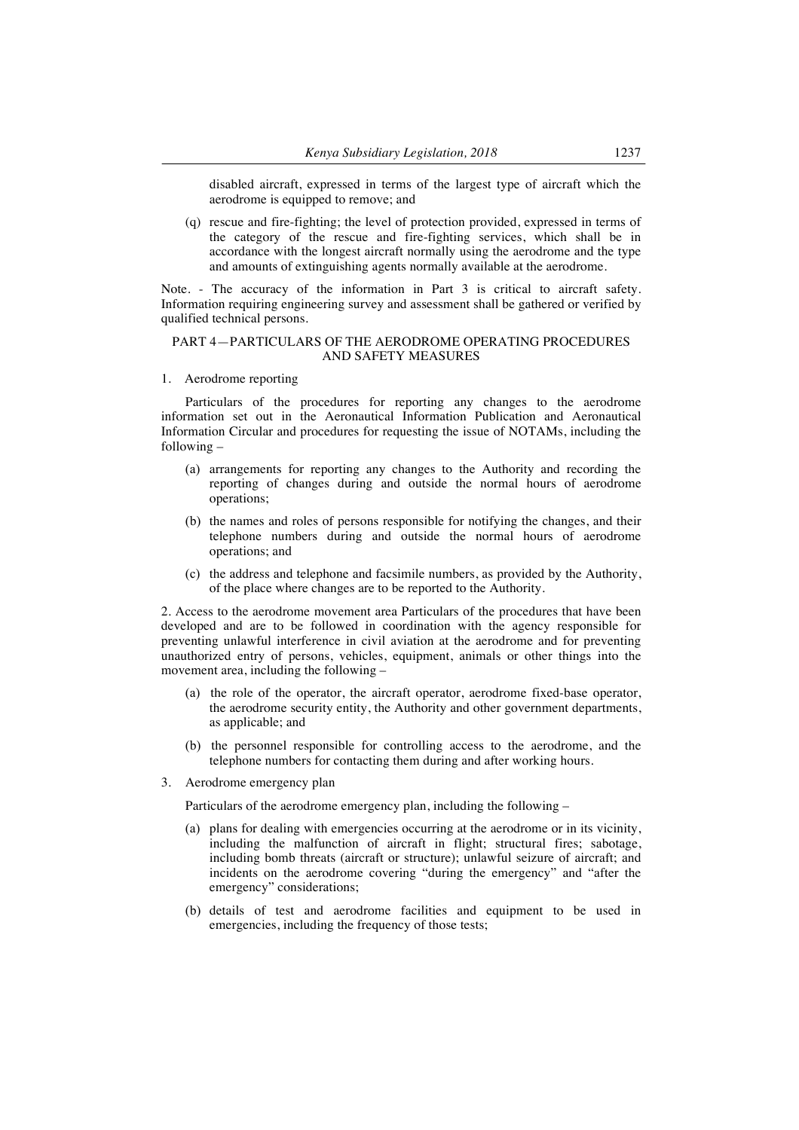disabled aircraft, expressed in terms of the largest type of aircraft which the aerodrome is equipped to remove; and

(q) rescue and fire-fighting; the level of protection provided, expressed in terms of the category of the rescue and fire-fighting services, which shall be in accordance with the longest aircraft normally using the aerodrome and the type and amounts of extinguishing agents normally available at the aerodrome.

Note. - The accuracy of the information in Part 3 is critical to aircraft safety. Information requiring engineering survey and assessment shall be gathered or verified by qualified technical persons.

#### PART 4—PARTICULARS OF THE AERODROME OPERATING PROCEDURES AND SAFETY MEASURES

1. Aerodrome reporting

Particulars of the procedures for reporting any changes to the aerodrome information set out in the Aeronautical Information Publication and Aeronautical Information Circular and procedures for requesting the issue of NOTAMs, including the following –

- (a) arrangements for reporting any changes to the Authority and recording the reporting of changes during and outside the normal hours of aerodrome operations;
- (b) the names and roles of persons responsible for notifying the changes, and their telephone numbers during and outside the normal hours of aerodrome operations; and
- (c) the address and telephone and facsimile numbers, as provided by the Authority, of the place where changes are to be reported to the Authority.

2. Access to the aerodrome movement area Particulars of the procedures that have been developed and are to be followed in coordination with the agency responsible for preventing unlawful interference in civil aviation at the aerodrome and for preventing unauthorized entry of persons, vehicles, equipment, animals or other things into the movement area, including the following –

- (a) the role of the operator, the aircraft operator, aerodrome fixed-base operator, the aerodrome security entity, the Authority and other government departments, as applicable; and
- (b) the personnel responsible for controlling access to the aerodrome, and the telephone numbers for contacting them during and after working hours.
- 3. Aerodrome emergency plan

Particulars of the aerodrome emergency plan, including the following –

- (a) plans for dealing with emergencies occurring at the aerodrome or in its vicinity, including the malfunction of aircraft in flight; structural fires; sabotage, including bomb threats (aircraft or structure); unlawful seizure of aircraft; and incidents on the aerodrome covering "during the emergency" and "after the emergency" considerations;
- (b) details of test and aerodrome facilities and equipment to be used in emergencies, including the frequency of those tests;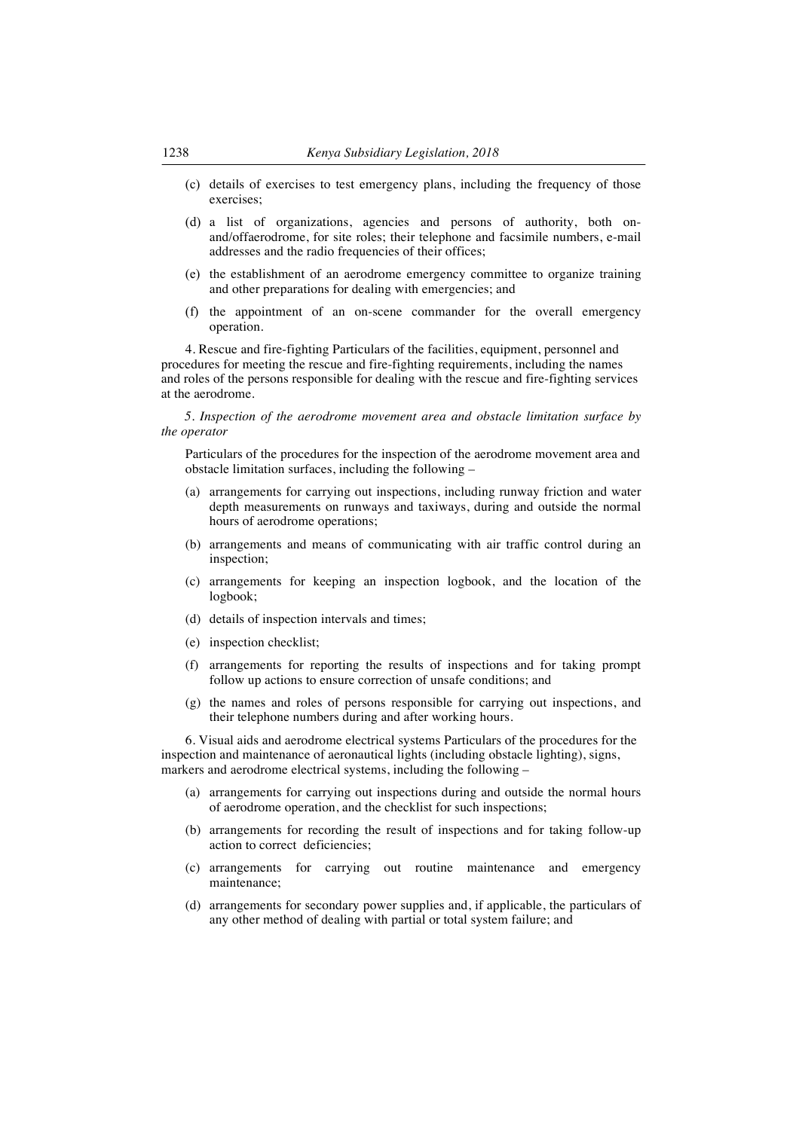- (c) details of exercises to test emergency plans, including the frequency of those exercises;
- (d) a list of organizations, agencies and persons of authority, both onand/offaerodrome, for site roles; their telephone and facsimile numbers, e-mail addresses and the radio frequencies of their offices;
- (e) the establishment of an aerodrome emergency committee to organize training and other preparations for dealing with emergencies; and
- (f) the appointment of an on-scene commander for the overall emergency operation.

4. Rescue and fire-fighting Particulars of the facilities, equipment, personnel and procedures for meeting the rescue and fire-fighting requirements, including the names and roles of the persons responsible for dealing with the rescue and fire-fighting services at the aerodrome.

*5. Inspection of the aerodrome movement area and obstacle limitation surface by the operator*

Particulars of the procedures for the inspection of the aerodrome movement area and obstacle limitation surfaces, including the following –

- (a) arrangements for carrying out inspections, including runway friction and water depth measurements on runways and taxiways, during and outside the normal hours of aerodrome operations;
- (b) arrangements and means of communicating with air traffic control during an inspection;
- (c) arrangements for keeping an inspection logbook, and the location of the logbook;
- (d) details of inspection intervals and times;
- (e) inspection checklist;
- (f) arrangements for reporting the results of inspections and for taking prompt follow up actions to ensure correction of unsafe conditions; and
- (g) the names and roles of persons responsible for carrying out inspections, and their telephone numbers during and after working hours.

6. Visual aids and aerodrome electrical systems Particulars of the procedures for the inspection and maintenance of aeronautical lights (including obstacle lighting), signs, markers and aerodrome electrical systems, including the following –

- (a) arrangements for carrying out inspections during and outside the normal hours of aerodrome operation, and the checklist for such inspections;
- (b) arrangements for recording the result of inspections and for taking follow-up action to correct deficiencies;
- (c) arrangements for carrying out routine maintenance and emergency maintenance;
- (d) arrangements for secondary power supplies and, if applicable, the particulars of any other method of dealing with partial or total system failure; and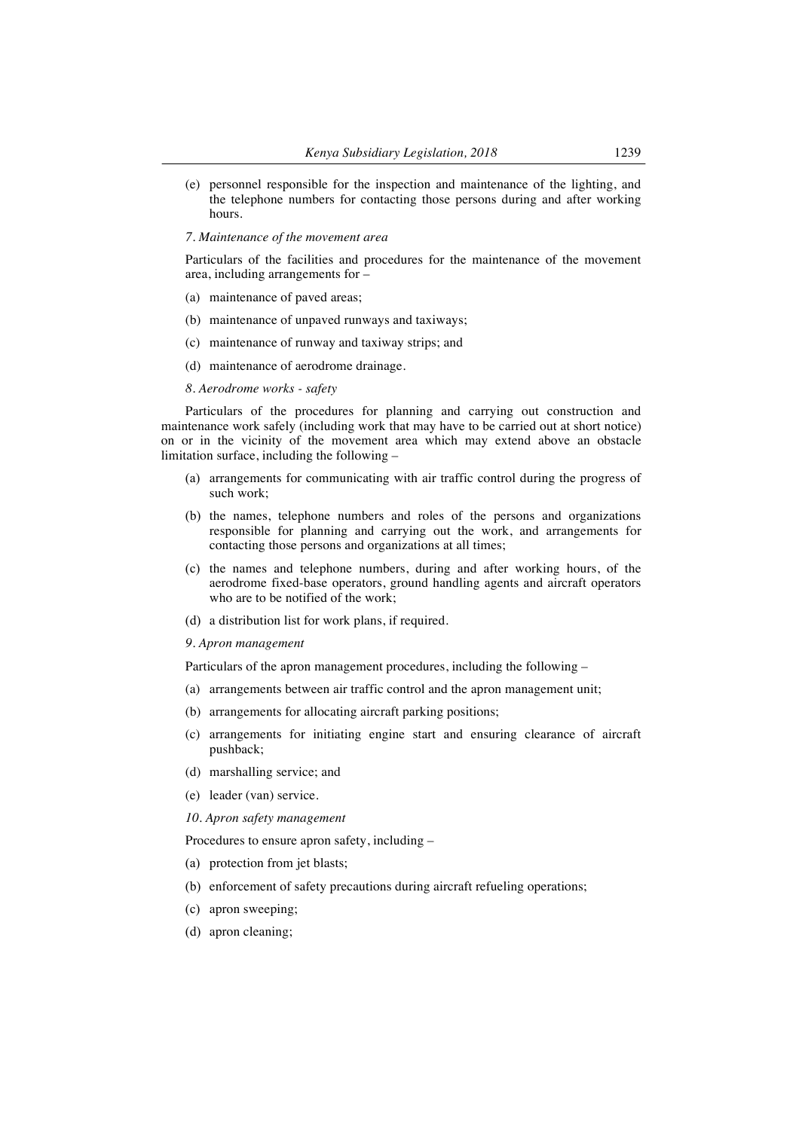- (e) personnel responsible for the inspection and maintenance of the lighting, and the telephone numbers for contacting those persons during and after working hours.
- *7. Maintenance of the movement area*

Particulars of the facilities and procedures for the maintenance of the movement area, including arrangements for –

- (a) maintenance of paved areas;
- (b) maintenance of unpaved runways and taxiways;
- (c) maintenance of runway and taxiway strips; and
- (d) maintenance of aerodrome drainage.
- *8. Aerodrome works - safety*

Particulars of the procedures for planning and carrying out construction and maintenance work safely (including work that may have to be carried out at short notice) on or in the vicinity of the movement area which may extend above an obstacle limitation surface, including the following –

- (a) arrangements for communicating with air traffic control during the progress of such work;
- (b) the names, telephone numbers and roles of the persons and organizations responsible for planning and carrying out the work, and arrangements for contacting those persons and organizations at all times;
- (c) the names and telephone numbers, during and after working hours, of the aerodrome fixed-base operators, ground handling agents and aircraft operators who are to be notified of the work;
- (d) a distribution list for work plans, if required.

*9. Apron management*

Particulars of the apron management procedures, including the following –

- (a) arrangements between air traffic control and the apron management unit;
- (b) arrangements for allocating aircraft parking positions;
- (c) arrangements for initiating engine start and ensuring clearance of aircraft pushback;
- (d) marshalling service; and
- (e) leader (van) service.

*10. Apron safety management*

Procedures to ensure apron safety, including –

- (a) protection from jet blasts;
- (b) enforcement of safety precautions during aircraft refueling operations;
- (c) apron sweeping;
- (d) apron cleaning;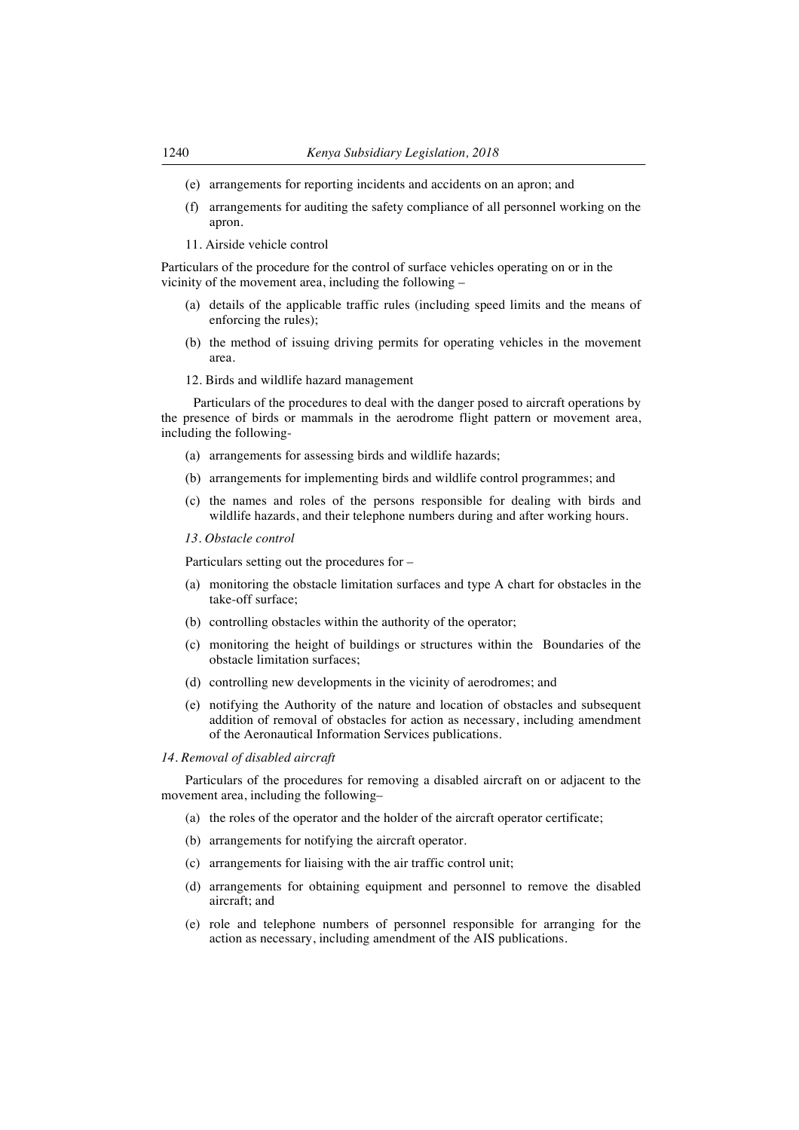- (e) arrangements for reporting incidents and accidents on an apron; and
- (f) arrangements for auditing the safety compliance of all personnel working on the apron.
- 11. Airside vehicle control

Particulars of the procedure for the control of surface vehicles operating on or in the vicinity of the movement area, including the following –

- (a) details of the applicable traffic rules (including speed limits and the means of enforcing the rules);
- (b) the method of issuing driving permits for operating vehicles in the movement area.
- 12. Birds and wildlife hazard management

Particulars of the procedures to deal with the danger posed to aircraft operations by the presence of birds or mammals in the aerodrome flight pattern or movement area, including the following-

- (a) arrangements for assessing birds and wildlife hazards;
- (b) arrangements for implementing birds and wildlife control programmes; and
- (c) the names and roles of the persons responsible for dealing with birds and wildlife hazards, and their telephone numbers during and after working hours.

*13. Obstacle control* 

Particulars setting out the procedures for –

- (a) monitoring the obstacle limitation surfaces and type A chart for obstacles in the take-off surface;
- (b) controlling obstacles within the authority of the operator;
- (c) monitoring the height of buildings or structures within the Boundaries of the obstacle limitation surfaces;
- (d) controlling new developments in the vicinity of aerodromes; and
- (e) notifying the Authority of the nature and location of obstacles and subsequent addition of removal of obstacles for action as necessary, including amendment of the Aeronautical Information Services publications.

#### *14. Removal of disabled aircraft*

Particulars of the procedures for removing a disabled aircraft on or adjacent to the movement area, including the following–

- (a) the roles of the operator and the holder of the aircraft operator certificate;
- (b) arrangements for notifying the aircraft operator.
- (c) arrangements for liaising with the air traffic control unit;
- (d) arrangements for obtaining equipment and personnel to remove the disabled aircraft; and
- (e) role and telephone numbers of personnel responsible for arranging for the action as necessary, including amendment of the AIS publications.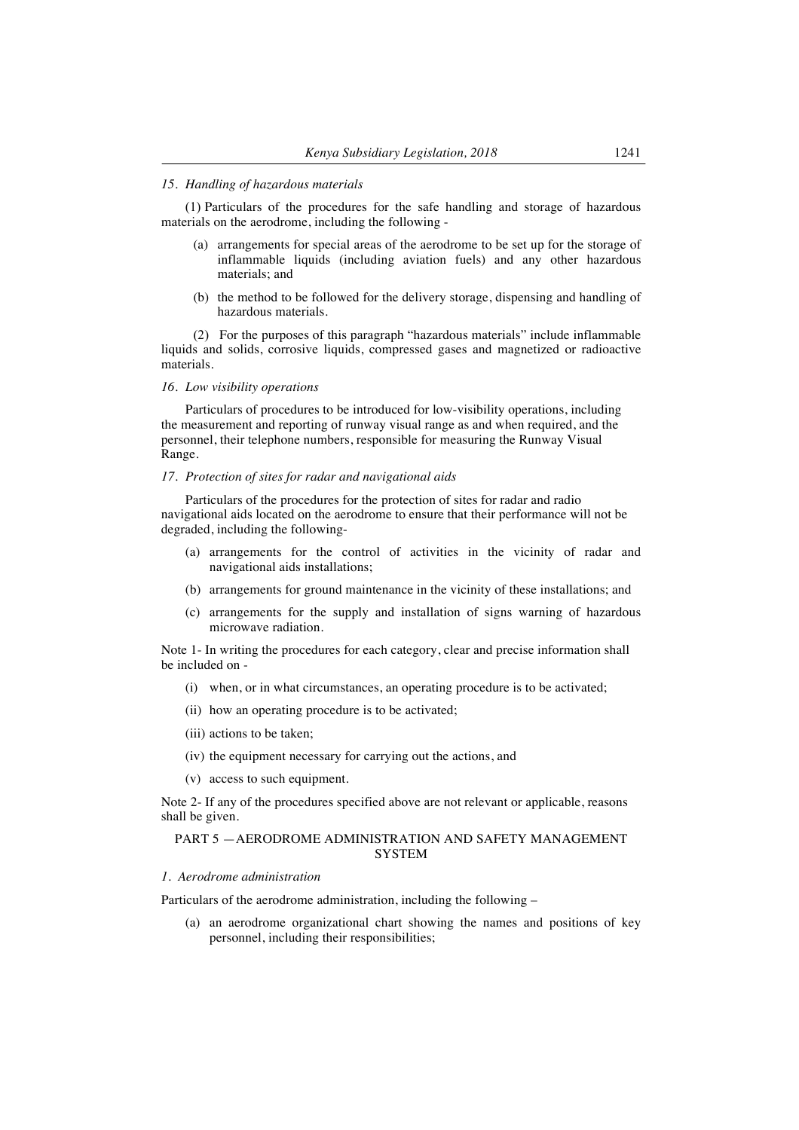#### *15. Handling of hazardous materials*

(1) Particulars of the procedures for the safe handling and storage of hazardous materials on the aerodrome, including the following -

- (a) arrangements for special areas of the aerodrome to be set up for the storage of inflammable liquids (including aviation fuels) and any other hazardous materials; and
- (b) the method to be followed for the delivery storage, dispensing and handling of hazardous materials.

(2) For the purposes of this paragraph "hazardous materials" include inflammable liquids and solids, corrosive liquids, compressed gases and magnetized or radioactive materials.

*16. Low visibility operations*

Particulars of procedures to be introduced for low-visibility operations, including the measurement and reporting of runway visual range as and when required, and the personnel, their telephone numbers, responsible for measuring the Runway Visual Range.

### *17. Protection of sites for radar and navigational aids*

Particulars of the procedures for the protection of sites for radar and radio navigational aids located on the aerodrome to ensure that their performance will not be degraded, including the following-

- (a) arrangements for the control of activities in the vicinity of radar and navigational aids installations;
- (b) arrangements for ground maintenance in the vicinity of these installations; and
- (c) arrangements for the supply and installation of signs warning of hazardous microwave radiation.

Note 1- In writing the procedures for each category, clear and precise information shall be included on -

- (i) when, or in what circumstances, an operating procedure is to be activated;
- (ii) how an operating procedure is to be activated;
- (iii) actions to be taken;
- (iv) the equipment necessary for carrying out the actions, and
- (v) access to such equipment.

Note 2- If any of the procedures specified above are not relevant or applicable, reasons shall be given.

### PART 5 —AERODROME ADMINISTRATION AND SAFETY MANAGEMENT SYSTEM

#### *1. Aerodrome administration*

Particulars of the aerodrome administration, including the following –

(a) an aerodrome organizational chart showing the names and positions of key personnel, including their responsibilities;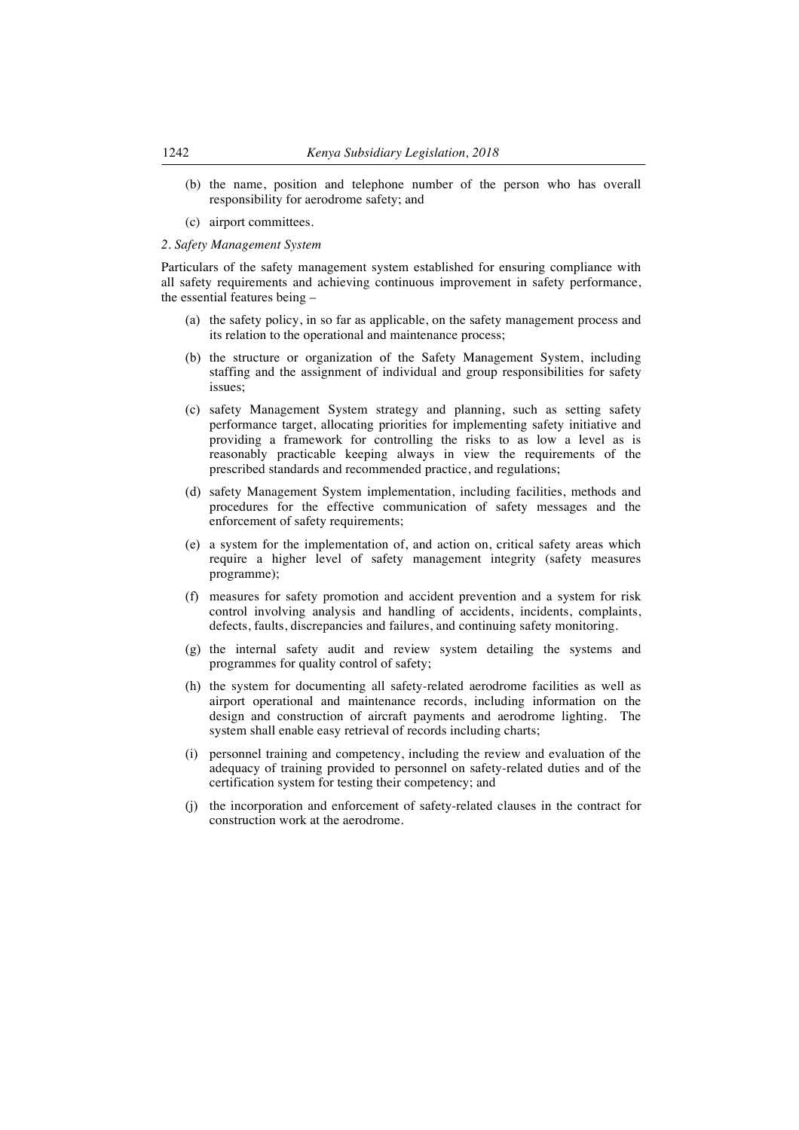- (b) the name, position and telephone number of the person who has overall responsibility for aerodrome safety; and
- (c) airport committees.

### *2. Safety Management System*

Particulars of the safety management system established for ensuring compliance with all safety requirements and achieving continuous improvement in safety performance, the essential features being –

- (a) the safety policy, in so far as applicable, on the safety management process and its relation to the operational and maintenance process;
- (b) the structure or organization of the Safety Management System, including staffing and the assignment of individual and group responsibilities for safety issues;
- (c) safety Management System strategy and planning, such as setting safety performance target, allocating priorities for implementing safety initiative and providing a framework for controlling the risks to as low a level as is reasonably practicable keeping always in view the requirements of the prescribed standards and recommended practice, and regulations;
- (d) safety Management System implementation, including facilities, methods and procedures for the effective communication of safety messages and the enforcement of safety requirements;
- (e) a system for the implementation of, and action on, critical safety areas which require a higher level of safety management integrity (safety measures programme);
- (f) measures for safety promotion and accident prevention and a system for risk control involving analysis and handling of accidents, incidents, complaints, defects, faults, discrepancies and failures, and continuing safety monitoring.
- (g) the internal safety audit and review system detailing the systems and programmes for quality control of safety;
- (h) the system for documenting all safety-related aerodrome facilities as well as airport operational and maintenance records, including information on the design and construction of aircraft payments and aerodrome lighting. The system shall enable easy retrieval of records including charts;
- (i) personnel training and competency, including the review and evaluation of the adequacy of training provided to personnel on safety-related duties and of the certification system for testing their competency; and
- (j) the incorporation and enforcement of safety-related clauses in the contract for construction work at the aerodrome.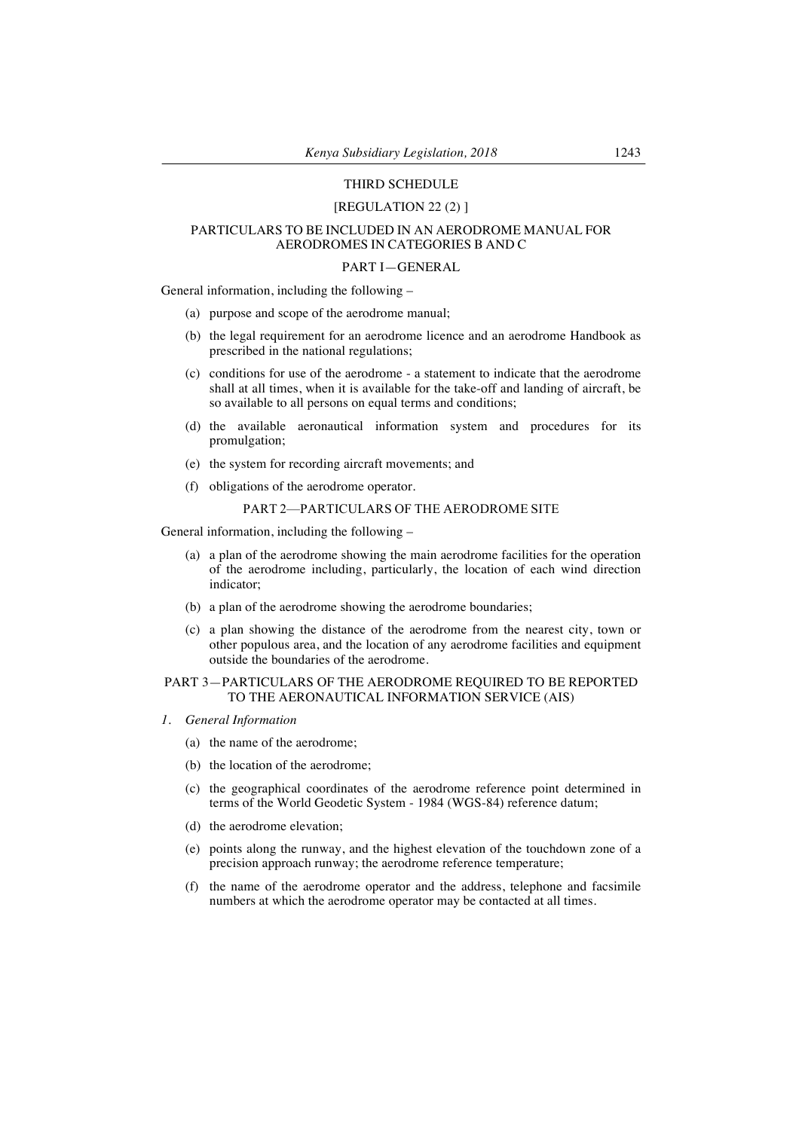### THIRD SCHEDULE

### [REGULATION 22(2)]

# PARTICULARS TO BE INCLUDED IN AN AERODROME MANUAL FOR AERODROMES IN CATEGORIES B AND C

#### PART I—GENERAL

General information, including the following –

- (a) purpose and scope of the aerodrome manual;
- (b) the legal requirement for an aerodrome licence and an aerodrome Handbook as prescribed in the national regulations;
- (c) conditions for use of the aerodrome a statement to indicate that the aerodrome shall at all times, when it is available for the take-off and landing of aircraft, be so available to all persons on equal terms and conditions;
- (d) the available aeronautical information system and procedures for its promulgation;
- (e) the system for recording aircraft movements; and
- (f) obligations of the aerodrome operator.

# PART 2—PARTICULARS OF THE AERODROME SITE

General information, including the following –

- (a) a plan of the aerodrome showing the main aerodrome facilities for the operation of the aerodrome including, particularly, the location of each wind direction indicator;
- (b) a plan of the aerodrome showing the aerodrome boundaries;
- (c) a plan showing the distance of the aerodrome from the nearest city, town or other populous area, and the location of any aerodrome facilities and equipment outside the boundaries of the aerodrome.

## PART 3—PARTICULARS OF THE AERODROME REQUIRED TO BE REPORTED TO THE AERONAUTICAL INFORMATION SERVICE (AIS)

- *1. General Information*
	- (a) the name of the aerodrome;
	- (b) the location of the aerodrome;
	- (c) the geographical coordinates of the aerodrome reference point determined in terms of the World Geodetic System - 1984 (WGS-84) reference datum;
	- (d) the aerodrome elevation;
	- (e) points along the runway, and the highest elevation of the touchdown zone of a precision approach runway; the aerodrome reference temperature;
	- (f) the name of the aerodrome operator and the address, telephone and facsimile numbers at which the aerodrome operator may be contacted at all times.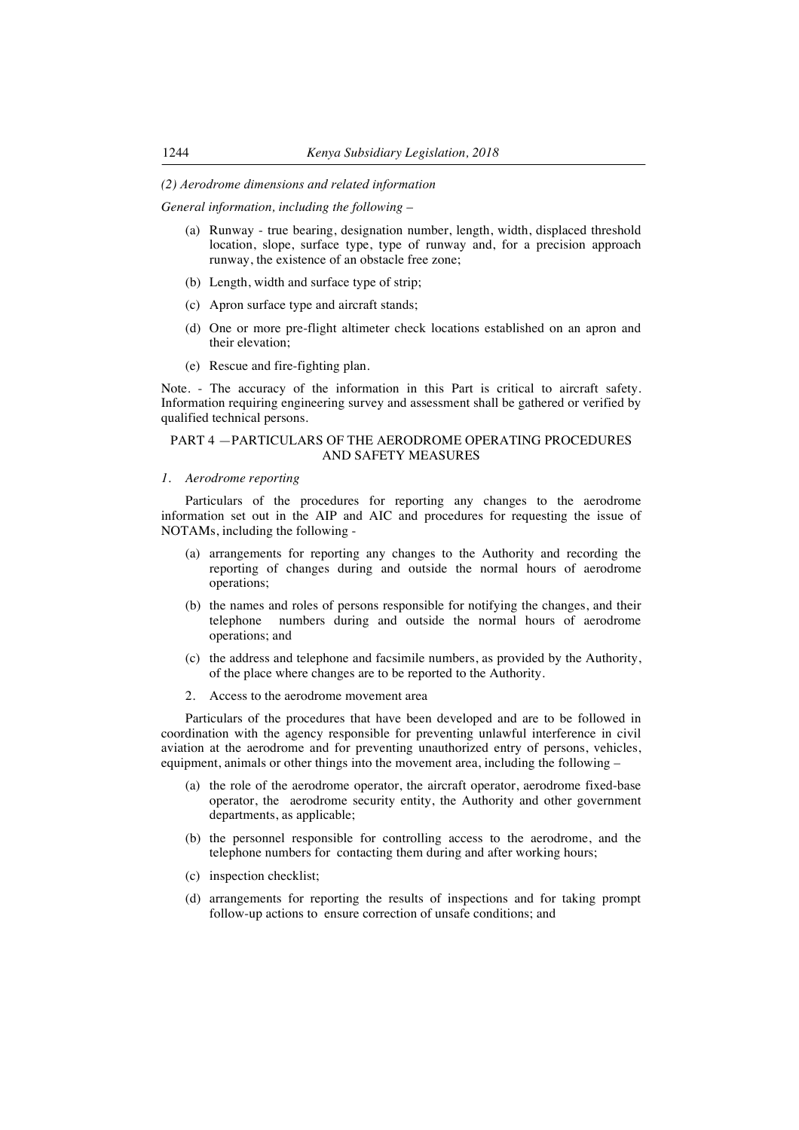### *(2) Aerodrome dimensions and related information*

*General information, including the following –*

- (a) Runway true bearing, designation number, length, width, displaced threshold location, slope, surface type, type of runway and, for a precision approach runway, the existence of an obstacle free zone;
- (b) Length, width and surface type of strip;
- (c) Apron surface type and aircraft stands;
- (d) One or more pre-flight altimeter check locations established on an apron and their elevation;
- (e) Rescue and fire-fighting plan.

Note. - The accuracy of the information in this Part is critical to aircraft safety. Information requiring engineering survey and assessment shall be gathered or verified by qualified technical persons.

### PART 4 —PARTICULARS OF THE AERODROME OPERATING PROCEDURES AND SAFETY MEASURES

*1. Aerodrome reporting*

Particulars of the procedures for reporting any changes to the aerodrome information set out in the AIP and AIC and procedures for requesting the issue of NOTAMs, including the following -

- (a) arrangements for reporting any changes to the Authority and recording the reporting of changes during and outside the normal hours of aerodrome operations;
- (b) the names and roles of persons responsible for notifying the changes, and their telephone numbers during and outside the normal hours of aerodrome operations; and
- (c) the address and telephone and facsimile numbers, as provided by the Authority, of the place where changes are to be reported to the Authority.
- 2. Access to the aerodrome movement area

Particulars of the procedures that have been developed and are to be followed in coordination with the agency responsible for preventing unlawful interference in civil aviation at the aerodrome and for preventing unauthorized entry of persons, vehicles, equipment, animals or other things into the movement area, including the following –

- (a) the role of the aerodrome operator, the aircraft operator, aerodrome fixed-base operator, the aerodrome security entity, the Authority and other government departments, as applicable;
- (b) the personnel responsible for controlling access to the aerodrome, and the telephone numbers for contacting them during and after working hours;
- (c) inspection checklist;
- (d) arrangements for reporting the results of inspections and for taking prompt follow-up actions to ensure correction of unsafe conditions; and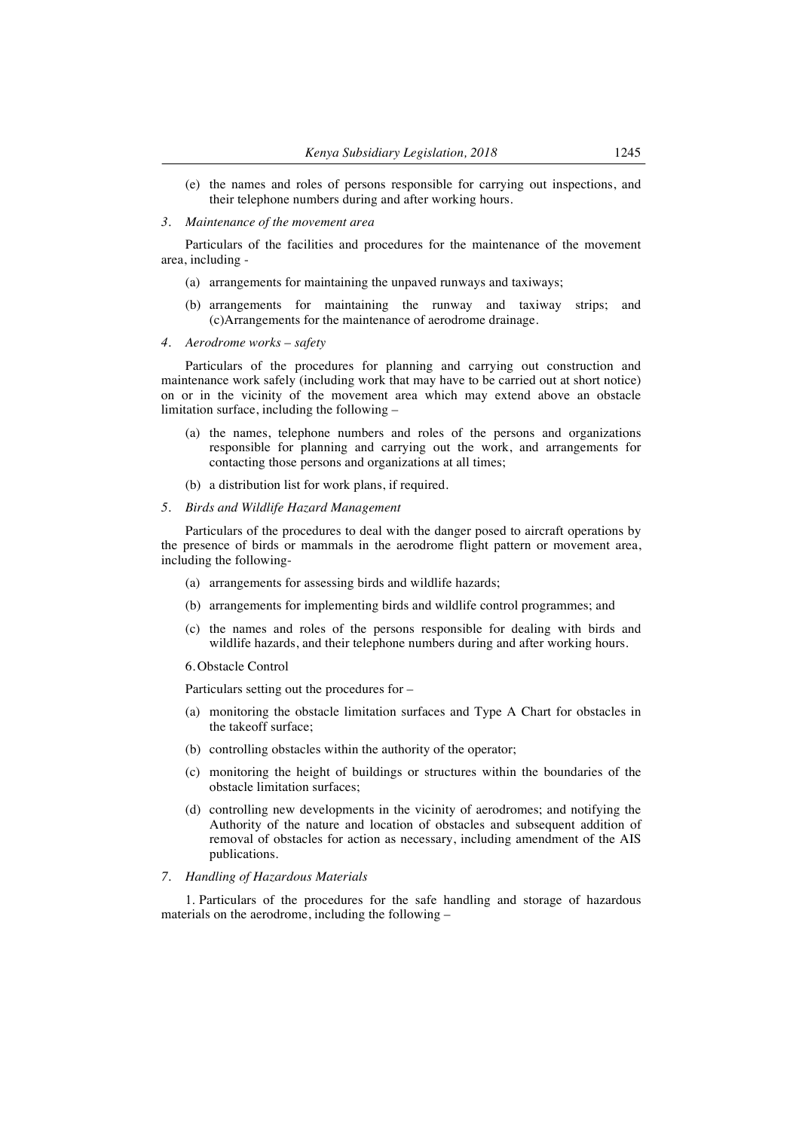(e) the names and roles of persons responsible for carrying out inspections, and their telephone numbers during and after working hours.

### *3. Maintenance of the movement area*

Particulars of the facilities and procedures for the maintenance of the movement area, including -

- (a) arrangements for maintaining the unpaved runways and taxiways;
- (b) arrangements for maintaining the runway and taxiway strips; and (c)Arrangements for the maintenance of aerodrome drainage.
- *4. Aerodrome works – safety*

Particulars of the procedures for planning and carrying out construction and maintenance work safely (including work that may have to be carried out at short notice) on or in the vicinity of the movement area which may extend above an obstacle limitation surface, including the following –

- (a) the names, telephone numbers and roles of the persons and organizations responsible for planning and carrying out the work, and arrangements for contacting those persons and organizations at all times;
- (b) a distribution list for work plans, if required.
- *5. Birds and Wildlife Hazard Management*

Particulars of the procedures to deal with the danger posed to aircraft operations by the presence of birds or mammals in the aerodrome flight pattern or movement area, including the following-

- (a) arrangements for assessing birds and wildlife hazards;
- (b) arrangements for implementing birds and wildlife control programmes; and
- (c) the names and roles of the persons responsible for dealing with birds and wildlife hazards, and their telephone numbers during and after working hours.
- 6. Obstacle Control

Particulars setting out the procedures for –

- (a) monitoring the obstacle limitation surfaces and Type A Chart for obstacles in the takeoff surface;
- (b) controlling obstacles within the authority of the operator;
- (c) monitoring the height of buildings or structures within the boundaries of the obstacle limitation surfaces;
- (d) controlling new developments in the vicinity of aerodromes; and notifying the Authority of the nature and location of obstacles and subsequent addition of removal of obstacles for action as necessary, including amendment of the AIS publications.
- *7. Handling of Hazardous Materials*

1. Particulars of the procedures for the safe handling and storage of hazardous materials on the aerodrome, including the following –